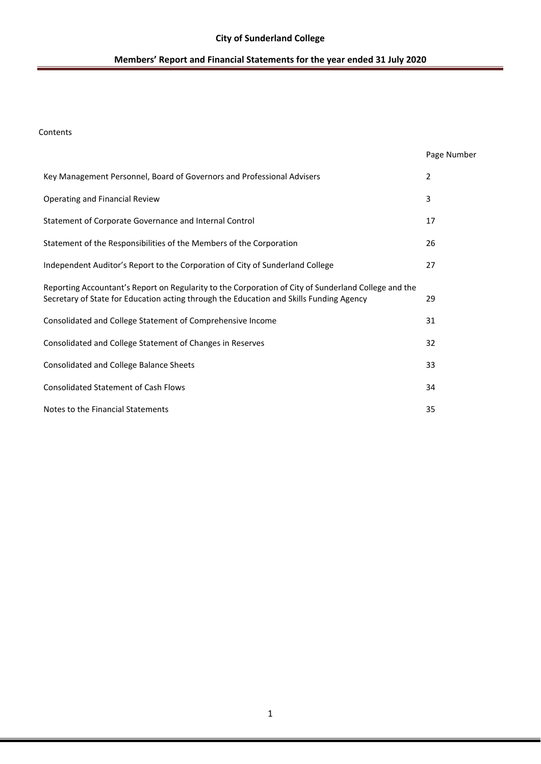#### Contents

|                                                                                                                                                                                                 | Page Number    |
|-------------------------------------------------------------------------------------------------------------------------------------------------------------------------------------------------|----------------|
| Key Management Personnel, Board of Governors and Professional Advisers                                                                                                                          | $\overline{2}$ |
| Operating and Financial Review                                                                                                                                                                  | 3              |
| Statement of Corporate Governance and Internal Control                                                                                                                                          | 17             |
| Statement of the Responsibilities of the Members of the Corporation                                                                                                                             | 26             |
| Independent Auditor's Report to the Corporation of City of Sunderland College                                                                                                                   | 27             |
| Reporting Accountant's Report on Regularity to the Corporation of City of Sunderland College and the<br>Secretary of State for Education acting through the Education and Skills Funding Agency | 29             |
| Consolidated and College Statement of Comprehensive Income                                                                                                                                      | 31             |
| Consolidated and College Statement of Changes in Reserves                                                                                                                                       | 32             |
| Consolidated and College Balance Sheets                                                                                                                                                         | 33             |
| <b>Consolidated Statement of Cash Flows</b>                                                                                                                                                     | 34             |
| Notes to the Financial Statements                                                                                                                                                               | 35             |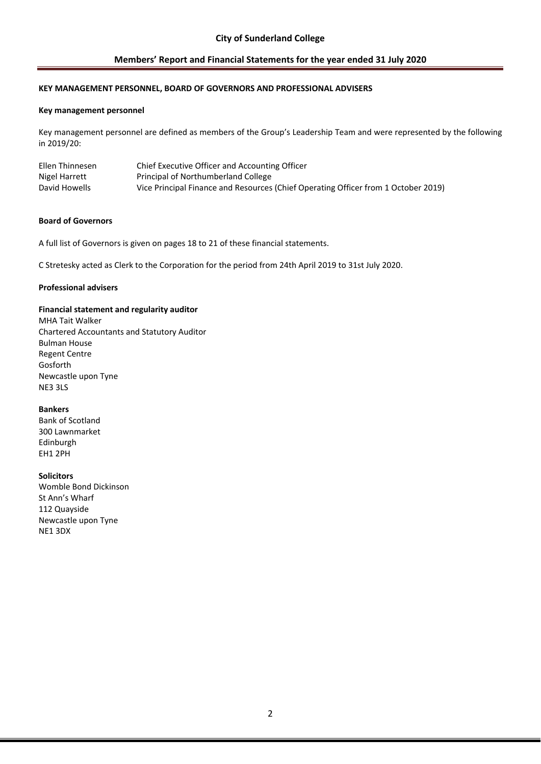#### **KEY MANAGEMENT PERSONNEL, BOARD OF GOVERNORS AND PROFESSIONAL ADVISERS**

#### **Key management personnel**

Key management personnel are defined as members of the Group's Leadership Team and were represented by the following in 2019/20:

| Ellen Thinnesen | Chief Executive Officer and Accounting Officer                                     |
|-----------------|------------------------------------------------------------------------------------|
| Nigel Harrett   | Principal of Northumberland College                                                |
| David Howells   | Vice Principal Finance and Resources (Chief Operating Officer from 1 October 2019) |

#### **Board of Governors**

A full list of Governors is given on pages 18 to 21 of these financial statements.

C Stretesky acted as Clerk to the Corporation for the period from 24th April 2019 to 31st July 2020.

#### **Professional advisers**

#### **Financial statement and regularity auditor**

MHA Tait Walker Chartered Accountants and Statutory Auditor Bulman House Regent Centre Gosforth Newcastle upon Tyne NE3 3LS

#### **Bankers**

Bank of Scotland 300 Lawnmarket Edinburgh EH1 2PH

#### **Solicitors**

Womble Bond Dickinson St Ann's Wharf 112 Quayside Newcastle upon Tyne NE1 3DX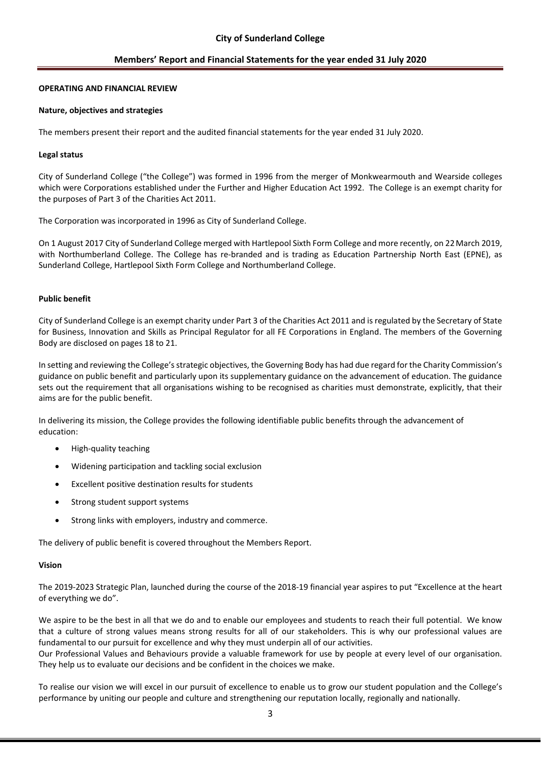#### **OPERATING AND FINANCIAL REVIEW**

#### **Nature, objectives and strategies**

The members present their report and the audited financial statements for the year ended 31 July 2020.

#### **Legal status**

City of Sunderland College ("the College") was formed in 1996 from the merger of Monkwearmouth and Wearside colleges which were Corporations established under the Further and Higher Education Act 1992. The College is an exempt charity for the purposes of Part 3 of the Charities Act 2011.

The Corporation was incorporated in 1996 as City of Sunderland College.

On 1 August 2017 City of Sunderland College merged with Hartlepool Sixth Form College and more recently, on 22March 2019, with Northumberland College. The College has re-branded and is trading as Education Partnership North East (EPNE), as Sunderland College, Hartlepool Sixth Form College and Northumberland College.

#### **Public benefit**

City of Sunderland College is an exempt charity under Part 3 of the Charities Act 2011 and is regulated by the Secretary of State for Business, Innovation and Skills as Principal Regulator for all FE Corporations in England. The members of the Governing Body are disclosed on pages 18 to 21.

In setting and reviewing the College's strategic objectives, the Governing Body has had due regard for the Charity Commission's guidance on public benefit and particularly upon its supplementary guidance on the advancement of education. The guidance sets out the requirement that all organisations wishing to be recognised as charities must demonstrate, explicitly, that their aims are for the public benefit.

In delivering its mission, the College provides the following identifiable public benefits through the advancement of education:

- High‐quality teaching
- Widening participation and tackling social exclusion
- Excellent positive destination results for students
- Strong student support systems
- Strong links with employers, industry and commerce.

The delivery of public benefit is covered throughout the Members Report.

#### **Vision**

The 2019‐2023 Strategic Plan, launched during the course of the 2018‐19 financial year aspires to put "Excellence at the heart of everything we do".

We aspire to be the best in all that we do and to enable our employees and students to reach their full potential. We know that a culture of strong values means strong results for all of our stakeholders. This is why our professional values are fundamental to our pursuit for excellence and why they must underpin all of our activities.

Our Professional Values and Behaviours provide a valuable framework for use by people at every level of our organisation. They help us to evaluate our decisions and be confident in the choices we make.

To realise our vision we will excel in our pursuit of excellence to enable us to grow our student population and the College's performance by uniting our people and culture and strengthening our reputation locally, regionally and nationally.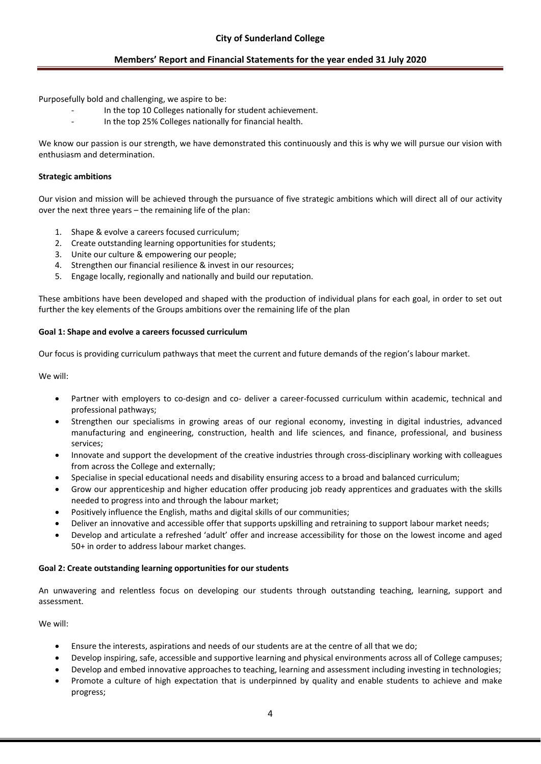Purposefully bold and challenging, we aspire to be:

- In the top 10 Colleges nationally for student achievement.
- In the top 25% Colleges nationally for financial health.

We know our passion is our strength, we have demonstrated this continuously and this is why we will pursue our vision with enthusiasm and determination.

#### **Strategic ambitions**

Our vision and mission will be achieved through the pursuance of five strategic ambitions which will direct all of our activity over the next three years – the remaining life of the plan:

- 1. Shape & evolve a careers focused curriculum;
- 2. Create outstanding learning opportunities for students;
- 3. Unite our culture & empowering our people;
- 4. Strengthen our financial resilience & invest in our resources;
- 5. Engage locally, regionally and nationally and build our reputation.

These ambitions have been developed and shaped with the production of individual plans for each goal, in order to set out further the key elements of the Groups ambitions over the remaining life of the plan

### **Goal 1: Shape and evolve a careers focussed curriculum**

Our focus is providing curriculum pathways that meet the current and future demands of the region's labour market.

We will:

- Partner with employers to co-design and co- deliver a career-focussed curriculum within academic, technical and professional pathways;
- Strengthen our specialisms in growing areas of our regional economy, investing in digital industries, advanced manufacturing and engineering, construction, health and life sciences, and finance, professional, and business services;
- Innovate and support the development of the creative industries through cross-disciplinary working with colleagues from across the College and externally;
- Specialise in special educational needs and disability ensuring access to a broad and balanced curriculum;
- Grow our apprenticeship and higher education offer producing job ready apprentices and graduates with the skills needed to progress into and through the labour market;
- Positively influence the English, maths and digital skills of our communities;
- Deliver an innovative and accessible offer that supports upskilling and retraining to support labour market needs;
- Develop and articulate a refreshed 'adult' offer and increase accessibility for those on the lowest income and aged 50+ in order to address labour market changes.

#### **Goal 2: Create outstanding learning opportunities for our students**

An unwavering and relentless focus on developing our students through outstanding teaching, learning, support and assessment.

We will:

- Ensure the interests, aspirations and needs of our students are at the centre of all that we do;
- Develop inspiring, safe, accessible and supportive learning and physical environments across all of College campuses;
- Develop and embed innovative approaches to teaching, learning and assessment including investing in technologies;
- Promote a culture of high expectation that is underpinned by quality and enable students to achieve and make progress;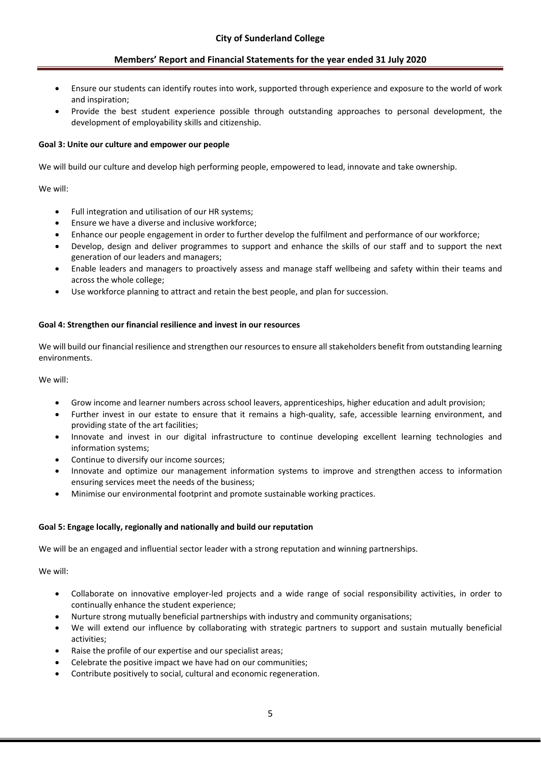- Ensure our students can identify routes into work, supported through experience and exposure to the world of work and inspiration;
- Provide the best student experience possible through outstanding approaches to personal development, the development of employability skills and citizenship.

#### **Goal 3: Unite our culture and empower our people**

We will build our culture and develop high performing people, empowered to lead, innovate and take ownership.

We will:

- Full integration and utilisation of our HR systems;
- Ensure we have a diverse and inclusive workforce;
- Enhance our people engagement in order to further develop the fulfilment and performance of our workforce;
- Develop, design and deliver programmes to support and enhance the skills of our staff and to support the next generation of our leaders and managers;
- Enable leaders and managers to proactively assess and manage staff wellbeing and safety within their teams and across the whole college;
- Use workforce planning to attract and retain the best people, and plan for succession.

#### **Goal 4: Strengthen our financial resilience and invest in our resources**

We will build our financial resilience and strengthen our resourcesto ensure all stakeholders benefit from outstanding learning environments.

We will:

- Grow income and learner numbers across school leavers, apprenticeships, higher education and adult provision;
- Further invest in our estate to ensure that it remains a high-quality, safe, accessible learning environment, and providing state of the art facilities;
- Innovate and invest in our digital infrastructure to continue developing excellent learning technologies and information systems;
- Continue to diversify our income sources;
- Innovate and optimize our management information systems to improve and strengthen access to information ensuring services meet the needs of the business;
- Minimise our environmental footprint and promote sustainable working practices.

#### **Goal 5: Engage locally, regionally and nationally and build our reputation**

We will be an engaged and influential sector leader with a strong reputation and winning partnerships.

We will:

- Collaborate on innovative employer‐led projects and a wide range of social responsibility activities, in order to continually enhance the student experience;
- Nurture strong mutually beneficial partnerships with industry and community organisations;
- We will extend our influence by collaborating with strategic partners to support and sustain mutually beneficial activities;
- Raise the profile of our expertise and our specialist areas;
- Celebrate the positive impact we have had on our communities;
- Contribute positively to social, cultural and economic regeneration.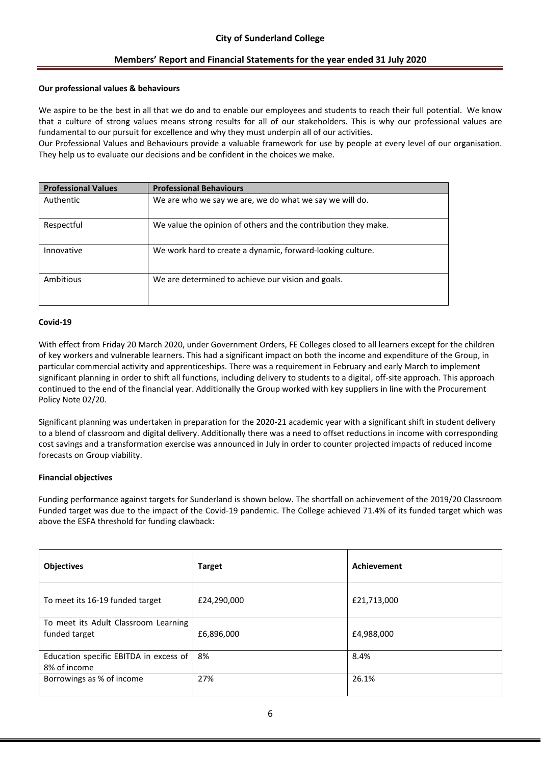#### **Our professional values & behaviours**

We aspire to be the best in all that we do and to enable our employees and students to reach their full potential. We know that a culture of strong values means strong results for all of our stakeholders. This is why our professional values are fundamental to our pursuit for excellence and why they must underpin all of our activities.

Our Professional Values and Behaviours provide a valuable framework for use by people at every level of our organisation. They help us to evaluate our decisions and be confident in the choices we make.

| <b>Professional Values</b> | <b>Professional Behaviours</b>                                 |
|----------------------------|----------------------------------------------------------------|
| Authentic                  | We are who we say we are, we do what we say we will do.        |
| Respectful                 | We value the opinion of others and the contribution they make. |
| Innovative                 | We work hard to create a dynamic, forward-looking culture.     |
| Ambitious                  | We are determined to achieve our vision and goals.             |

#### **Covid‐19**

With effect from Friday 20 March 2020, under Government Orders, FE Colleges closed to all learners except for the children of key workers and vulnerable learners. This had a significant impact on both the income and expenditure of the Group, in particular commercial activity and apprenticeships. There was a requirement in February and early March to implement significant planning in order to shift all functions, including delivery to students to a digital, off-site approach. This approach continued to the end of the financial year. Additionally the Group worked with key suppliers in line with the Procurement Policy Note 02/20.

Significant planning was undertaken in preparation for the 2020‐21 academic year with a significant shift in student delivery to a blend of classroom and digital delivery. Additionally there was a need to offset reductions in income with corresponding cost savings and a transformation exercise was announced in July in order to counter projected impacts of reduced income forecasts on Group viability.

#### **Financial objectives**

Funding performance against targets for Sunderland is shown below. The shortfall on achievement of the 2019/20 Classroom Funded target was due to the impact of the Covid‐19 pandemic. The College achieved 71.4% of its funded target which was above the ESFA threshold for funding clawback:

| <b>Objectives</b>                                      | <b>Target</b> | Achievement |
|--------------------------------------------------------|---------------|-------------|
| To meet its 16-19 funded target                        | £24,290,000   | £21,713,000 |
| To meet its Adult Classroom Learning<br>funded target  | £6,896,000    | £4,988,000  |
| Education specific EBITDA in excess of<br>8% of income | 8%            | 8.4%        |
| Borrowings as % of income                              | 27%           | 26.1%       |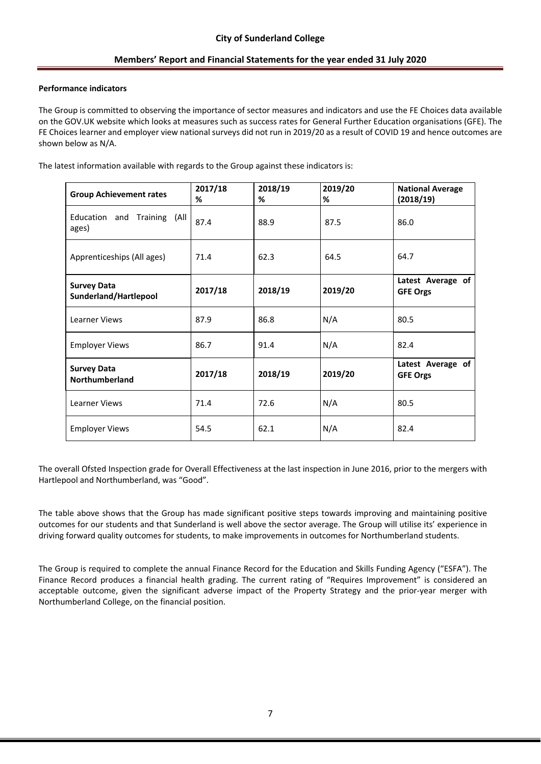### **Performance indicators**

The Group is committed to observing the importance of sector measures and indicators and use the FE Choices data available on the GOV.UK website which looks at measures such as success rates for General Further Education organisations (GFE). The FE Choices learner and employer view national surveys did not run in 2019/20 as a result of COVID 19 and hence outcomes are shown below as N/A.

The latest information available with regards to the Group against these indicators is:

| <b>Group Achievement rates</b>              | 2017/18<br>% | 2018/19<br>% | 2019/20<br>% | <b>National Average</b><br>(2018/19) |  |
|---------------------------------------------|--------------|--------------|--------------|--------------------------------------|--|
| Education and<br>Training (All<br>ages)     | 87.4         | 88.9         | 87.5         | 86.0                                 |  |
| Apprenticeships (All ages)                  | 71.4         | 62.3<br>64.5 |              | 64.7                                 |  |
| <b>Survey Data</b><br>Sunderland/Hartlepool | 2017/18      | 2018/19      | 2019/20      | Latest Average of<br><b>GFE Orgs</b> |  |
| Learner Views                               | 87.9         | 86.8         | N/A          | 80.5                                 |  |
| <b>Employer Views</b>                       | 86.7         | 91.4         | N/A          | 82.4                                 |  |
| <b>Survey Data</b><br>Northumberland        | 2017/18      | 2018/19      | 2019/20      | Latest Average of<br><b>GFE Orgs</b> |  |
| Learner Views                               | 71.4         | 72.6         | N/A          | 80.5                                 |  |
| <b>Employer Views</b>                       | 54.5         | 62.1         | N/A          | 82.4                                 |  |

The overall Ofsted Inspection grade for Overall Effectiveness at the last inspection in June 2016, prior to the mergers with Hartlepool and Northumberland, was "Good".

The table above shows that the Group has made significant positive steps towards improving and maintaining positive outcomes for our students and that Sunderland is well above the sector average. The Group will utilise its' experience in driving forward quality outcomes for students, to make improvements in outcomes for Northumberland students.

The Group is required to complete the annual Finance Record for the Education and Skills Funding Agency ("ESFA"). The Finance Record produces a financial health grading. The current rating of "Requires Improvement" is considered an acceptable outcome, given the significant adverse impact of the Property Strategy and the prior‐year merger with Northumberland College, on the financial position.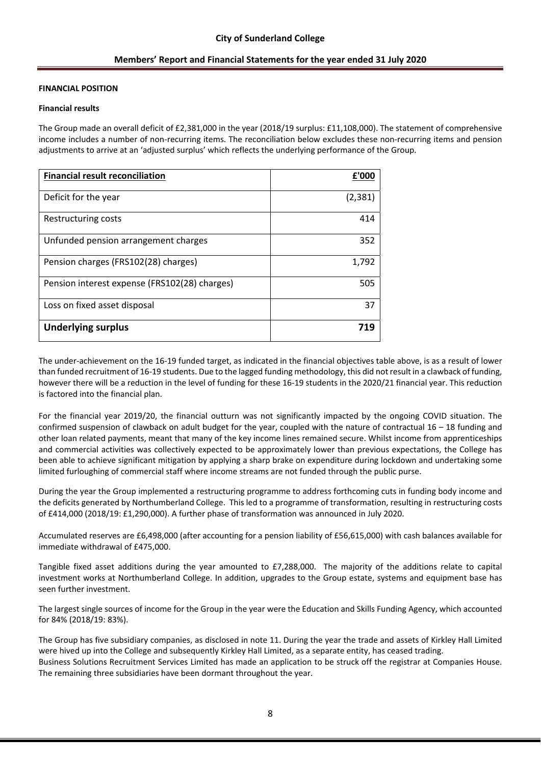#### **FINANCIAL POSITION**

#### **Financial results**

The Group made an overall deficit of £2,381,000 in the year (2018/19 surplus: £11,108,000). The statement of comprehensive income includes a number of non-recurring items. The reconciliation below excludes these non-recurring items and pension adjustments to arrive at an 'adjusted surplus' which reflects the underlying performance of the Group.

| <b>Financial result reconciliation</b>        | £'000    |
|-----------------------------------------------|----------|
| Deficit for the year                          | (2, 381) |
| Restructuring costs                           | 414      |
| Unfunded pension arrangement charges          | 352      |
| Pension charges (FRS102(28) charges)          | 1,792    |
| Pension interest expense (FRS102(28) charges) | 505      |
| Loss on fixed asset disposal                  | 37       |
| <b>Underlying surplus</b>                     | 719      |

The under-achievement on the 16-19 funded target, as indicated in the financial objectives table above, is as a result of lower than funded recruitment of 16‐19 students. Due to the lagged funding methodology, this did not result in a clawback of funding, however there will be a reduction in the level of funding for these 16‐19 students in the 2020/21 financial year. This reduction is factored into the financial plan.

For the financial year 2019/20, the financial outturn was not significantly impacted by the ongoing COVID situation. The confirmed suspension of clawback on adult budget for the year, coupled with the nature of contractual  $16 - 18$  funding and other loan related payments, meant that many of the key income lines remained secure. Whilst income from apprenticeships and commercial activities was collectively expected to be approximately lower than previous expectations, the College has been able to achieve significant mitigation by applying a sharp brake on expenditure during lockdown and undertaking some limited furloughing of commercial staff where income streams are not funded through the public purse.

During the year the Group implemented a restructuring programme to address forthcoming cuts in funding body income and the deficits generated by Northumberland College. This led to a programme of transformation, resulting in restructuring costs of £414,000 (2018/19: £1,290,000). A further phase of transformation was announced in July 2020.

Accumulated reserves are £6,498,000 (after accounting for a pension liability of £56,615,000) with cash balances available for immediate withdrawal of £475,000.

Tangible fixed asset additions during the year amounted to £7,288,000. The majority of the additions relate to capital investment works at Northumberland College. In addition, upgrades to the Group estate, systems and equipment base has seen further investment.

The largest single sources of income for the Group in the year were the Education and Skills Funding Agency, which accounted for 84% (2018/19: 83%).

The Group has five subsidiary companies, as disclosed in note 11. During the year the trade and assets of Kirkley Hall Limited were hived up into the College and subsequently Kirkley Hall Limited, as a separate entity, has ceased trading. Business Solutions Recruitment Services Limited has made an application to be struck off the registrar at Companies House. The remaining three subsidiaries have been dormant throughout the year.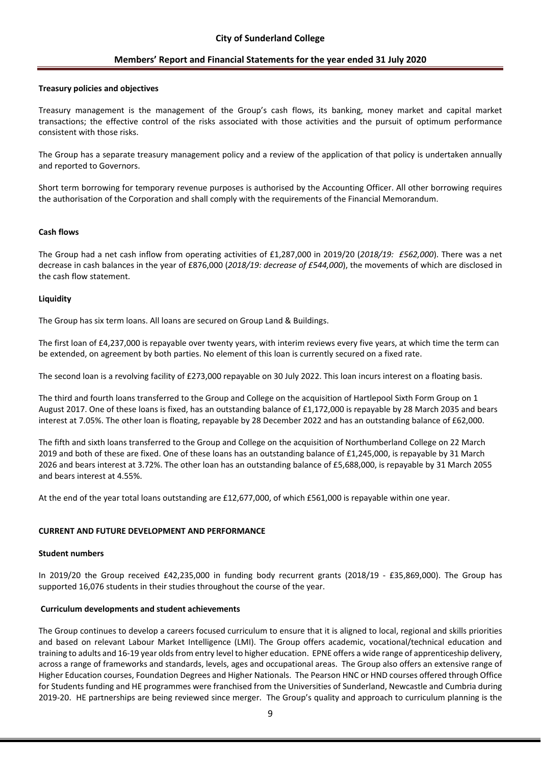#### **Treasury policies and objectives**

Treasury management is the management of the Group's cash flows, its banking, money market and capital market transactions; the effective control of the risks associated with those activities and the pursuit of optimum performance consistent with those risks.

The Group has a separate treasury management policy and a review of the application of that policy is undertaken annually and reported to Governors.

Short term borrowing for temporary revenue purposes is authorised by the Accounting Officer. All other borrowing requires the authorisation of the Corporation and shall comply with the requirements of the Financial Memorandum.

#### **Cash flows**

The Group had a net cash inflow from operating activities of £1,287,000 in 2019/20 (*2018/19: £562,000*). There was a net decrease in cash balances in the year of £876,000 (*2018/19: decrease of £544,000*), the movements of which are disclosed in the cash flow statement.

#### **Liquidity**

The Group has six term loans. All loans are secured on Group Land & Buildings.

The first loan of £4,237,000 is repayable over twenty years, with interim reviews every five years, at which time the term can be extended, on agreement by both parties. No element of this loan is currently secured on a fixed rate.

The second loan is a revolving facility of £273,000 repayable on 30 July 2022. This loan incurs interest on a floating basis.

The third and fourth loans transferred to the Group and College on the acquisition of Hartlepool Sixth Form Group on 1 August 2017. One of these loans is fixed, has an outstanding balance of £1,172,000 is repayable by 28 March 2035 and bears interest at 7.05%. The other loan is floating, repayable by 28 December 2022 and has an outstanding balance of £62,000.

The fifth and sixth loans transferred to the Group and College on the acquisition of Northumberland College on 22 March 2019 and both of these are fixed. One of these loans has an outstanding balance of £1,245,000, is repayable by 31 March 2026 and bears interest at 3.72%. The other loan has an outstanding balance of £5,688,000, is repayable by 31 March 2055 and bears interest at 4.55%.

At the end of the year total loans outstanding are £12,677,000, of which £561,000 is repayable within one year.

### **CURRENT AND FUTURE DEVELOPMENT AND PERFORMANCE**

#### **Student numbers**

In 2019/20 the Group received £42,235,000 in funding body recurrent grants (2018/19 - £35,869,000). The Group has supported 16,076 students in their studies throughout the course of the year.

#### **Curriculum developments and student achievements**

The Group continues to develop a careers focused curriculum to ensure that it is aligned to local, regional and skills priorities and based on relevant Labour Market Intelligence (LMI). The Group offers academic, vocational/technical education and training to adults and 16-19 year olds from entry level to higher education. EPNE offers a wide range of apprenticeship delivery, across a range of frameworks and standards, levels, ages and occupational areas. The Group also offers an extensive range of Higher Education courses, Foundation Degrees and Higher Nationals. The Pearson HNC or HND courses offered through Office for Students funding and HE programmes were franchised from the Universities of Sunderland, Newcastle and Cumbria during 2019‐20. HE partnerships are being reviewed since merger. The Group's quality and approach to curriculum planning is the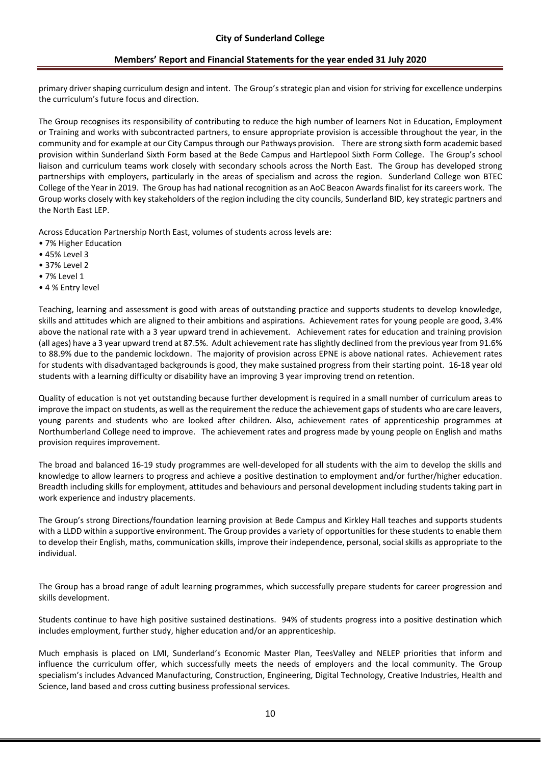primary driver shaping curriculum design and intent. The Group's strategic plan and vision for striving for excellence underpins the curriculum's future focus and direction.

The Group recognises its responsibility of contributing to reduce the high number of learners Not in Education, Employment or Training and works with subcontracted partners, to ensure appropriate provision is accessible throughout the year, in the community and for example at our City Campus through our Pathways provision. There are strong sixth form academic based provision within Sunderland Sixth Form based at the Bede Campus and Hartlepool Sixth Form College. The Group's school liaison and curriculum teams work closely with secondary schools across the North East. The Group has developed strong partnerships with employers, particularly in the areas of specialism and across the region. Sunderland College won BTEC College of the Year in 2019. The Group has had national recognition as an AoC Beacon Awards finalist for its careers work. The Group works closely with key stakeholders of the region including the city councils, Sunderland BID, key strategic partners and the North East LEP.

Across Education Partnership North East, volumes of students across levels are:

- 7% Higher Education
- 45% Level 3
- 37% Level 2
- 7% Level 1
- 4 % Entry level

Teaching, learning and assessment is good with areas of outstanding practice and supports students to develop knowledge, skills and attitudes which are aligned to their ambitions and aspirations. Achievement rates for young people are good, 3.4% above the national rate with a 3 year upward trend in achievement. Achievement rates for education and training provision (all ages) have a 3 year upward trend at 87.5%. Adult achievement rate hasslightly declined from the previous year from 91.6% to 88.9% due to the pandemic lockdown. The majority of provision across EPNE is above national rates. Achievement rates for students with disadvantaged backgrounds is good, they make sustained progress from their starting point. 16‐18 year old students with a learning difficulty or disability have an improving 3 year improving trend on retention.

Quality of education is not yet outstanding because further development is required in a small number of curriculum areas to improve the impact on students, as well as the requirement the reduce the achievement gaps of students who are care leavers, young parents and students who are looked after children. Also, achievement rates of apprenticeship programmes at Northumberland College need to improve. The achievement rates and progress made by young people on English and maths provision requires improvement.

The broad and balanced 16‐19 study programmes are well‐developed for all students with the aim to develop the skills and knowledge to allow learners to progress and achieve a positive destination to employment and/or further/higher education. Breadth including skills for employment, attitudes and behaviours and personal development including students taking part in work experience and industry placements.

The Group's strong Directions/foundation learning provision at Bede Campus and Kirkley Hall teaches and supports students with a LLDD within a supportive environment. The Group provides a variety of opportunities for these students to enable them to develop their English, maths, communication skills, improve their independence, personal, social skills as appropriate to the individual.

The Group has a broad range of adult learning programmes, which successfully prepare students for career progression and skills development.

Students continue to have high positive sustained destinations. 94% of students progress into a positive destination which includes employment, further study, higher education and/or an apprenticeship.

Much emphasis is placed on LMI, Sunderland's Economic Master Plan, TeesValley and NELEP priorities that inform and influence the curriculum offer, which successfully meets the needs of employers and the local community. The Group specialism's includes Advanced Manufacturing, Construction, Engineering, Digital Technology, Creative Industries, Health and Science, land based and cross cutting business professional services.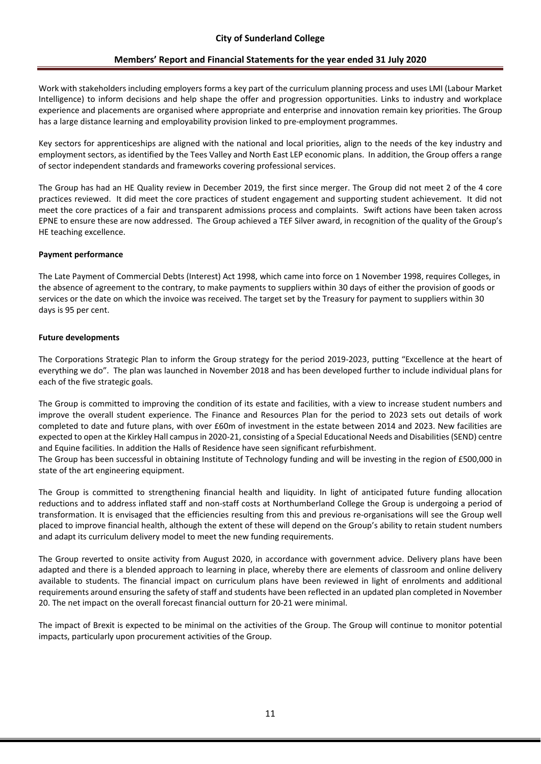Work with stakeholders including employers forms a key part of the curriculum planning process and uses LMI (Labour Market Intelligence) to inform decisions and help shape the offer and progression opportunities. Links to industry and workplace experience and placements are organised where appropriate and enterprise and innovation remain key priorities. The Group has a large distance learning and employability provision linked to pre-employment programmes.

Key sectors for apprenticeships are aligned with the national and local priorities, align to the needs of the key industry and employment sectors, as identified by the Tees Valley and North East LEP economic plans. In addition, the Group offers a range of sector independent standards and frameworks covering professional services.

The Group has had an HE Quality review in December 2019, the first since merger. The Group did not meet 2 of the 4 core practices reviewed. It did meet the core practices of student engagement and supporting student achievement. It did not meet the core practices of a fair and transparent admissions process and complaints. Swift actions have been taken across EPNE to ensure these are now addressed. The Group achieved a TEF Silver award, in recognition of the quality of the Group's HE teaching excellence.

#### **Payment performance**

The Late Payment of Commercial Debts (Interest) Act 1998, which came into force on 1 November 1998, requires Colleges, in the absence of agreement to the contrary, to make payments to suppliers within 30 days of either the provision of goods or services or the date on which the invoice was received. The target set by the Treasury for payment to suppliers within 30 days is 95 per cent.

#### **Future developments**

The Corporations Strategic Plan to inform the Group strategy for the period 2019‐2023, putting "Excellence at the heart of everything we do". The plan was launched in November 2018 and has been developed further to include individual plans for each of the five strategic goals.

The Group is committed to improving the condition of its estate and facilities, with a view to increase student numbers and improve the overall student experience. The Finance and Resources Plan for the period to 2023 sets out details of work completed to date and future plans, with over £60m of investment in the estate between 2014 and 2023. New facilities are expected to open at the Kirkley Hall campusin 2020‐21, consisting of a Special Educational Needs and Disabilities(SEND) centre and Equine facilities. In addition the Halls of Residence have seen significant refurbishment.

The Group has been successful in obtaining Institute of Technology funding and will be investing in the region of £500,000 in state of the art engineering equipment.

The Group is committed to strengthening financial health and liquidity. In light of anticipated future funding allocation reductions and to address inflated staff and non‐staff costs at Northumberland College the Group is undergoing a period of transformation. It is envisaged that the efficiencies resulting from this and previous re‐organisations will see the Group well placed to improve financial health, although the extent of these will depend on the Group's ability to retain student numbers and adapt its curriculum delivery model to meet the new funding requirements.

The Group reverted to onsite activity from August 2020, in accordance with government advice. Delivery plans have been adapted and there is a blended approach to learning in place, whereby there are elements of classroom and online delivery available to students. The financial impact on curriculum plans have been reviewed in light of enrolments and additional requirements around ensuring the safety of staff and students have been reflected in an updated plan completed in November 20. The net impact on the overall forecast financial outturn for 20‐21 were minimal.

The impact of Brexit is expected to be minimal on the activities of the Group. The Group will continue to monitor potential impacts, particularly upon procurement activities of the Group.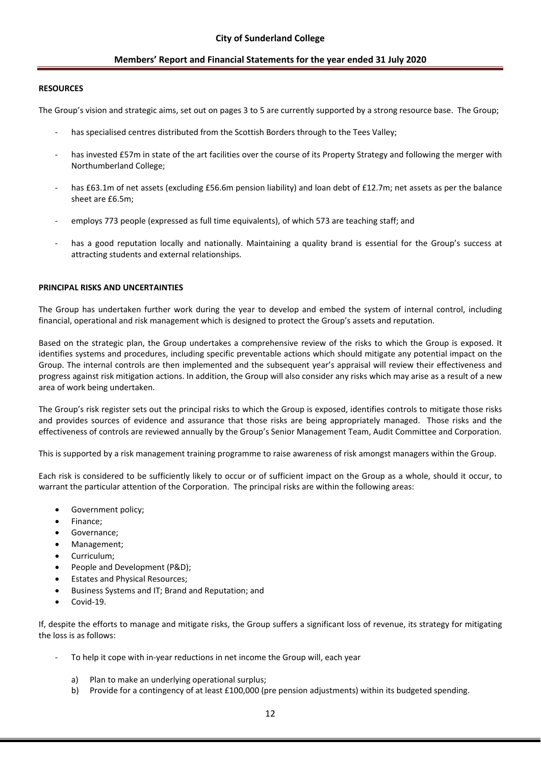#### **RESOURCES**

The Group's vision and strategic aims, set out on pages 3 to 5 are currently supported by a strong resource base. The Group;

- has specialised centres distributed from the Scottish Borders through to the Tees Valley;
- has invested £57m in state of the art facilities over the course of its Property Strategy and following the merger with Northumberland College;
- has £63.1m of net assets (excluding £56.6m pension liability) and loan debt of £12.7m; net assets as per the balance sheet are £6.5m;
- ‐ employs 773 people (expressed as full time equivalents), of which 573 are teaching staff; and
- has a good reputation locally and nationally. Maintaining a quality brand is essential for the Group's success at attracting students and external relationships.

#### **PRINCIPAL RISKS AND UNCERTAINTIES**

The Group has undertaken further work during the year to develop and embed the system of internal control, including financial, operational and risk management which is designed to protect the Group's assets and reputation.

Based on the strategic plan, the Group undertakes a comprehensive review of the risks to which the Group is exposed. It identifies systems and procedures, including specific preventable actions which should mitigate any potential impact on the Group. The internal controls are then implemented and the subsequent year's appraisal will review their effectiveness and progress against risk mitigation actions. In addition, the Group will also consider any risks which may arise as a result of a new area of work being undertaken.

The Group's risk register sets out the principal risks to which the Group is exposed, identifies controls to mitigate those risks and provides sources of evidence and assurance that those risks are being appropriately managed. Those risks and the effectiveness of controls are reviewed annually by the Group's Senior Management Team, Audit Committee and Corporation.

This is supported by a risk management training programme to raise awareness of risk amongst managers within the Group.

Each risk is considered to be sufficiently likely to occur or of sufficient impact on the Group as a whole, should it occur, to warrant the particular attention of the Corporation. The principal risks are within the following areas:

- Government policy;
- Finance;
- Governance;
- Management;
- Curriculum;
- People and Development (P&D);
- Estates and Physical Resources;
- Business Systems and IT; Brand and Reputation; and
- Covid‐19.

If, despite the efforts to manage and mitigate risks, the Group suffers a significant loss of revenue, its strategy for mitigating the loss is as follows:

- ‐ To help it cope with in‐year reductions in net income the Group will, each year
	- a) Plan to make an underlying operational surplus;
	- b) Provide for a contingency of at least £100,000 (pre pension adjustments) within its budgeted spending.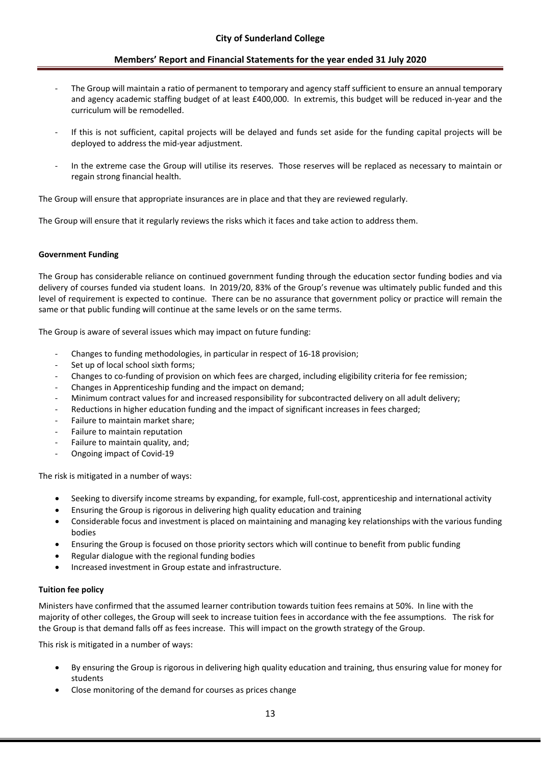- ‐ The Group will maintain a ratio of permanent to temporary and agency staff sufficient to ensure an annual temporary and agency academic staffing budget of at least £400,000. In extremis, this budget will be reduced in‐year and the curriculum will be remodelled.
- ‐ If this is not sufficient, capital projects will be delayed and funds set aside for the funding capital projects will be deployed to address the mid‐year adjustment.
- In the extreme case the Group will utilise its reserves. Those reserves will be replaced as necessary to maintain or regain strong financial health.

The Group will ensure that appropriate insurances are in place and that they are reviewed regularly.

The Group will ensure that it regularly reviews the risks which it faces and take action to address them.

### **Government Funding**

The Group has considerable reliance on continued government funding through the education sector funding bodies and via delivery of courses funded via student loans. In 2019/20, 83% of the Group's revenue was ultimately public funded and this level of requirement is expected to continue. There can be no assurance that government policy or practice will remain the same or that public funding will continue at the same levels or on the same terms.

The Group is aware of several issues which may impact on future funding:

- ‐ Changes to funding methodologies, in particular in respect of 16‐18 provision;
- Set up of local school sixth forms;
- ‐ Changes to co‐funding of provision on which fees are charged, including eligibility criteria for fee remission;
- ‐ Changes in Apprenticeship funding and the impact on demand;
- Minimum contract values for and increased responsibility for subcontracted delivery on all adult delivery;
- Reductions in higher education funding and the impact of significant increases in fees charged;
- ‐ Failure to maintain market share;
- ‐ Failure to maintain reputation
- ‐ Failure to maintain quality, and;
- ‐ Ongoing impact of Covid‐19

The risk is mitigated in a number of ways:

- Seeking to diversify income streams by expanding, for example, full‐cost, apprenticeship and international activity
- Ensuring the Group is rigorous in delivering high quality education and training
- Considerable focus and investment is placed on maintaining and managing key relationships with the various funding bodies
- Ensuring the Group is focused on those priority sectors which will continue to benefit from public funding
- Regular dialogue with the regional funding bodies
- Increased investment in Group estate and infrastructure.

#### **Tuition fee policy**

Ministers have confirmed that the assumed learner contribution towards tuition fees remains at 50%. In line with the majority of other colleges, the Group will seek to increase tuition fees in accordance with the fee assumptions. The risk for the Group is that demand falls off as fees increase. This will impact on the growth strategy of the Group.

This risk is mitigated in a number of ways:

- By ensuring the Group is rigorous in delivering high quality education and training, thus ensuring value for money for students
- Close monitoring of the demand for courses as prices change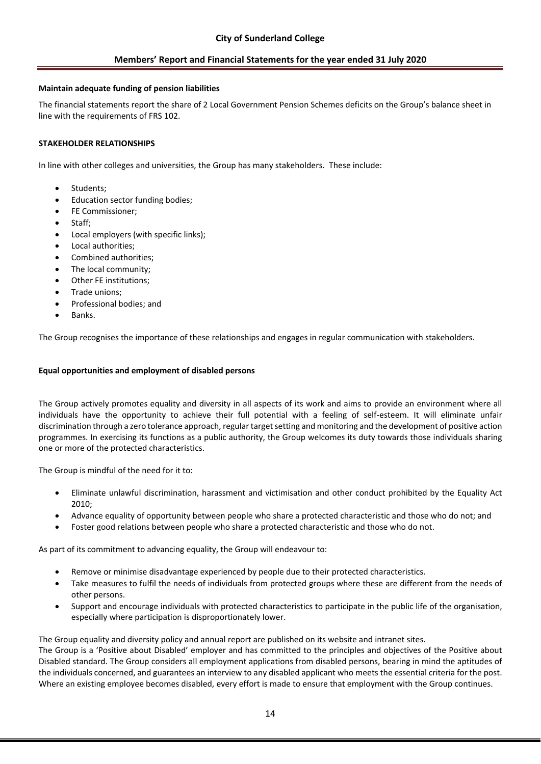### **Maintain adequate funding of pension liabilities**

The financial statements report the share of 2 Local Government Pension Schemes deficits on the Group's balance sheet in line with the requirements of FRS 102.

### **STAKEHOLDER RELATIONSHIPS**

In line with other colleges and universities, the Group has many stakeholders. These include:

- Students;
- Education sector funding bodies;
- FE Commissioner;
- Staff;
- Local employers (with specific links);
- Local authorities;
- Combined authorities;
- The local community;
- Other FE institutions;
- Trade unions;
- Professional bodies; and
- Banks.

The Group recognises the importance of these relationships and engages in regular communication with stakeholders.

### **Equal opportunities and employment of disabled persons**

The Group actively promotes equality and diversity in all aspects of its work and aims to provide an environment where all individuals have the opportunity to achieve their full potential with a feeling of self‐esteem. It will eliminate unfair discrimination through a zero tolerance approach, regular target setting and monitoring and the development of positive action programmes. In exercising its functions as a public authority, the Group welcomes its duty towards those individuals sharing one or more of the protected characteristics.

The Group is mindful of the need for it to:

- Eliminate unlawful discrimination, harassment and victimisation and other conduct prohibited by the Equality Act  $2010<sup>1</sup>$
- Advance equality of opportunity between people who share a protected characteristic and those who do not; and
- Foster good relations between people who share a protected characteristic and those who do not.

As part of its commitment to advancing equality, the Group will endeavour to:

- Remove or minimise disadvantage experienced by people due to their protected characteristics.
- Take measures to fulfil the needs of individuals from protected groups where these are different from the needs of other persons.
- Support and encourage individuals with protected characteristics to participate in the public life of the organisation, especially where participation is disproportionately lower.

The Group equality and diversity policy and annual report are published on its website and intranet sites.

The Group is a 'Positive about Disabled' employer and has committed to the principles and objectives of the Positive about Disabled standard. The Group considers all employment applications from disabled persons, bearing in mind the aptitudes of the individuals concerned, and guarantees an interview to any disabled applicant who meets the essential criteria for the post. Where an existing employee becomes disabled, every effort is made to ensure that employment with the Group continues.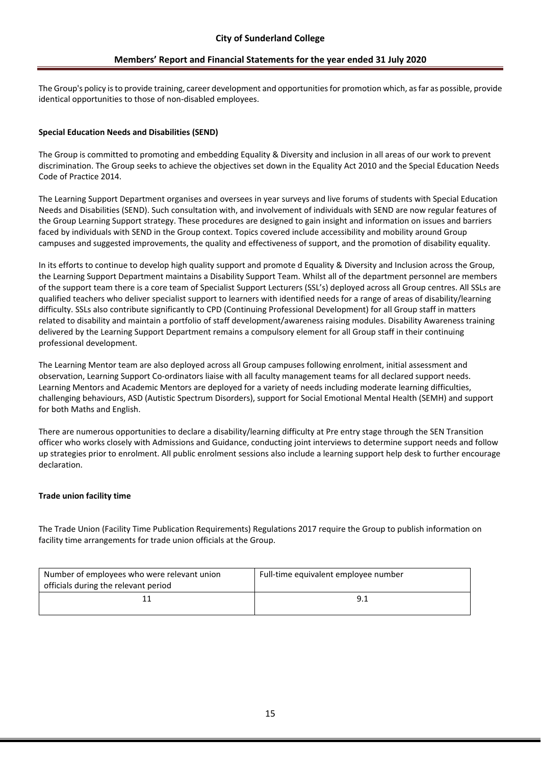The Group's policy isto provide training, career development and opportunitiesfor promotion which, asfar as possible, provide identical opportunities to those of non‐disabled employees.

#### **Special Education Needs and Disabilities (SEND)**

The Group is committed to promoting and embedding Equality & Diversity and inclusion in all areas of our work to prevent discrimination. The Group seeks to achieve the objectives set down in the Equality Act 2010 and the Special Education Needs Code of Practice 2014.

The Learning Support Department organises and oversees in year surveys and live forums of students with Special Education Needs and Disabilities (SEND). Such consultation with, and involvement of individuals with SEND are now regular features of the Group Learning Support strategy. These procedures are designed to gain insight and information on issues and barriers faced by individuals with SEND in the Group context. Topics covered include accessibility and mobility around Group campuses and suggested improvements, the quality and effectiveness of support, and the promotion of disability equality.

In its efforts to continue to develop high quality support and promote d Equality & Diversity and Inclusion across the Group, the Learning Support Department maintains a Disability Support Team. Whilst all of the department personnel are members of the support team there is a core team of Specialist Support Lecturers (SSL's) deployed across all Group centres. All SSLs are qualified teachers who deliver specialist support to learners with identified needs for a range of areas of disability/learning difficulty. SSLs also contribute significantly to CPD (Continuing Professional Development) for all Group staff in matters related to disability and maintain a portfolio of staff development/awareness raising modules. Disability Awareness training delivered by the Learning Support Department remains a compulsory element for all Group staff in their continuing professional development.

The Learning Mentor team are also deployed across all Group campuses following enrolment, initial assessment and observation, Learning Support Co‐ordinators liaise with all faculty management teams for all declared support needs. Learning Mentors and Academic Mentors are deployed for a variety of needs including moderate learning difficulties, challenging behaviours, ASD (Autistic Spectrum Disorders), support for Social Emotional Mental Health (SEMH) and support for both Maths and English.

There are numerous opportunities to declare a disability/learning difficulty at Pre entry stage through the SEN Transition officer who works closely with Admissions and Guidance, conducting joint interviews to determine support needs and follow up strategies prior to enrolment. All public enrolment sessions also include a learning support help desk to further encourage declaration.

#### **Trade union facility time**

The Trade Union (Facility Time Publication Requirements) Regulations 2017 require the Group to publish information on facility time arrangements for trade union officials at the Group.

| Number of employees who were relevant union<br>officials during the relevant period | Full-time equivalent employee number |  |  |
|-------------------------------------------------------------------------------------|--------------------------------------|--|--|
|                                                                                     |                                      |  |  |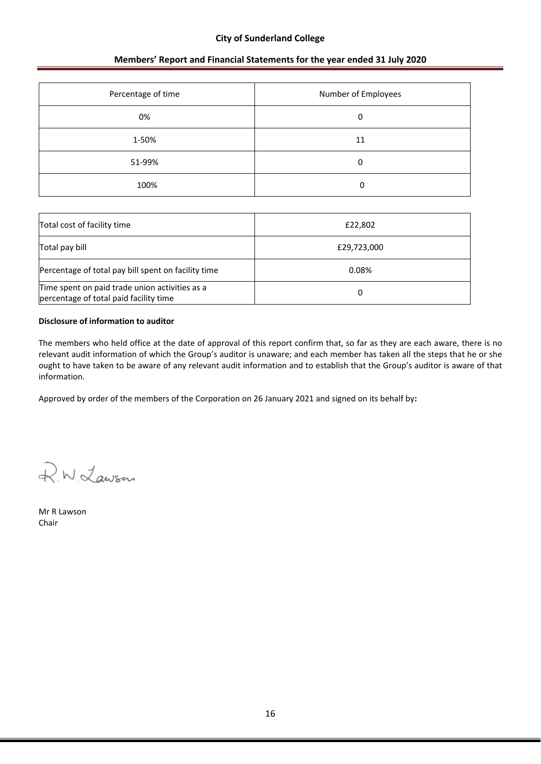| Percentage of time | Number of Employees |
|--------------------|---------------------|
| 0%                 | 0                   |
| 1-50%              | 11                  |
| 51-99%             | 0                   |
| 100%               | 0                   |

| Total cost of facility time                                                              | £22,802     |
|------------------------------------------------------------------------------------------|-------------|
| Total pay bill                                                                           | £29,723,000 |
| Percentage of total pay bill spent on facility time                                      | 0.08%       |
| Time spent on paid trade union activities as a<br>percentage of total paid facility time | 0           |

### **Disclosure of information to auditor**

The members who held office at the date of approval of this report confirm that, so far as they are each aware, there is no relevant audit information of which the Group's auditor is unaware; and each member has taken all the steps that he or she ought to have taken to be aware of any relevant audit information and to establish that the Group's auditor is aware of that information.

R.W. Lawson

Mr R Lawson Chair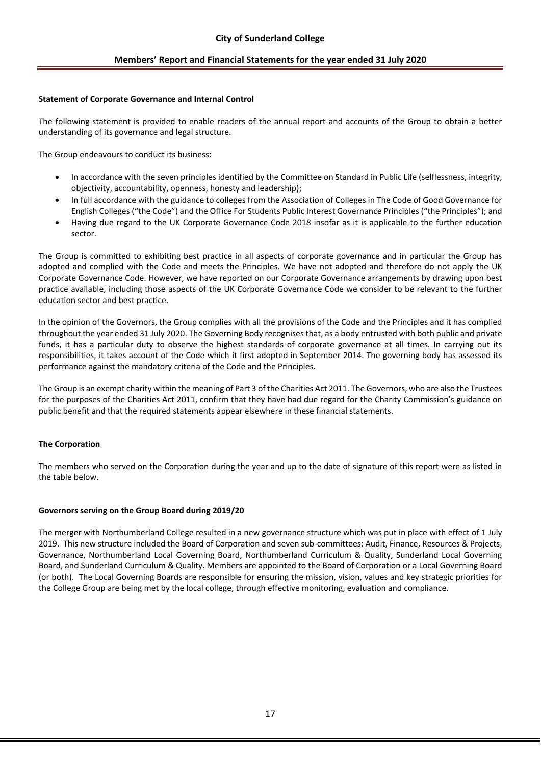#### **Statement of Corporate Governance and Internal Control**

The following statement is provided to enable readers of the annual report and accounts of the Group to obtain a better understanding of its governance and legal structure.

The Group endeavours to conduct its business:

- In accordance with the seven principles identified by the Committee on Standard in Public Life (selflessness, integrity, objectivity, accountability, openness, honesty and leadership);
- In full accordance with the guidance to colleges from the Association of Colleges in The Code of Good Governance for English Colleges ("the Code") and the Office For Students Public Interest Governance Principles ("the Principles"); and
- Having due regard to the UK Corporate Governance Code 2018 insofar as it is applicable to the further education sector.

The Group is committed to exhibiting best practice in all aspects of corporate governance and in particular the Group has adopted and complied with the Code and meets the Principles. We have not adopted and therefore do not apply the UK Corporate Governance Code. However, we have reported on our Corporate Governance arrangements by drawing upon best practice available, including those aspects of the UK Corporate Governance Code we consider to be relevant to the further education sector and best practice.

In the opinion of the Governors, the Group complies with all the provisions of the Code and the Principles and it has complied throughout the year ended 31 July 2020. The Governing Body recognisesthat, as a body entrusted with both public and private funds, it has a particular duty to observe the highest standards of corporate governance at all times. In carrying out its responsibilities, it takes account of the Code which it first adopted in September 2014. The governing body has assessed its performance against the mandatory criteria of the Code and the Principles.

The Group is an exempt charity within the meaning of Part 3 of the Charities Act 2011. The Governors, who are also the Trustees for the purposes of the Charities Act 2011, confirm that they have had due regard for the Charity Commission's guidance on public benefit and that the required statements appear elsewhere in these financial statements.

#### **The Corporation**

The members who served on the Corporation during the year and up to the date of signature of this report were as listed in the table below.

#### **Governors serving on the Group Board during 2019/20**

The merger with Northumberland College resulted in a new governance structure which was put in place with effect of 1 July 2019. This new structure included the Board of Corporation and seven sub‐committees: Audit, Finance, Resources & Projects, Governance, Northumberland Local Governing Board, Northumberland Curriculum & Quality, Sunderland Local Governing Board, and Sunderland Curriculum & Quality. Members are appointed to the Board of Corporation or a Local Governing Board (or both). The Local Governing Boards are responsible for ensuring the mission, vision, values and key strategic priorities for the College Group are being met by the local college, through effective monitoring, evaluation and compliance.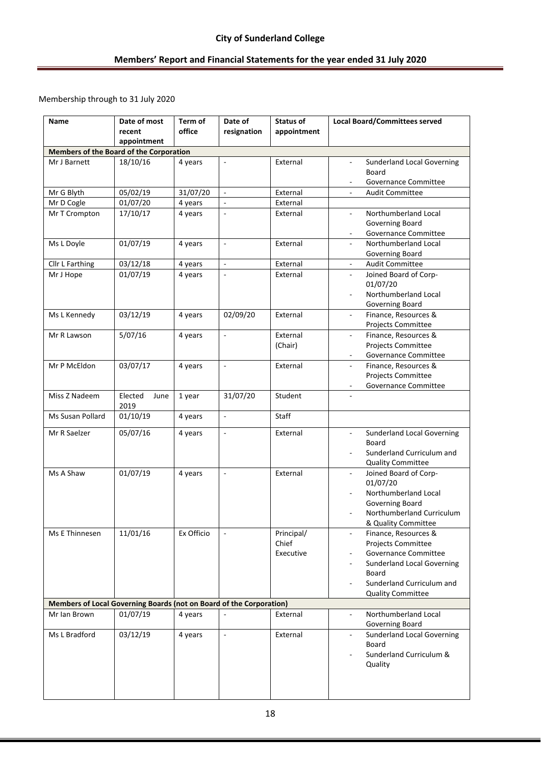# Membership through to 31 July 2020

| Name                                                                | Date of most<br>recent<br>appointment          | Term of<br>office | Date of<br>resignation   | Status of<br>appointment         | <b>Local Board/Committees served</b>                                                                                                                                      |  |  |
|---------------------------------------------------------------------|------------------------------------------------|-------------------|--------------------------|----------------------------------|---------------------------------------------------------------------------------------------------------------------------------------------------------------------------|--|--|
|                                                                     | <b>Members of the Board of the Corporation</b> |                   |                          |                                  |                                                                                                                                                                           |  |  |
| Mr J Barnett                                                        | 18/10/16                                       | 4 years           | $\bar{a}$                | External                         | <b>Sunderland Local Governing</b><br>Board<br>Governance Committee                                                                                                        |  |  |
| Mr G Blyth                                                          | 05/02/19                                       | 31/07/20          | $\bar{\phantom{a}}$      | External                         | <b>Audit Committee</b><br>$\blacksquare$                                                                                                                                  |  |  |
| Mr D Cogle                                                          | 01/07/20                                       | 4 years           | $\Box$                   | External                         |                                                                                                                                                                           |  |  |
| Mr T Crompton                                                       | 17/10/17                                       | 4 years           | $\Box$                   | External                         | Northumberland Local<br>$\omega$<br>Governing Board<br>Governance Committee                                                                                               |  |  |
| Ms L Doyle                                                          | 01/07/19                                       | 4 years           | $\sim$                   | External                         | Northumberland Local<br>Governing Board                                                                                                                                   |  |  |
| <b>Cllr L Farthing</b>                                              | 03/12/18                                       | 4 years           | $\mathbb{Z}^2$           | External                         | $\mathbf{r}$<br><b>Audit Committee</b>                                                                                                                                    |  |  |
| Mr J Hope                                                           | 01/07/19                                       | 4 years           | $\sim$                   | External                         | Joined Board of Corp-<br>$\blacksquare$<br>01/07/20<br>Northumberland Local<br>Governing Board                                                                            |  |  |
| Ms L Kennedy                                                        | 03/12/19                                       | 4 years           | 02/09/20                 | External                         | Finance, Resources &<br>Projects Committee                                                                                                                                |  |  |
| Mr R Lawson                                                         | 5/07/16                                        | 4 years           | $\sim$                   | External<br>(Chair)              | Finance, Resources &<br>$\blacksquare$<br>Projects Committee<br>Governance Committee<br>$\blacksquare$                                                                    |  |  |
| Mr P McEldon                                                        | 03/07/17                                       | 4 years           | $\overline{\phantom{a}}$ | External                         | Finance, Resources &<br>$\blacksquare$<br><b>Projects Committee</b><br>Governance Committee                                                                               |  |  |
| Miss Z Nadeem                                                       | Elected<br>June<br>2019                        | 1 year            | 31/07/20                 | Student                          |                                                                                                                                                                           |  |  |
| Ms Susan Pollard                                                    | 01/10/19                                       | 4 years           | $\blacksquare$           | Staff                            |                                                                                                                                                                           |  |  |
| Mr R Saelzer                                                        | 05/07/16                                       | 4 years           | $\overline{a}$           | External                         | <b>Sunderland Local Governing</b><br>$\blacksquare$<br>Board<br>Sunderland Curriculum and<br><b>Quality Committee</b>                                                     |  |  |
| Ms A Shaw                                                           | 01/07/19                                       | 4 years           | $\overline{\phantom{a}}$ | External                         | Joined Board of Corp-<br>$\overline{\phantom{a}}$<br>01/07/20<br>Northumberland Local<br>Governing Board<br>Northumberland Curriculum<br>& Quality Committee              |  |  |
| Ms E Thinnesen                                                      | 11/01/16                                       | Ex Officio        | $\sim$                   | Principal/<br>Chief<br>Executive | Finance, Resources &<br>Projects Committee<br>Governance Committee<br><b>Sunderland Local Governing</b><br>Board<br>Sunderland Curriculum and<br><b>Quality Committee</b> |  |  |
| Members of Local Governing Boards (not on Board of the Corporation) |                                                |                   |                          |                                  |                                                                                                                                                                           |  |  |
| Mr Ian Brown                                                        | 01/07/19                                       | 4 years           |                          | External                         | Northumberland Local<br>Governing Board                                                                                                                                   |  |  |
| Ms L Bradford                                                       | 03/12/19                                       | 4 years           | $\overline{\phantom{a}}$ | External                         | <b>Sunderland Local Governing</b><br>Board<br>Sunderland Curriculum &<br>Quality                                                                                          |  |  |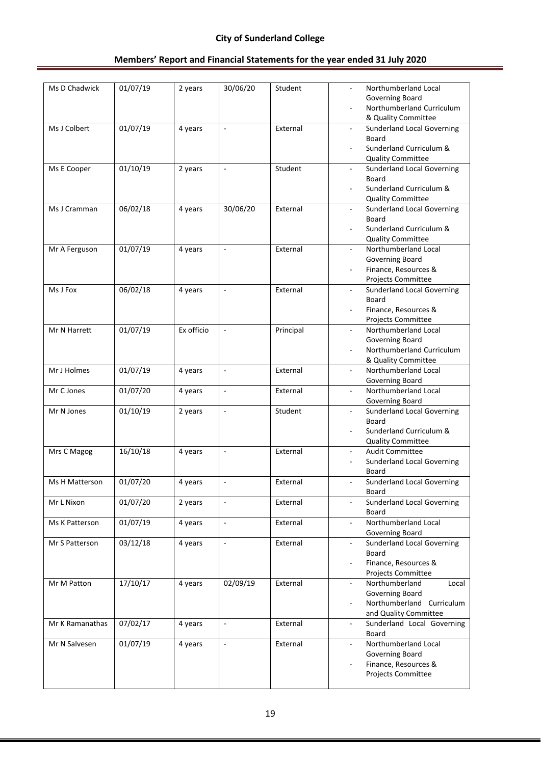| Ms D Chadwick         | 01/07/19 | 2 years    | 30/06/20                 | Student   | Northumberland Local<br>Governing Board<br>Northumberland Curriculum                                                                            |
|-----------------------|----------|------------|--------------------------|-----------|-------------------------------------------------------------------------------------------------------------------------------------------------|
| Ms J Colbert          | 01/07/19 | 4 years    | $\overline{\phantom{a}}$ | External  | & Quality Committee<br><b>Sunderland Local Governing</b><br>$\overline{\phantom{a}}$<br><b>Board</b><br>Sunderland Curriculum &                 |
| Ms E Cooper           | 01/10/19 | 2 years    | $\overline{\phantom{a}}$ | Student   | <b>Quality Committee</b><br><b>Sunderland Local Governing</b><br>$\blacksquare$<br>Board<br>Sunderland Curriculum &<br><b>Quality Committee</b> |
| Ms J Cramman          | 06/02/18 | 4 years    | 30/06/20                 | External  | <b>Sunderland Local Governing</b><br>$\blacksquare$<br>Board<br>Sunderland Curriculum &<br><b>Quality Committee</b>                             |
| Mr A Ferguson         | 01/07/19 | 4 years    | $\overline{\phantom{a}}$ | External  | Northumberland Local<br>$\overline{\phantom{a}}$<br>Governing Board<br>Finance, Resources &<br>Projects Committee                               |
| Ms J Fox              | 06/02/18 | 4 years    | ÷,                       | External  | <b>Sunderland Local Governing</b><br>Board<br>Finance, Resources &<br>Projects Committee                                                        |
| Mr N Harrett          | 01/07/19 | Ex officio | $\overline{\phantom{a}}$ | Principal | Northumberland Local<br>$\overline{\phantom{a}}$<br>Governing Board<br>Northumberland Curriculum<br>& Quality Committee                         |
| Mr J Holmes           | 01/07/19 | 4 years    | $\Box$                   | External  | Northumberland Local<br>ä,<br>Governing Board                                                                                                   |
| Mr C Jones            | 01/07/20 | 4 years    | $\blacksquare$           | External  | Northumberland Local<br>$\overline{\phantom{a}}$<br>Governing Board                                                                             |
| Mr N Jones            | 01/10/19 | 2 years    | $\overline{\phantom{a}}$ | Student   | <b>Sunderland Local Governing</b><br>$\overline{\phantom{a}}$<br>Board<br>Sunderland Curriculum &<br><b>Quality Committee</b>                   |
| Mrs C Magog           | 16/10/18 | 4 years    | $\overline{\phantom{a}}$ | External  | <b>Audit Committee</b><br>$\overline{\phantom{a}}$<br><b>Sunderland Local Governing</b><br>Board                                                |
| <b>Ms H Matterson</b> | 01/07/20 | 4 years    | ÷,                       | External  | <b>Sunderland Local Governing</b><br>Board                                                                                                      |
| Mr L Nixon            | 01/07/20 | 2 years    | $\sim$                   | External  | <b>Sunderland Local Governing</b><br>Board                                                                                                      |
| Ms K Patterson        | 01/07/19 | 4 years    | $\Box$                   | External  | Northumberland Local<br>$\overline{\phantom{a}}$<br>Governing Board                                                                             |
| Mr S Patterson        | 03/12/18 | 4 years    | $\bar{\phantom{a}}$      | External  | <b>Sunderland Local Governing</b><br>$\overline{\phantom{a}}$<br>Board<br>Finance, Resources &<br>Projects Committee                            |
| Mr M Patton           | 17/10/17 | 4 years    | 02/09/19                 | External  | Northumberland<br>Local<br>$\overline{\phantom{a}}$<br>Governing Board<br>Northumberland Curriculum<br>and Quality Committee                    |
| Mr K Ramanathas       | 07/02/17 | 4 years    | $\blacksquare$           | External  | Sunderland Local Governing<br>$\overline{\phantom{a}}$<br>Board                                                                                 |
| Mr N Salvesen         | 01/07/19 | 4 years    |                          | External  | Northumberland Local<br>Governing Board<br>Finance, Resources &<br>Projects Committee                                                           |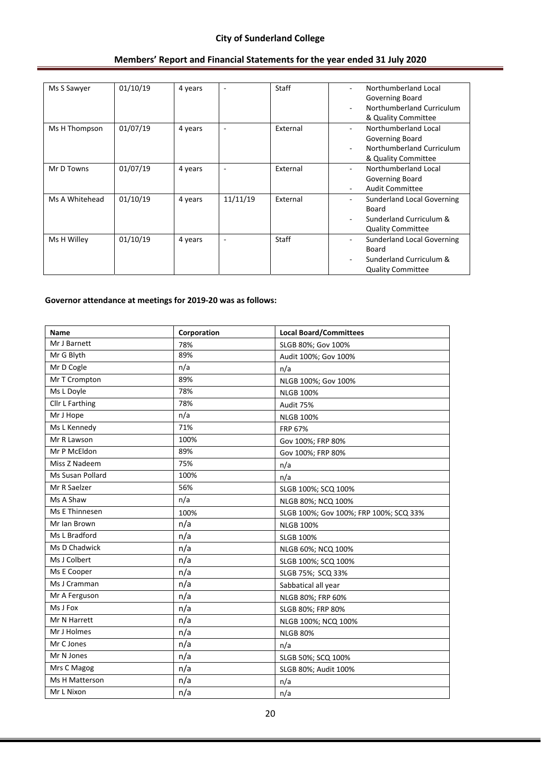| Ms S Sawyer    | 01/10/19 | 4 years |                          | <b>Staff</b> | Northumberland Local<br>Governing Board<br>Northumberland Curriculum<br>$\overline{\phantom{a}}$<br>& Quality Committee       |
|----------------|----------|---------|--------------------------|--------------|-------------------------------------------------------------------------------------------------------------------------------|
| Ms H Thompson  | 01/07/19 | 4 years |                          | External     | Northumberland Local<br>$\overline{\phantom{0}}$<br>Governing Board<br>Northumberland Curriculum<br>& Quality Committee       |
| Mr D Towns     | 01/07/19 | 4 years | $\overline{\phantom{a}}$ | External     | Northumberland Local<br>$\overline{\phantom{a}}$<br>Governing Board<br>Audit Committee<br>$\overline{\phantom{a}}$            |
| Ms A Whitehead | 01/10/19 | 4 years | 11/11/19                 | External     | <b>Sunderland Local Governing</b><br>٠<br>Board<br>Sunderland Curriculum &<br><b>Quality Committee</b>                        |
| Ms H Willey    | 01/10/19 | 4 years | ٠                        | <b>Staff</b> | <b>Sunderland Local Governing</b><br>$\overline{\phantom{0}}$<br>Board<br>Sunderland Curriculum &<br><b>Quality Committee</b> |

# **Governor attendance at meetings for 2019‐20 was as follows:**

| Name             | Corporation | <b>Local Board/Committees</b>          |
|------------------|-------------|----------------------------------------|
| Mr J Barnett     | 78%         | SLGB 80%; Gov 100%                     |
| Mr G Blyth       | 89%         | Audit 100%; Gov 100%                   |
| Mr D Cogle       | n/a         | n/a                                    |
| Mr T Crompton    | 89%         | NLGB 100%; Gov 100%                    |
| Ms L Doyle       | 78%         | <b>NLGB 100%</b>                       |
| Cllr L Farthing  | 78%         | Audit 75%                              |
| Mr J Hope        | n/a         | <b>NLGB 100%</b>                       |
| Ms L Kennedy     | 71%         | <b>FRP 67%</b>                         |
| Mr R Lawson      | 100%        | Gov 100%; FRP 80%                      |
| Mr P McEldon     | 89%         | Gov 100%; FRP 80%                      |
| Miss Z Nadeem    | 75%         | n/a                                    |
| Ms Susan Pollard | 100%        | n/a                                    |
| Mr R Saelzer     | 56%         | SLGB 100%; SCQ 100%                    |
| Ms A Shaw        | n/a         | NLGB 80%; NCQ 100%                     |
| Ms E Thinnesen   | 100%        | SLGB 100%; Gov 100%; FRP 100%; SCQ 33% |
| Mr Ian Brown     | n/a         | <b>NLGB 100%</b>                       |
| Ms L Bradford    | n/a         | <b>SLGB 100%</b>                       |
| Ms D Chadwick    | n/a         | NLGB 60%; NCQ 100%                     |
| Ms J Colbert     | n/a         | SLGB 100%; SCQ 100%                    |
| Ms E Cooper      | n/a         | SLGB 75%; SCQ 33%                      |
| Ms J Cramman     | n/a         | Sabbatical all year                    |
| Mr A Ferguson    | n/a         | NLGB 80%; FRP 60%                      |
| Ms J Fox         | n/a         | SLGB 80%; FRP 80%                      |
| Mr N Harrett     | n/a         | NLGB 100%; NCQ 100%                    |
| Mr J Holmes      | n/a         | <b>NLGB 80%</b>                        |
| Mr C Jones       | n/a         | n/a                                    |
| Mr N Jones       | n/a         | SLGB 50%; SCQ 100%                     |
| Mrs C Magog      | n/a         | SLGB 80%; Audit 100%                   |
| Ms H Matterson   | n/a         | n/a                                    |
| Mr L Nixon       | n/a         | n/a                                    |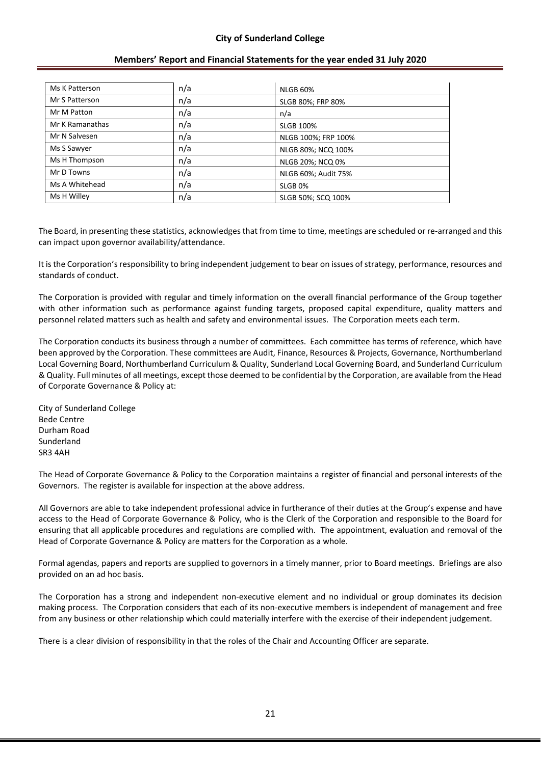| Ms K Patterson  | n/a | <b>NLGB 60%</b>         |
|-----------------|-----|-------------------------|
| Mr S Patterson  | n/a | SLGB 80%; FRP 80%       |
| Mr M Patton     | n/a | n/a                     |
| Mr K Ramanathas | n/a | <b>SLGB 100%</b>        |
| Mr N Salvesen   | n/a | NLGB 100%; FRP 100%     |
| Ms S Sawyer     | n/a | NLGB 80%; NCQ 100%      |
| Ms H Thompson   | n/a | <b>NLGB 20%; NCQ 0%</b> |
| Mr D Towns      | n/a | NLGB 60%; Audit 75%     |
| Ms A Whitehead  | n/a | SLGB <sub>0%</sub>      |
| Ms H Willey     | n/a | SLGB 50%; SCQ 100%      |

The Board, in presenting these statistics, acknowledges that from time to time, meetings are scheduled or re-arranged and this can impact upon governor availability/attendance.

It is the Corporation's responsibility to bring independent judgement to bear on issues of strategy, performance, resources and standards of conduct.

The Corporation is provided with regular and timely information on the overall financial performance of the Group together with other information such as performance against funding targets, proposed capital expenditure, quality matters and personnel related matters such as health and safety and environmental issues. The Corporation meets each term.

The Corporation conducts its business through a number of committees. Each committee has terms of reference, which have been approved by the Corporation. These committees are Audit, Finance, Resources & Projects, Governance, Northumberland Local Governing Board, Northumberland Curriculum & Quality, Sunderland Local Governing Board, and Sunderland Curriculum & Quality. Full minutes of all meetings, except those deemed to be confidential by the Corporation, are available from the Head of Corporate Governance & Policy at:

City of Sunderland College Bede Centre Durham Road Sunderland SR3 4AH

The Head of Corporate Governance & Policy to the Corporation maintains a register of financial and personal interests of the Governors. The register is available for inspection at the above address.

All Governors are able to take independent professional advice in furtherance of their duties at the Group's expense and have access to the Head of Corporate Governance & Policy, who is the Clerk of the Corporation and responsible to the Board for ensuring that all applicable procedures and regulations are complied with. The appointment, evaluation and removal of the Head of Corporate Governance & Policy are matters for the Corporation as a whole.

Formal agendas, papers and reports are supplied to governors in a timely manner, prior to Board meetings. Briefings are also provided on an ad hoc basis.

The Corporation has a strong and independent non‐executive element and no individual or group dominates its decision making process. The Corporation considers that each of its non‐executive members is independent of management and free from any business or other relationship which could materially interfere with the exercise of their independent judgement.

There is a clear division of responsibility in that the roles of the Chair and Accounting Officer are separate.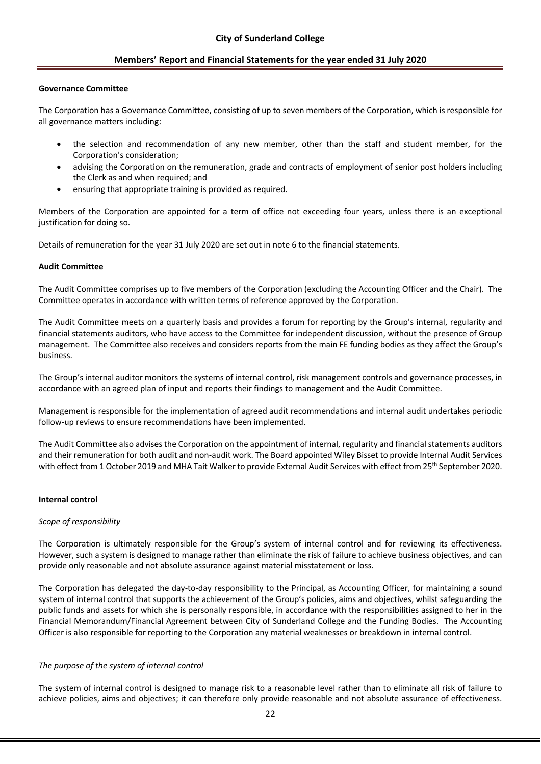#### **Governance Committee**

The Corporation has a Governance Committee, consisting of up to seven members of the Corporation, which is responsible for all governance matters including:

- the selection and recommendation of any new member, other than the staff and student member, for the Corporation's consideration;
- advising the Corporation on the remuneration, grade and contracts of employment of senior post holders including the Clerk as and when required; and
- ensuring that appropriate training is provided as required.

Members of the Corporation are appointed for a term of office not exceeding four years, unless there is an exceptional justification for doing so.

Details of remuneration for the year 31 July 2020 are set out in note 6 to the financial statements.

#### **Audit Committee**

The Audit Committee comprises up to five members of the Corporation (excluding the Accounting Officer and the Chair). The Committee operates in accordance with written terms of reference approved by the Corporation.

The Audit Committee meets on a quarterly basis and provides a forum for reporting by the Group's internal, regularity and financial statements auditors, who have access to the Committee for independent discussion, without the presence of Group management. The Committee also receives and considers reports from the main FE funding bodies as they affect the Group's business.

The Group's internal auditor monitors the systems of internal control, risk management controls and governance processes, in accordance with an agreed plan of input and reports their findings to management and the Audit Committee.

Management is responsible for the implementation of agreed audit recommendations and internal audit undertakes periodic follow-up reviews to ensure recommendations have been implemented.

The Audit Committee also advises the Corporation on the appointment of internal, regularity and financial statements auditors and their remuneration for both audit and non‐audit work. The Board appointed Wiley Bisset to provide Internal Audit Services with effect from 1 October 2019 and MHA Tait Walker to provide External Audit Services with effect from 25<sup>th</sup> September 2020.

#### **Internal control**

#### *Scope of responsibility*

The Corporation is ultimately responsible for the Group's system of internal control and for reviewing its effectiveness. However, such a system is designed to manage rather than eliminate the risk of failure to achieve business objectives, and can provide only reasonable and not absolute assurance against material misstatement or loss.

The Corporation has delegated the day-to-day responsibility to the Principal, as Accounting Officer, for maintaining a sound system of internal control that supports the achievement of the Group's policies, aims and objectives, whilst safeguarding the public funds and assets for which she is personally responsible, in accordance with the responsibilities assigned to her in the Financial Memorandum/Financial Agreement between City of Sunderland College and the Funding Bodies. The Accounting Officer is also responsible for reporting to the Corporation any material weaknesses or breakdown in internal control.

#### *The purpose of the system of internal control*

The system of internal control is designed to manage risk to a reasonable level rather than to eliminate all risk of failure to achieve policies, aims and objectives; it can therefore only provide reasonable and not absolute assurance of effectiveness.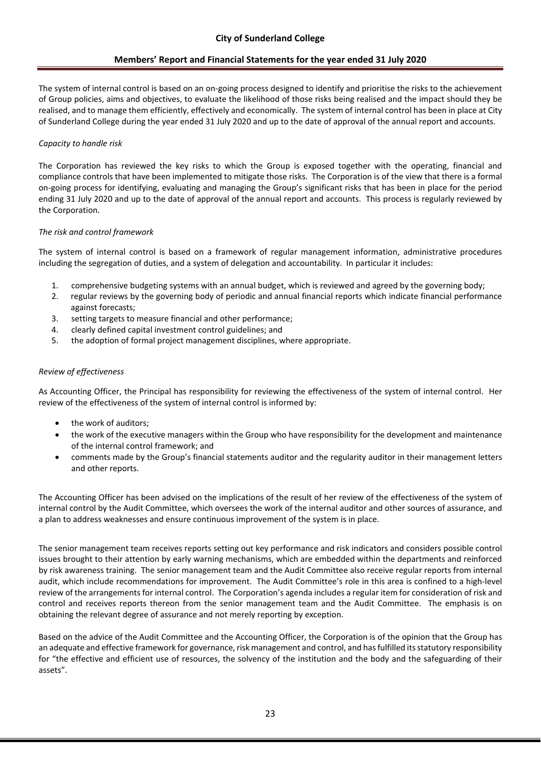The system of internal control is based on an on-going process designed to identify and prioritise the risks to the achievement of Group policies, aims and objectives, to evaluate the likelihood of those risks being realised and the impact should they be realised, and to manage them efficiently, effectively and economically. The system of internal control has been in place at City of Sunderland College during the year ended 31 July 2020 and up to the date of approval of the annual report and accounts.

### *Capacity to handle risk*

The Corporation has reviewed the key risks to which the Group is exposed together with the operating, financial and compliance controls that have been implemented to mitigate those risks. The Corporation is of the view that there is a formal on‐going process for identifying, evaluating and managing the Group's significant risks that has been in place for the period ending 31 July 2020 and up to the date of approval of the annual report and accounts. This process is regularly reviewed by the Corporation.

### *The risk and control framework*

The system of internal control is based on a framework of regular management information, administrative procedures including the segregation of duties, and a system of delegation and accountability. In particular it includes:

- 1. comprehensive budgeting systems with an annual budget, which is reviewed and agreed by the governing body;
- 2. regular reviews by the governing body of periodic and annual financial reports which indicate financial performance against forecasts;
- 3. setting targets to measure financial and other performance;
- 4. clearly defined capital investment control guidelines; and
- 5. the adoption of formal project management disciplines, where appropriate.

### *Review of effectiveness*

As Accounting Officer, the Principal has responsibility for reviewing the effectiveness of the system of internal control. Her review of the effectiveness of the system of internal control is informed by:

- the work of auditors;
- the work of the executive managers within the Group who have responsibility for the development and maintenance of the internal control framework; and
- comments made by the Group's financial statements auditor and the regularity auditor in their management letters and other reports.

The Accounting Officer has been advised on the implications of the result of her review of the effectiveness of the system of internal control by the Audit Committee, which oversees the work of the internal auditor and other sources of assurance, and a plan to address weaknesses and ensure continuous improvement of the system is in place.

The senior management team receives reports setting out key performance and risk indicators and considers possible control issues brought to their attention by early warning mechanisms, which are embedded within the departments and reinforced by risk awareness training. The senior management team and the Audit Committee also receive regular reports from internal audit, which include recommendations for improvement. The Audit Committee's role in this area is confined to a high‐level review of the arrangementsfor internal control. The Corporation's agenda includes a regular item for consideration of risk and control and receives reports thereon from the senior management team and the Audit Committee. The emphasis is on obtaining the relevant degree of assurance and not merely reporting by exception.

Based on the advice of the Audit Committee and the Accounting Officer, the Corporation is of the opinion that the Group has an adequate and effective framework for governance, risk management and control, and has fulfilled its statutory responsibility for "the effective and efficient use of resources, the solvency of the institution and the body and the safeguarding of their assets".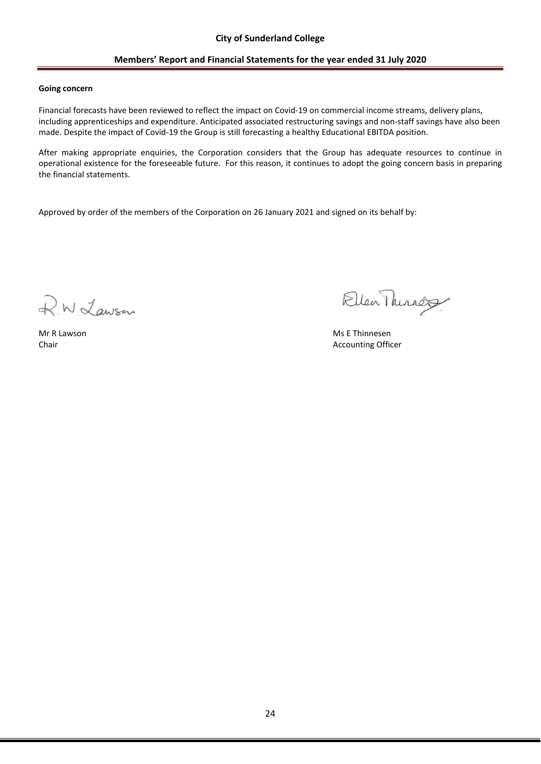#### **Going concern**

Financial forecasts have been reviewed to reflect the impact on Covid‐19 on commercial income streams, delivery plans, including apprenticeships and expenditure. Anticipated associated restructuring savings and non-staff savings have also been made. Despite the impact of Covid‐19 the Group is still forecasting a healthy Educational EBITDA position.

After making appropriate enquiries, the Corporation considers that the Group has adequate resources to continue in operational existence for the foreseeable future. For this reason, it continues to adopt the going concern basis in preparing the financial statements.

R.W. Lawson

Ellen Thirady

Mr R Lawson Ms E Thinnesen Chair **Chair 2008** Chair  **2008** Chair **2008** Chair **2008** 2009 2012 2013 2014 2015 2016 2017 2018 2019 2017 2018 2019 2017 2018 2019 2017 2018 2019 2019 2017 2018 2019 2019 2017 2018 2019 2017 2018 2019 2019 2017 2018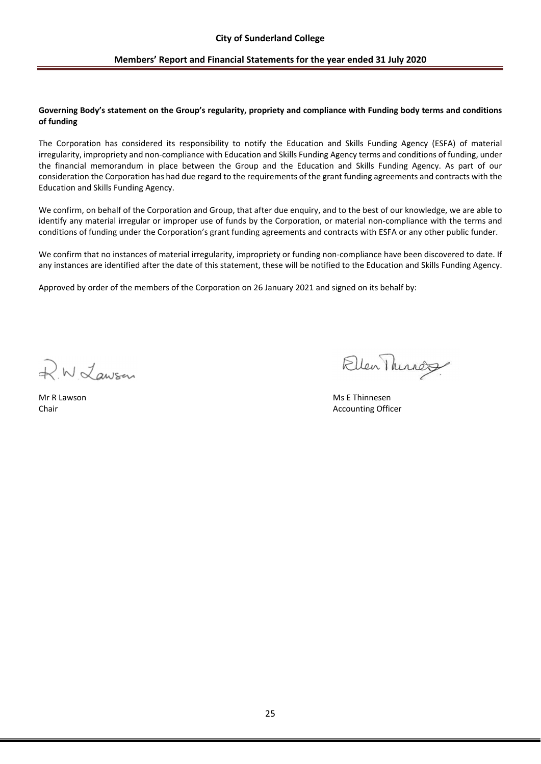#### Governing Body's statement on the Group's regularity, propriety and compliance with Funding body terms and conditions **of funding**

The Corporation has considered its responsibility to notify the Education and Skills Funding Agency (ESFA) of material irregularity, impropriety and non‐compliance with Education and Skills Funding Agency terms and conditions of funding, under the financial memorandum in place between the Group and the Education and Skills Funding Agency. As part of our consideration the Corporation has had due regard to the requirements of the grant funding agreements and contracts with the Education and Skills Funding Agency.

We confirm, on behalf of the Corporation and Group, that after due enquiry, and to the best of our knowledge, we are able to identify any material irregular or improper use of funds by the Corporation, or material non‐compliance with the terms and conditions of funding under the Corporation's grant funding agreements and contracts with ESFA or any other public funder.

We confirm that no instances of material irregularity, impropriety or funding non-compliance have been discovered to date. If any instances are identified after the date of this statement, these will be notified to the Education and Skills Funding Agency.

R.W. Lawson

Ellen Thirady

Mr R Lawson Ms E Thinnesen Chair Accounting Officer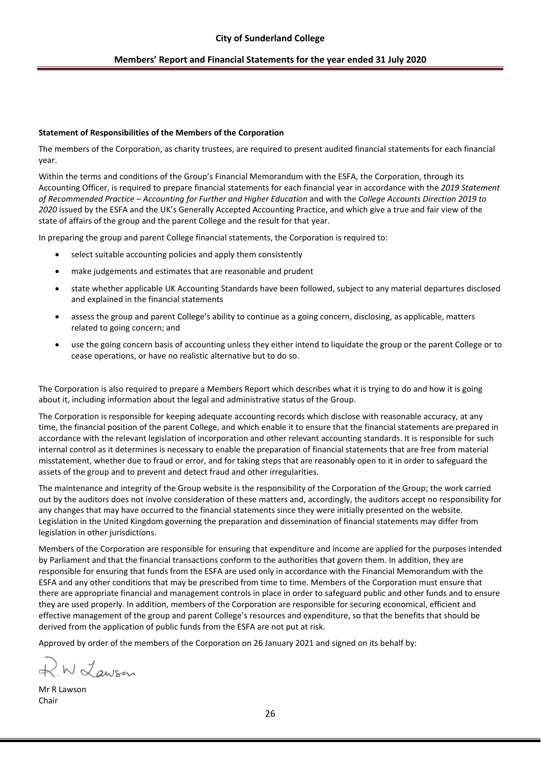#### **Statement of Responsibilities of the Members of the Corporation**

The members of the Corporation, as charity trustees, are required to present audited financial statements for each financial year.

Within the terms and conditions of the Group's Financial Memorandum with the ESFA, the Corporation, through its Accounting Officer, is required to prepare financial statements for each financial year in accordance with the *2019 Statement of Recommended Practice – Accounting for Further and Higher Education* and with the *College Accounts Direction 2019 to 2020* issued by the ESFA and the UK's Generally Accepted Accounting Practice, and which give a true and fair view of the state of affairs of the group and the parent College and the result for that year.

In preparing the group and parent College financial statements, the Corporation is required to:

- select suitable accounting policies and apply them consistently
- make judgements and estimates that are reasonable and prudent
- state whether applicable UK Accounting Standards have been followed, subject to any material departures disclosed and explained in the financial statements
- assess the group and parent College's ability to continue as a going concern, disclosing, as applicable, matters related to going concern; and
- use the going concern basis of accounting unless they either intend to liquidate the group or the parent College or to cease operations, or have no realistic alternative but to do so.

The Corporation is also required to prepare a Members Report which describes what it is trying to do and how it is going about it, including information about the legal and administrative status of the Group.

The Corporation is responsible for keeping adequate accounting records which disclose with reasonable accuracy, at any time, the financial position of the parent College, and which enable it to ensure that the financial statements are prepared in accordance with the relevant legislation of incorporation and other relevant accounting standards. It is responsible for such internal control as it determines is necessary to enable the preparation of financial statements that are free from material misstatement, whether due to fraud or error, and for taking steps that are reasonably open to it in order to safeguard the assets of the group and to prevent and detect fraud and other irregularities.

The maintenance and integrity of the Group website is the responsibility of the Corporation of the Group; the work carried out by the auditors does not involve consideration of these matters and, accordingly, the auditors accept no responsibility for any changes that may have occurred to the financial statements since they were initially presented on the website. Legislation in the United Kingdom governing the preparation and dissemination of financial statements may differ from legislation in other jurisdictions.

Members of the Corporation are responsible for ensuring that expenditure and income are applied for the purposes intended by Parliament and that the financial transactions conform to the authorities that govern them. In addition, they are responsible for ensuring that funds from the ESFA are used only in accordance with the Financial Memorandum with the ESFA and any other conditions that may be prescribed from time to time. Members of the Corporation must ensure that there are appropriate financial and management controls in place in order to safeguard public and other funds and to ensure they are used properly. In addition, members of the Corporation are responsible for securing economical, efficient and effective management of the group and parent College's resources and expenditure, so that the benefits that should be derived from the application of public funds from the ESFA are not put at risk.

W Lawson

Mr R Lawson Chair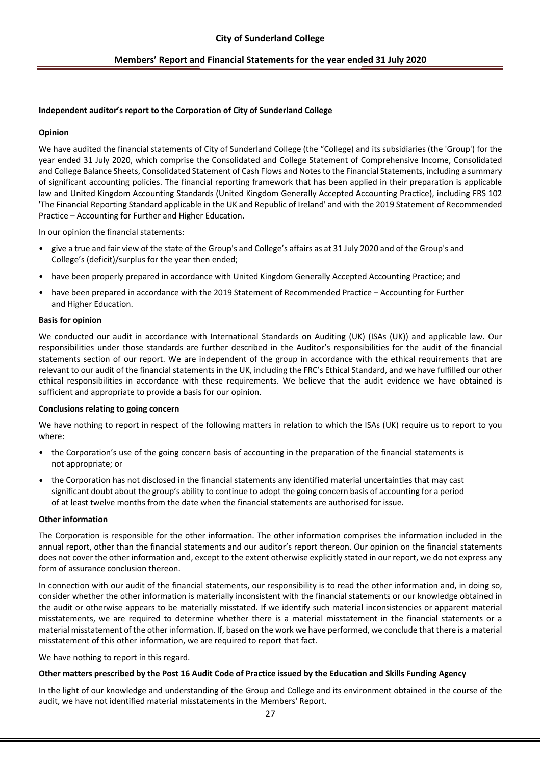#### **Independent auditor's report to the Corporation of City of Sunderland College**

#### **Opinion**

We have audited the financial statements of City of Sunderland College (the "College) and its subsidiaries (the 'Group') for the year ended 31 July 2020, which comprise the Consolidated and College Statement of Comprehensive Income, Consolidated and College Balance Sheets, Consolidated Statement of Cash Flows and Notesto the Financial Statements, including a summary of significant accounting policies. The financial reporting framework that has been applied in their preparation is applicable law and United Kingdom Accounting Standards (United Kingdom Generally Accepted Accounting Practice), including FRS 102 'The Financial Reporting Standard applicable in the UK and Republic of Ireland' and with the 2019 Statement of Recommended Practice – Accounting for Further and Higher Education.

In our opinion the financial statements:

- give a true and fair view of the state of the Group's and College's affairs as at 31 July 2020 and of the Group's and College's (deficit)/surplus for the year then ended;
- have been properly prepared in accordance with United Kingdom Generally Accepted Accounting Practice; and
- have been prepared in accordance with the 2019 Statement of Recommended Practice Accounting for Further and Higher Education.

#### **Basis for opinion**

We conducted our audit in accordance with International Standards on Auditing (UK) (ISAs (UK)) and applicable law. Our responsibilities under those standards are further described in the Auditor's responsibilities for the audit of the financial statements section of our report. We are independent of the group in accordance with the ethical requirements that are relevant to our audit of the financial statements in the UK, including the FRC's Ethical Standard, and we have fulfilled our other ethical responsibilities in accordance with these requirements. We believe that the audit evidence we have obtained is sufficient and appropriate to provide a basis for our opinion.

#### **Conclusions relating to going concern**

We have nothing to report in respect of the following matters in relation to which the ISAs (UK) require us to report to you where:

- the Corporation's use of the going concern basis of accounting in the preparation of the financial statements is not appropriate; or
- the Corporation has not disclosed in the financial statements any identified material uncertainties that may cast significant doubt about the group's ability to continue to adopt the going concern basis of accounting for a period of at least twelve months from the date when the financial statements are authorised for issue.

#### **Other information**

The Corporation is responsible for the other information. The other information comprises the information included in the annual report, other than the financial statements and our auditor's report thereon. Our opinion on the financial statements does not cover the other information and, except to the extent otherwise explicitly stated in our report, we do not express any form of assurance conclusion thereon.

In connection with our audit of the financial statements, our responsibility is to read the other information and, in doing so, consider whether the other information is materially inconsistent with the financial statements or our knowledge obtained in the audit or otherwise appears to be materially misstated. If we identify such material inconsistencies or apparent material misstatements, we are required to determine whether there is a material misstatement in the financial statements or a material misstatement of the other information. If, based on the work we have performed, we conclude that there is a material misstatement of this other information, we are required to report that fact.

We have nothing to report in this regard.

#### Other matters prescribed by the Post 16 Audit Code of Practice issued by the Education and Skills Funding Agency

In the light of our knowledge and understanding of the Group and College and its environment obtained in the course of the audit, we have not identified material misstatements in the Members' Report.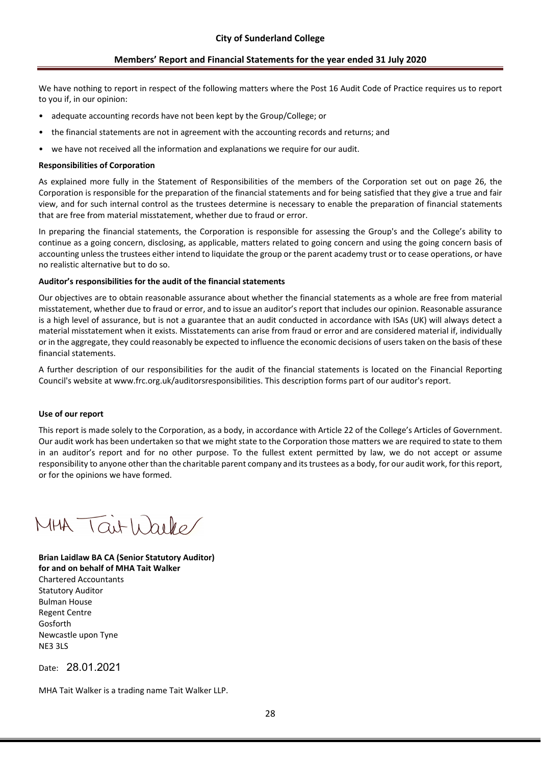We have nothing to report in respect of the following matters where the Post 16 Audit Code of Practice requires us to report to you if, in our opinion:

- adequate accounting records have not been kept by the Group/College; or
- the financial statements are not in agreement with the accounting records and returns; and
- we have not received all the information and explanations we require for our audit.

#### **Responsibilities of Corporation**

As explained more fully in the Statement of Responsibilities of the members of the Corporation set out on page 26, the Corporation is responsible for the preparation of the financial statements and for being satisfied that they give a true and fair view, and for such internal control as the trustees determine is necessary to enable the preparation of financial statements that are free from material misstatement, whether due to fraud or error.

In preparing the financial statements, the Corporation is responsible for assessing the Group's and the College's ability to continue as a going concern, disclosing, as applicable, matters related to going concern and using the going concern basis of accounting unless the trustees either intend to liquidate the group or the parent academy trust or to cease operations, or have no realistic alternative but to do so.

#### **Auditor's responsibilities for the audit of the financial statements**

Our objectives are to obtain reasonable assurance about whether the financial statements as a whole are free from material misstatement, whether due to fraud or error, and to issue an auditor's report that includes our opinion. Reasonable assurance is a high level of assurance, but is not a guarantee that an audit conducted in accordance with ISAs (UK) will always detect a material misstatement when it exists. Misstatements can arise from fraud or error and are considered material if, individually or in the aggregate, they could reasonably be expected to influence the economic decisions of userstaken on the basis of these financial statements.

A further description of our responsibilities for the audit of the financial statements is located on the Financial Reporting Council's website at www.frc.org.uk/auditorsresponsibilities. This description forms part of our auditor's report.

#### **Use of our report**

This report is made solely to the Corporation, as a body, in accordance with Article 22 of the College's Articles of Government. Our audit work has been undertaken so that we might state to the Corporation those matters we are required to state to them in an auditor's report and for no other purpose. To the fullest extent permitted by law, we do not accept or assume responsibility to anyone other than the charitable parent company and itstrustees as a body, for our audit work, for thisreport, or for the opinions we have formed.

MHA Taithlarbor

**Brian Laidlaw BA CA (Senior Statutory Auditor) for and on behalf of MHA Tait Walker**  Chartered Accountants Statutory Auditor Bulman House Regent Centre Gosforth Newcastle upon Tyne NE3 3LS

Date: 28.01.2021

MHA Tait Walker is a trading name Tait Walker LLP.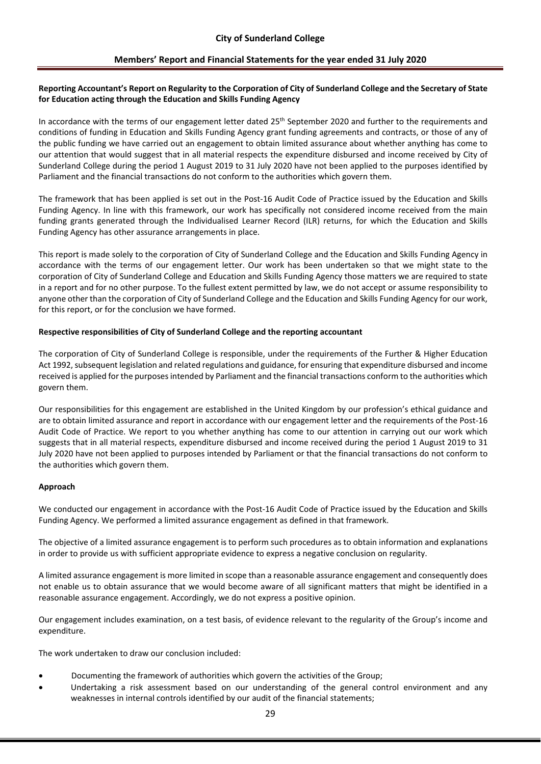#### Reporting Accountant's Report on Regularity to the Corporation of City of Sunderland College and the Secretary of State **for Education acting through the Education and Skills Funding Agency**

In accordance with the terms of our engagement letter dated  $25<sup>th</sup>$  September 2020 and further to the requirements and conditions of funding in Education and Skills Funding Agency grant funding agreements and contracts, or those of any of the public funding we have carried out an engagement to obtain limited assurance about whether anything has come to our attention that would suggest that in all material respects the expenditure disbursed and income received by City of Sunderland College during the period 1 August 2019 to 31 July 2020 have not been applied to the purposes identified by Parliament and the financial transactions do not conform to the authorities which govern them.

The framework that has been applied is set out in the Post‐16 Audit Code of Practice issued by the Education and Skills Funding Agency. In line with this framework, our work has specifically not considered income received from the main funding grants generated through the Individualised Learner Record (ILR) returns, for which the Education and Skills Funding Agency has other assurance arrangements in place.

This report is made solely to the corporation of City of Sunderland College and the Education and Skills Funding Agency in accordance with the terms of our engagement letter. Our work has been undertaken so that we might state to the corporation of City of Sunderland College and Education and Skills Funding Agency those matters we are required to state in a report and for no other purpose. To the fullest extent permitted by law, we do not accept or assume responsibility to anyone other than the corporation of City of Sunderland College and the Education and Skills Funding Agency for our work, for this report, or for the conclusion we have formed.

#### **Respective responsibilities of City of Sunderland College and the reporting accountant**

The corporation of City of Sunderland College is responsible, under the requirements of the Further & Higher Education Act 1992, subsequent legislation and related regulations and guidance, for ensuring that expenditure disbursed and income received is applied for the purposesintended by Parliament and the financial transactions conform to the authorities which govern them.

Our responsibilities for this engagement are established in the United Kingdom by our profession's ethical guidance and are to obtain limited assurance and report in accordance with our engagement letter and the requirements of the Post-16 Audit Code of Practice. We report to you whether anything has come to our attention in carrying out our work which suggests that in all material respects, expenditure disbursed and income received during the period 1 August 2019 to 31 July 2020 have not been applied to purposes intended by Parliament or that the financial transactions do not conform to the authorities which govern them.

#### **Approach**

We conducted our engagement in accordance with the Post-16 Audit Code of Practice issued by the Education and Skills Funding Agency. We performed a limited assurance engagement as defined in that framework.

The objective of a limited assurance engagement is to perform such procedures as to obtain information and explanations in order to provide us with sufficient appropriate evidence to express a negative conclusion on regularity.

A limited assurance engagement is more limited in scope than a reasonable assurance engagement and consequently does not enable us to obtain assurance that we would become aware of all significant matters that might be identified in a reasonable assurance engagement. Accordingly, we do not express a positive opinion.

Our engagement includes examination, on a test basis, of evidence relevant to the regularity of the Group's income and expenditure.

The work undertaken to draw our conclusion included:

- Documenting the framework of authorities which govern the activities of the Group;
- Undertaking a risk assessment based on our understanding of the general control environment and any weaknesses in internal controls identified by our audit of the financial statements;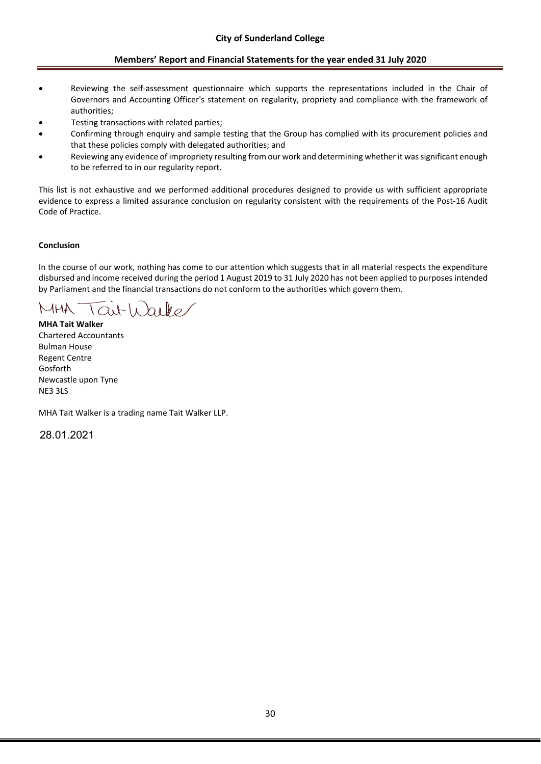- Reviewing the self‐assessment questionnaire which supports the representations included in the Chair of Governors and Accounting Officer's statement on regularity, propriety and compliance with the framework of authorities;
- Testing transactions with related parties;
- Confirming through enquiry and sample testing that the Group has complied with its procurement policies and that these policies comply with delegated authorities; and
- Reviewing any evidence of impropriety resulting from our work and determining whether it wassignificant enough to be referred to in our regularity report.

This list is not exhaustive and we performed additional procedures designed to provide us with sufficient appropriate evidence to express a limited assurance conclusion on regularity consistent with the requirements of the Post‐16 Audit Code of Practice.

### **Conclusion**

In the course of our work, nothing has come to our attention which suggests that in all material respects the expenditure disbursed and income received during the period 1 August 2019 to 31 July 2020 has not been applied to purposes intended by Parliament and the financial transactions do not conform to the authorities which govern them.

 $\lceil$ arti $\ln$  $AHA$ 

**MHA Tait Walker**  Chartered Accountants Bulman House Regent Centre Gosforth Newcastle upon Tyne NE3 3LS

MHA Tait Walker is a trading name Tait Walker LLP.

28.01.2021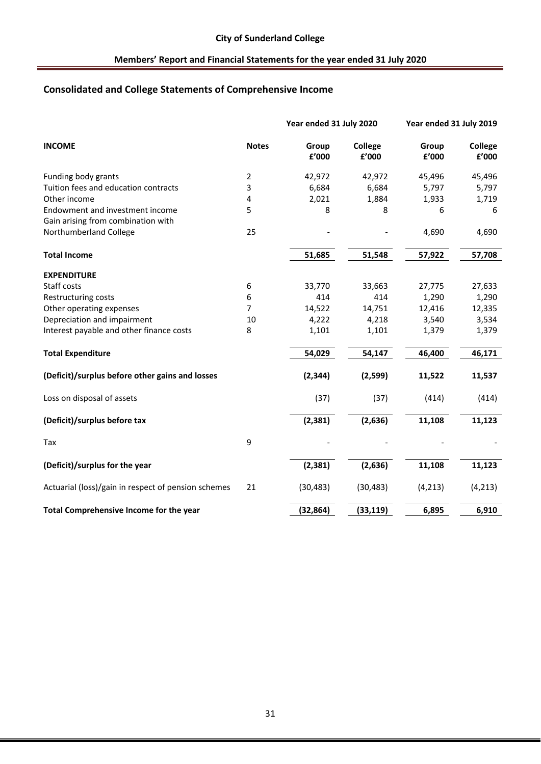# **Consolidated and College Statements of Comprehensive Income**

|                                                                       |              |                | Year ended 31 July 2020 |                | Year ended 31 July 2019 |  |
|-----------------------------------------------------------------------|--------------|----------------|-------------------------|----------------|-------------------------|--|
| <b>INCOME</b>                                                         | <b>Notes</b> | Group<br>£'000 | <b>College</b><br>£'000 | Group<br>£'000 | College<br>£'000        |  |
| Funding body grants                                                   | 2            | 42,972         | 42,972                  | 45,496         | 45,496                  |  |
| Tuition fees and education contracts                                  | 3            | 6,684          | 6,684                   | 5,797          | 5,797                   |  |
| Other income                                                          | 4            | 2,021          | 1,884                   | 1,933          | 1,719                   |  |
| Endowment and investment income<br>Gain arising from combination with | 5            | 8              | 8                       | 6              | 6                       |  |
| Northumberland College                                                | 25           |                |                         | 4,690          | 4,690                   |  |
| <b>Total Income</b>                                                   |              | 51,685         | 51,548                  | 57,922         | 57,708                  |  |
| <b>EXPENDITURE</b>                                                    |              |                |                         |                |                         |  |
| Staff costs                                                           | 6            | 33,770         | 33,663                  | 27,775         | 27,633                  |  |
| Restructuring costs                                                   | 6            | 414            | 414                     | 1,290          | 1,290                   |  |
| Other operating expenses                                              | 7            | 14,522         | 14,751                  | 12,416         | 12,335                  |  |
| Depreciation and impairment                                           | 10           | 4,222          | 4,218                   | 3,540          | 3,534                   |  |
| Interest payable and other finance costs                              | 8            | 1,101          | 1,101                   | 1,379          | 1,379                   |  |
| <b>Total Expenditure</b>                                              |              | 54,029         | 54,147                  | 46,400         | 46,171                  |  |
| (Deficit)/surplus before other gains and losses                       |              | (2, 344)       | (2,599)                 | 11,522         | 11,537                  |  |
| Loss on disposal of assets                                            |              | (37)           | (37)                    | (414)          | (414)                   |  |
| (Deficit)/surplus before tax                                          |              | (2, 381)       | (2,636)                 | 11,108         | 11,123                  |  |
| Tax                                                                   | 9            |                |                         |                |                         |  |
| (Deficit)/surplus for the year                                        |              | (2, 381)       | (2,636)                 | 11,108         | 11,123                  |  |
| Actuarial (loss)/gain in respect of pension schemes                   | 21           | (30, 483)      | (30, 483)               | (4, 213)       | (4, 213)                |  |
| Total Comprehensive Income for the year                               |              | (32, 864)      | (33, 119)               | 6,895          | 6,910                   |  |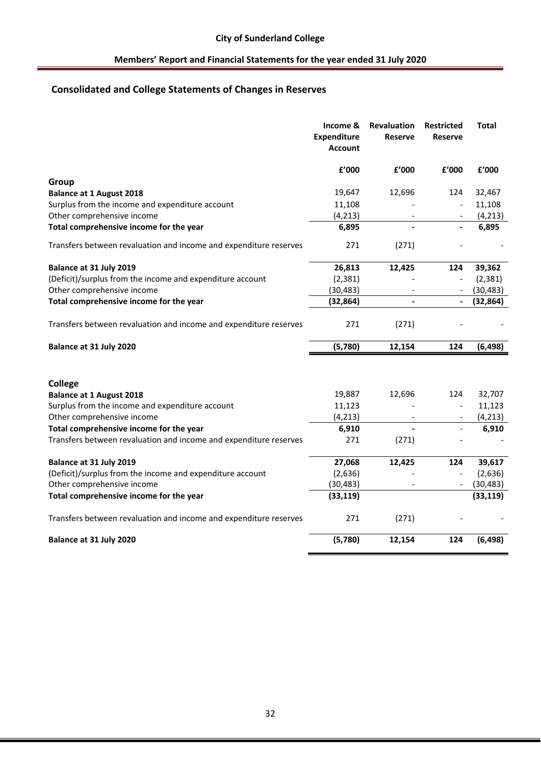# **Consolidated and College Statements of Changes in Reserves**

|                                                                   | Income &<br><b>Expenditure</b><br><b>Account</b> | <b>Revaluation</b><br><b>Reserve</b> | <b>Restricted</b><br><b>Reserve</b> | <b>Total</b> |
|-------------------------------------------------------------------|--------------------------------------------------|--------------------------------------|-------------------------------------|--------------|
|                                                                   | £'000                                            | f'000                                | £'000                               | £'000        |
| Group                                                             |                                                  |                                      |                                     |              |
| <b>Balance at 1 August 2018</b>                                   | 19,647                                           | 12,696                               | 124                                 | 32,467       |
| Surplus from the income and expenditure account                   | 11,108                                           |                                      |                                     | 11,108       |
| Other comprehensive income                                        | (4, 213)                                         | $\sim$                               |                                     | (4, 213)     |
| Total comprehensive income for the year                           | 6,895                                            | $\overline{a}$                       | $\blacksquare$                      | 6,895        |
| Transfers between revaluation and income and expenditure reserves | 271                                              | (271)                                |                                     |              |
| Balance at 31 July 2019                                           | 26,813                                           | 12,425                               | 124                                 | 39,362       |
| (Deficit)/surplus from the income and expenditure account         | (2, 381)                                         |                                      |                                     | (2, 381)     |
| Other comprehensive income                                        | (30, 483)                                        | $\overline{\phantom{a}}$             |                                     | (30, 483)    |
| Total comprehensive income for the year                           | (32, 864)                                        | $\blacksquare$                       | $\blacksquare$                      | (32, 864)    |
| Transfers between revaluation and income and expenditure reserves | 271                                              | (271)                                |                                     |              |
| Balance at 31 July 2020                                           | (5,780)                                          | 12,154                               | 124                                 | (6, 498)     |
|                                                                   |                                                  |                                      |                                     |              |
| <b>College</b>                                                    |                                                  |                                      |                                     |              |
| <b>Balance at 1 August 2018</b>                                   | 19,887                                           | 12,696                               | 124                                 | 32,707       |
| Surplus from the income and expenditure account                   | 11,123                                           |                                      | $\overline{\phantom{a}}$            | 11,123       |
| Other comprehensive income                                        | (4, 213)                                         |                                      | $\overline{\phantom{a}}$            | (4, 213)     |
| Total comprehensive income for the year                           | 6,910                                            |                                      | $\overline{\phantom{0}}$            | 6,910        |
| Transfers between revaluation and income and expenditure reserves | 271                                              | (271)                                |                                     |              |
| Balance at 31 July 2019                                           | 27,068                                           | 12,425                               | 124                                 | 39,617       |
| (Deficit)/surplus from the income and expenditure account         | (2,636)                                          |                                      |                                     | (2,636)      |
| Other comprehensive income                                        | (30, 483)                                        |                                      |                                     | (30, 483)    |
| Total comprehensive income for the year                           | (33, 119)                                        |                                      |                                     | (33, 119)    |
| Transfers between revaluation and income and expenditure reserves | 271                                              | (271)                                |                                     |              |
| Balance at 31 July 2020                                           | (5,780)                                          | 12,154                               | 124                                 | (6, 498)     |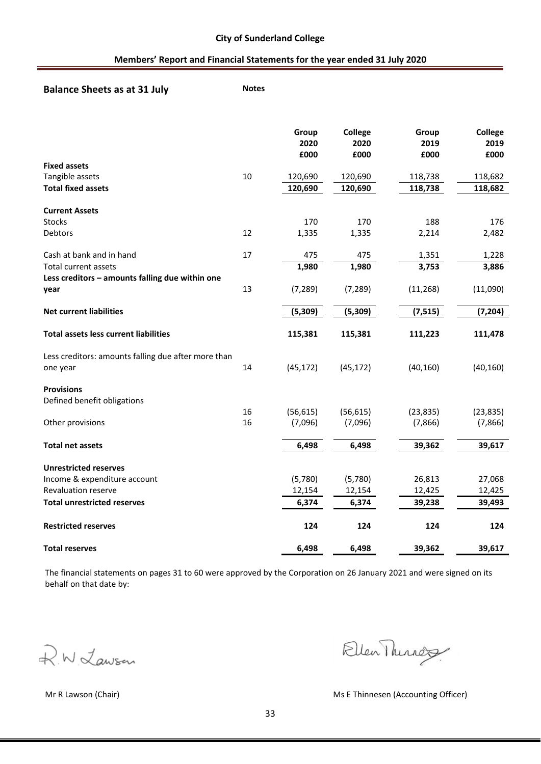**Balance Sheets as at 31 July Notes** 

|                                                                 |    | Group<br>2020<br>£000 | College<br>2020<br>£000 | Group<br>2019<br>£000 | College<br>2019<br>£000 |
|-----------------------------------------------------------------|----|-----------------------|-------------------------|-----------------------|-------------------------|
| <b>Fixed assets</b>                                             |    |                       |                         |                       |                         |
| Tangible assets                                                 | 10 | 120,690               | 120,690                 | 118,738               | 118,682                 |
| <b>Total fixed assets</b>                                       |    | 120,690               | 120,690                 | 118,738               | 118,682                 |
| <b>Current Assets</b>                                           |    |                       |                         |                       |                         |
| <b>Stocks</b>                                                   |    | 170                   | 170                     | 188                   | 176                     |
| Debtors                                                         | 12 | 1,335                 | 1,335                   | 2,214                 | 2,482                   |
| Cash at bank and in hand                                        | 17 | 475                   | 475                     | 1,351                 | 1,228                   |
| <b>Total current assets</b>                                     |    | 1,980                 | 1,980                   | 3,753                 | 3,886                   |
| Less creditors - amounts falling due within one                 |    |                       |                         |                       |                         |
| year                                                            | 13 | (7, 289)              | (7, 289)                | (11, 268)             | (11,090)                |
| <b>Net current liabilities</b>                                  |    | (5, 309)              | (5,309)                 | (7, 515)              | (7, 204)                |
| <b>Total assets less current liabilities</b>                    |    | 115,381               | 115,381                 | 111,223               | 111,478                 |
| Less creditors: amounts falling due after more than<br>one year | 14 | (45, 172)             | (45, 172)               | (40, 160)             | (40, 160)               |
| <b>Provisions</b>                                               |    |                       |                         |                       |                         |
| Defined benefit obligations                                     |    |                       |                         |                       |                         |
|                                                                 | 16 | (56, 615)             | (56, 615)               | (23, 835)             | (23, 835)               |
| Other provisions                                                | 16 | (7,096)               | (7,096)                 | (7,866)               | (7,866)                 |
| <b>Total net assets</b>                                         |    | 6,498                 | 6,498                   | 39,362                | 39,617                  |
| <b>Unrestricted reserves</b>                                    |    |                       |                         |                       |                         |
| Income & expenditure account                                    |    | (5,780)               | (5,780)                 | 26,813                | 27,068                  |
| <b>Revaluation reserve</b>                                      |    | 12,154                | 12,154                  | 12,425                | 12,425                  |
| <b>Total unrestricted reserves</b>                              |    | 6,374                 | 6,374                   | 39,238                | 39,493                  |
| <b>Restricted reserves</b>                                      |    | 124                   | 124                     | 124                   | 124                     |
| <b>Total reserves</b>                                           |    | 6,498                 | 6,498                   | 39,362                | 39,617                  |

The financial statements on pages 31 to 60 were approved by the Corporation on 26 January 2021 and were signed on its behalf on that date by:

R.W. Lawson

Ellen Thirady

Mr R Lawson (Chair) Ms E Thinnesen (Accounting Officer)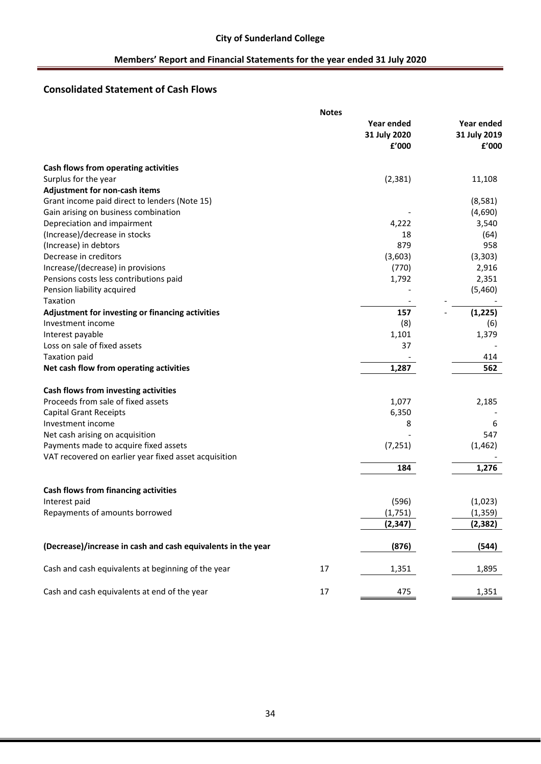# **Consolidated Statement of Cash Flows**

|                                                              | <b>Notes</b> |              |              |
|--------------------------------------------------------------|--------------|--------------|--------------|
|                                                              |              | Year ended   | Year ended   |
|                                                              |              | 31 July 2020 | 31 July 2019 |
|                                                              |              | £'000        | f'000        |
| Cash flows from operating activities                         |              |              |              |
| Surplus for the year                                         |              | (2, 381)     | 11,108       |
| Adjustment for non-cash items                                |              |              |              |
| Grant income paid direct to lenders (Note 15)                |              |              | (8,581)      |
| Gain arising on business combination                         |              |              | (4,690)      |
| Depreciation and impairment                                  |              | 4,222        | 3,540        |
| (Increase)/decrease in stocks                                |              | 18           | (64)         |
| (Increase) in debtors                                        |              | 879          | 958          |
| Decrease in creditors                                        |              | (3,603)      | (3, 303)     |
| Increase/(decrease) in provisions                            |              | (770)        | 2,916        |
| Pensions costs less contributions paid                       |              | 1,792        | 2,351        |
| Pension liability acquired                                   |              |              | (5,460)      |
| Taxation                                                     |              |              |              |
| Adjustment for investing or financing activities             |              | 157          | (1, 225)     |
| Investment income                                            |              | (8)          | (6)          |
| Interest payable                                             |              | 1,101        | 1,379        |
| Loss on sale of fixed assets                                 |              | 37           |              |
| <b>Taxation paid</b>                                         |              |              | 414          |
| Net cash flow from operating activities                      |              | 1,287        | 562          |
| Cash flows from investing activities                         |              |              |              |
| Proceeds from sale of fixed assets                           |              | 1,077        | 2,185        |
| <b>Capital Grant Receipts</b>                                |              | 6,350        |              |
| Investment income                                            |              | 8            | 6            |
| Net cash arising on acquisition                              |              |              | 547          |
| Payments made to acquire fixed assets                        |              | (7, 251)     | (1, 462)     |
| VAT recovered on earlier year fixed asset acquisition        |              |              |              |
|                                                              |              | 184          | 1,276        |
|                                                              |              |              |              |
| Cash flows from financing activities                         |              |              |              |
| Interest paid                                                |              | (596)        | (1,023)      |
| Repayments of amounts borrowed                               |              | (1,751)      | (1, 359)     |
|                                                              |              | (2, 347)     | (2, 382)     |
| (Decrease)/increase in cash and cash equivalents in the year |              | (876)        | (544)        |
| Cash and cash equivalents at beginning of the year           | 17           | 1,351        | 1,895        |
| Cash and cash equivalents at end of the year                 | 17           | 475          | 1,351        |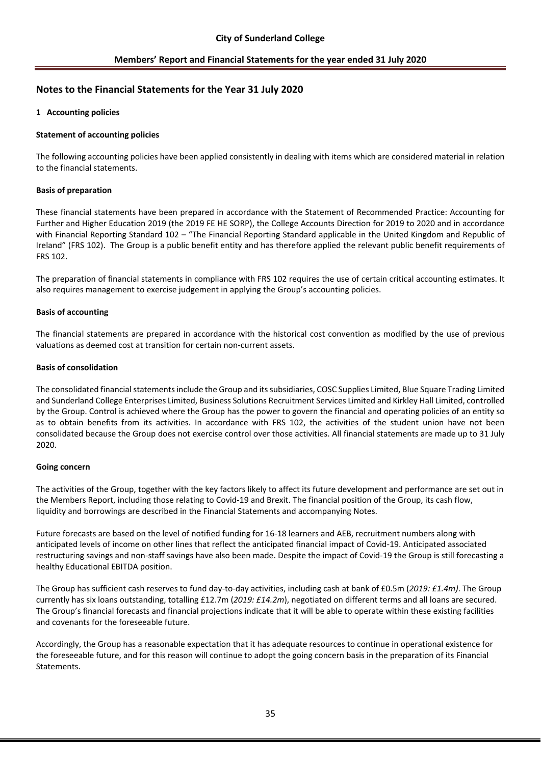## **Notes to the Financial Statements for the Year 31 July 2020**

#### **1 Accounting policies**

#### **Statement of accounting policies**

The following accounting policies have been applied consistently in dealing with items which are considered material in relation to the financial statements.

### **Basis of preparation**

These financial statements have been prepared in accordance with the Statement of Recommended Practice: Accounting for Further and Higher Education 2019 (the 2019 FE HE SORP), the College Accounts Direction for 2019 to 2020 and in accordance with Financial Reporting Standard 102 – "The Financial Reporting Standard applicable in the United Kingdom and Republic of Ireland" (FRS 102). The Group is a public benefit entity and has therefore applied the relevant public benefit requirements of FRS 102.

The preparation of financial statements in compliance with FRS 102 requires the use of certain critical accounting estimates. It also requires management to exercise judgement in applying the Group's accounting policies.

### **Basis of accounting**

The financial statements are prepared in accordance with the historical cost convention as modified by the use of previous valuations as deemed cost at transition for certain non‐current assets.

#### **Basis of consolidation**

The consolidated financial statements include the Group and its subsidiaries, COSC Supplies Limited, Blue Square Trading Limited and Sunderland College Enterprises Limited, Business Solutions Recruitment Services Limited and Kirkley Hall Limited, controlled by the Group. Control is achieved where the Group has the power to govern the financial and operating policies of an entity so as to obtain benefits from its activities. In accordance with FRS 102, the activities of the student union have not been consolidated because the Group does not exercise control over those activities. All financial statements are made up to 31 July 2020.

#### **Going concern**

The activities of the Group, together with the key factors likely to affect its future development and performance are set out in the Members Report, including those relating to Covid‐19 and Brexit. The financial position of the Group, its cash flow, liquidity and borrowings are described in the Financial Statements and accompanying Notes.

Future forecasts are based on the level of notified funding for 16‐18 learners and AEB, recruitment numbers along with anticipated levels of income on other lines that reflect the anticipated financial impact of Covid‐19. Anticipated associated restructuring savings and non‐staff savings have also been made. Despite the impact of Covid‐19 the Group is still forecasting a healthy Educational EBITDA position.

The Group has sufficient cash reserves to fund day‐to‐day activities, including cash at bank of £0.5m (*2019: £1.4m)*. The Group currently has six loans outstanding, totalling £12.7m (*2019: £14.2m*), negotiated on different terms and all loans are secured. The Group's financial forecasts and financial projections indicate that it will be able to operate within these existing facilities and covenants for the foreseeable future.

Accordingly, the Group has a reasonable expectation that it has adequate resources to continue in operational existence for the foreseeable future, and for this reason will continue to adopt the going concern basis in the preparation of its Financial **Statements**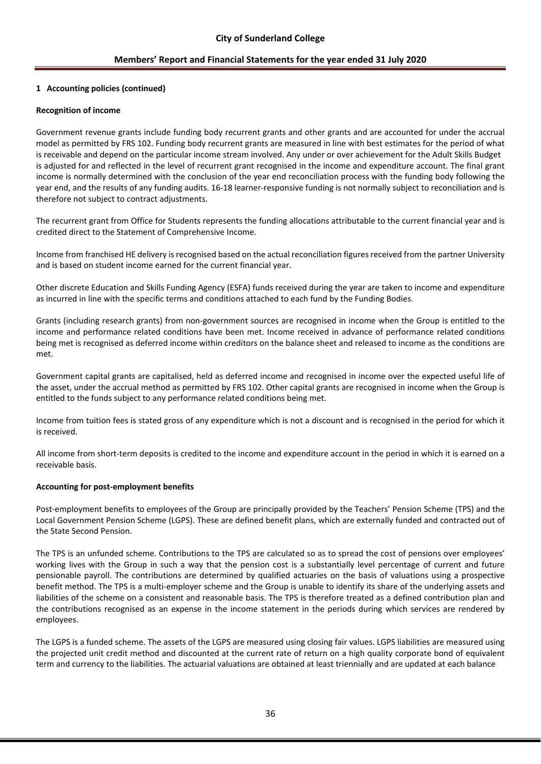### **1 Accounting policies (continued)**

#### **Recognition of income**

Government revenue grants include funding body recurrent grants and other grants and are accounted for under the accrual model as permitted by FRS 102. Funding body recurrent grants are measured in line with best estimates for the period of what is receivable and depend on the particular income stream involved. Any under or over achievement for the Adult Skills Budget is adjusted for and reflected in the level of recurrent grant recognised in the income and expenditure account. The final grant income is normally determined with the conclusion of the year end reconciliation process with the funding body following the year end, and the results of any funding audits. 16‐18 learner‐responsive funding is not normally subject to reconciliation and is therefore not subject to contract adjustments.

The recurrent grant from Office for Students represents the funding allocations attributable to the current financial year and is credited direct to the Statement of Comprehensive Income.

Income from franchised HE delivery is recognised based on the actual reconciliation figures received from the partner University and is based on student income earned for the current financial year.

Other discrete Education and Skills Funding Agency (ESFA) funds received during the year are taken to income and expenditure as incurred in line with the specific terms and conditions attached to each fund by the Funding Bodies.

Grants (including research grants) from non‐government sources are recognised in income when the Group is entitled to the income and performance related conditions have been met. Income received in advance of performance related conditions being met is recognised as deferred income within creditors on the balance sheet and released to income as the conditions are met.

Government capital grants are capitalised, held as deferred income and recognised in income over the expected useful life of the asset, under the accrual method as permitted by FRS 102. Other capital grants are recognised in income when the Group is entitled to the funds subject to any performance related conditions being met.

Income from tuition fees is stated gross of any expenditure which is not a discount and is recognised in the period for which it is received.

All income from short‐term deposits is credited to the income and expenditure account in the period in which it is earned on a receivable basis.

### **Accounting for post‐employment benefits**

Post-employment benefits to employees of the Group are principally provided by the Teachers' Pension Scheme (TPS) and the Local Government Pension Scheme (LGPS). These are defined benefit plans, which are externally funded and contracted out of the State Second Pension.

The TPS is an unfunded scheme. Contributions to the TPS are calculated so as to spread the cost of pensions over employees' working lives with the Group in such a way that the pension cost is a substantially level percentage of current and future pensionable payroll. The contributions are determined by qualified actuaries on the basis of valuations using a prospective benefit method. The TPS is a multi‐employer scheme and the Group is unable to identify its share of the underlying assets and liabilities of the scheme on a consistent and reasonable basis. The TPS is therefore treated as a defined contribution plan and the contributions recognised as an expense in the income statement in the periods during which services are rendered by employees.

The LGPS is a funded scheme. The assets of the LGPS are measured using closing fair values. LGPS liabilities are measured using the projected unit credit method and discounted at the current rate of return on a high quality corporate bond of equivalent term and currency to the liabilities. The actuarial valuations are obtained at least triennially and are updated at each balance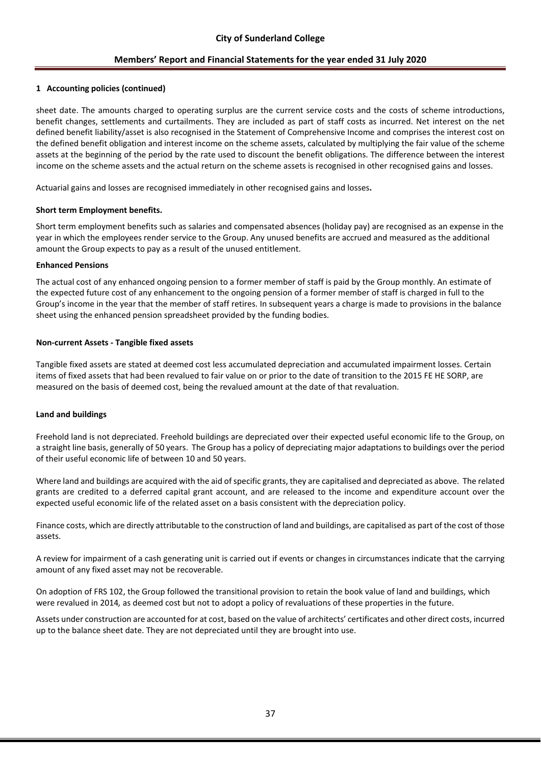### **1 Accounting policies (continued)**

sheet date. The amounts charged to operating surplus are the current service costs and the costs of scheme introductions, benefit changes, settlements and curtailments. They are included as part of staff costs as incurred. Net interest on the net defined benefit liability/asset is also recognised in the Statement of Comprehensive Income and comprises the interest cost on the defined benefit obligation and interest income on the scheme assets, calculated by multiplying the fair value of the scheme assets at the beginning of the period by the rate used to discount the benefit obligations. The difference between the interest income on the scheme assets and the actual return on the scheme assets is recognised in other recognised gains and losses.

Actuarial gains and losses are recognised immediately in other recognised gains and losses**.**

### **Short term Employment benefits.**

Short term employment benefits such as salaries and compensated absences (holiday pay) are recognised as an expense in the year in which the employees render service to the Group. Any unused benefits are accrued and measured as the additional amount the Group expects to pay as a result of the unused entitlement.

#### **Enhanced Pensions**

The actual cost of any enhanced ongoing pension to a former member of staff is paid by the Group monthly. An estimate of the expected future cost of any enhancement to the ongoing pension of a former member of staff is charged in full to the Group's income in the year that the member of staff retires. In subsequent years a charge is made to provisions in the balance sheet using the enhanced pension spreadsheet provided by the funding bodies.

### **Non‐current Assets ‐ Tangible fixed assets**

Tangible fixed assets are stated at deemed cost less accumulated depreciation and accumulated impairment losses. Certain items of fixed assets that had been revalued to fair value on or prior to the date of transition to the 2015 FE HE SORP, are measured on the basis of deemed cost, being the revalued amount at the date of that revaluation.

### **Land and buildings**

Freehold land is not depreciated. Freehold buildings are depreciated over their expected useful economic life to the Group, on a straight line basis, generally of 50 years. The Group has a policy of depreciating major adaptations to buildings over the period of their useful economic life of between 10 and 50 years.

Where land and buildings are acquired with the aid of specific grants, they are capitalised and depreciated as above. The related grants are credited to a deferred capital grant account, and are released to the income and expenditure account over the expected useful economic life of the related asset on a basis consistent with the depreciation policy.

Finance costs, which are directly attributable to the construction of land and buildings, are capitalised as part of the cost of those assets.

A review for impairment of a cash generating unit is carried out if events or changes in circumstances indicate that the carrying amount of any fixed asset may not be recoverable.

On adoption of FRS 102, the Group followed the transitional provision to retain the book value of land and buildings, which were revalued in 2014*,* as deemed cost but not to adopt a policy of revaluations of these properties in the future.

Assets under construction are accounted for at cost, based on the value of architects' certificates and other direct costs, incurred up to the balance sheet date. They are not depreciated until they are brought into use.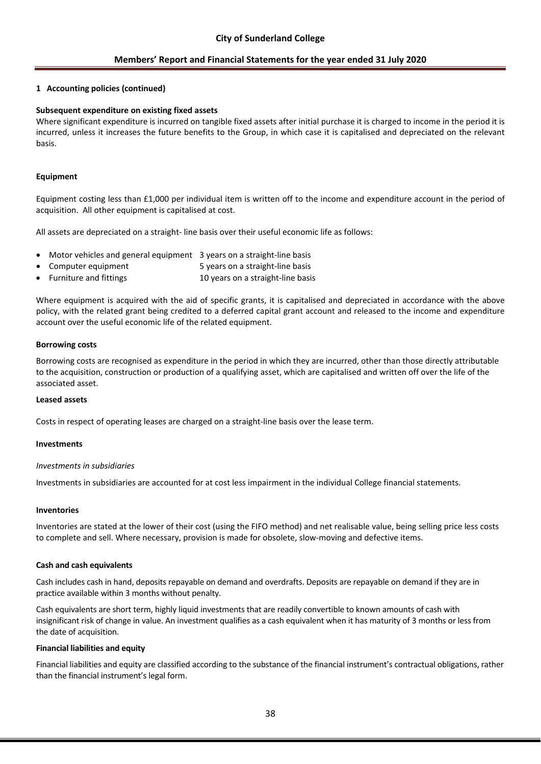#### **1 Accounting policies (continued)**

#### **Subsequent expenditure on existing fixed assets**

Where significant expenditure is incurred on tangible fixed assets after initial purchase it is charged to income in the period it is incurred, unless it increases the future benefits to the Group, in which case it is capitalised and depreciated on the relevant basis.

#### **Equipment**

Equipment costing less than £1,000 per individual item is written off to the income and expenditure account in the period of acquisition. All other equipment is capitalised at cost.

All assets are depreciated on a straight‐ line basis over their useful economic life as follows:

- Motor vehicles and general equipment 3 years on a straight-line basis
- Computer equipment 5 years on a straight‐line basis
- Furniture and fittings 10 years on a straight‐line basis

Where equipment is acquired with the aid of specific grants, it is capitalised and depreciated in accordance with the above policy, with the related grant being credited to a deferred capital grant account and released to the income and expenditure account over the useful economic life of the related equipment.

#### **Borrowing costs**

Borrowing costs are recognised as expenditure in the period in which they are incurred, other than those directly attributable to the acquisition, construction or production of a qualifying asset, which are capitalised and written off over the life of the associated asset.

#### **Leased assets**

Costs in respect of operating leases are charged on a straight‐line basis over the lease term.

#### **Investments**

#### *Investments in subsidiaries*

Investments in subsidiaries are accounted for at cost less impairment in the individual College financial statements.

#### **Inventories**

Inventories are stated at the lower of their cost (using the FIFO method) and net realisable value, being selling price less costs to complete and sell. Where necessary, provision is made for obsolete, slow-moving and defective items.

#### **Cash and cash equivalents**

Cash includes cash in hand, deposits repayable on demand and overdrafts. Deposits are repayable on demand if they are in practice available within 3 months without penalty.

Cash equivalents are short term, highly liquid investments that are readily convertible to known amounts of cash with insignificant risk of change in value. An investment qualifies as a cash equivalent when it has maturity of 3 months or less from the date of acquisition.

#### **Financial liabilities and equity**

Financial liabilities and equity are classified according to the substance of the financial instrument's contractual obligations, rather than the financial instrument's legal form.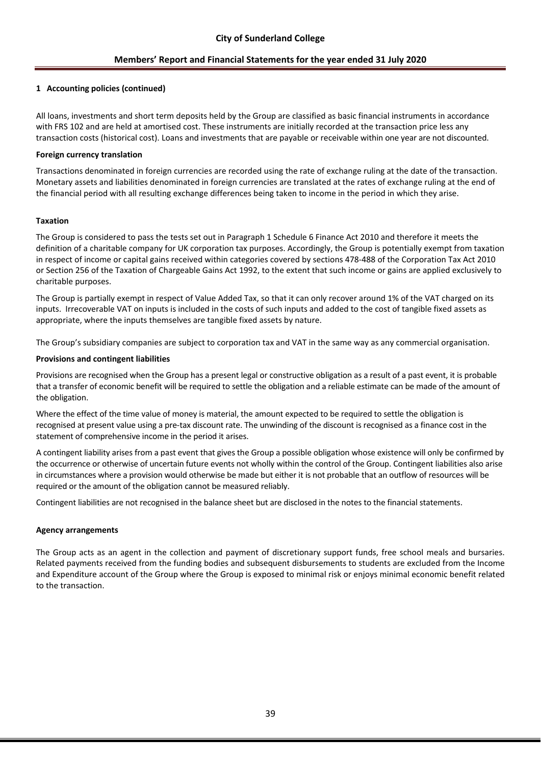### **1 Accounting policies (continued)**

All loans, investments and short term deposits held by the Group are classified as basic financial instruments in accordance with FRS 102 and are held at amortised cost. These instruments are initially recorded at the transaction price less any transaction costs (historical cost). Loans and investments that are payable or receivable within one year are not discounted.

### **Foreign currency translation**

Transactions denominated in foreign currencies are recorded using the rate of exchange ruling at the date of the transaction. Monetary assets and liabilities denominated in foreign currencies are translated at the rates of exchange ruling at the end of the financial period with all resulting exchange differences being taken to income in the period in which they arise.

### **Taxation**

The Group is considered to pass the tests set out in Paragraph 1 Schedule 6 Finance Act 2010 and therefore it meets the definition of a charitable company for UK corporation tax purposes. Accordingly, the Group is potentially exempt from taxation in respect of income or capital gains received within categories covered by sections 478‐488 of the Corporation Tax Act 2010 or Section 256 of the Taxation of Chargeable Gains Act 1992, to the extent that such income or gains are applied exclusively to charitable purposes.

The Group is partially exempt in respect of Value Added Tax, so that it can only recover around 1% of the VAT charged on its inputs. Irrecoverable VAT on inputs is included in the costs of such inputs and added to the cost of tangible fixed assets as appropriate, where the inputs themselves are tangible fixed assets by nature.

The Group's subsidiary companies are subject to corporation tax and VAT in the same way as any commercial organisation.

### **Provisions and contingent liabilities**

Provisions are recognised when the Group has a present legal or constructive obligation as a result of a past event, it is probable that a transfer of economic benefit will be required to settle the obligation and a reliable estimate can be made of the amount of the obligation.

Where the effect of the time value of money is material, the amount expected to be required to settle the obligation is recognised at present value using a pre‐tax discount rate. The unwinding of the discount is recognised as a finance cost in the statement of comprehensive income in the period it arises.

A contingent liability arises from a past event that gives the Group a possible obligation whose existence will only be confirmed by the occurrence or otherwise of uncertain future events not wholly within the control of the Group. Contingent liabilities also arise in circumstances where a provision would otherwise be made but either it is not probable that an outflow of resources will be required or the amount of the obligation cannot be measured reliably.

Contingent liabilities are not recognised in the balance sheet but are disclosed in the notes to the financial statements.

### **Agency arrangements**

The Group acts as an agent in the collection and payment of discretionary support funds, free school meals and bursaries. Related payments received from the funding bodies and subsequent disbursements to students are excluded from the Income and Expenditure account of the Group where the Group is exposed to minimal risk or enjoys minimal economic benefit related to the transaction.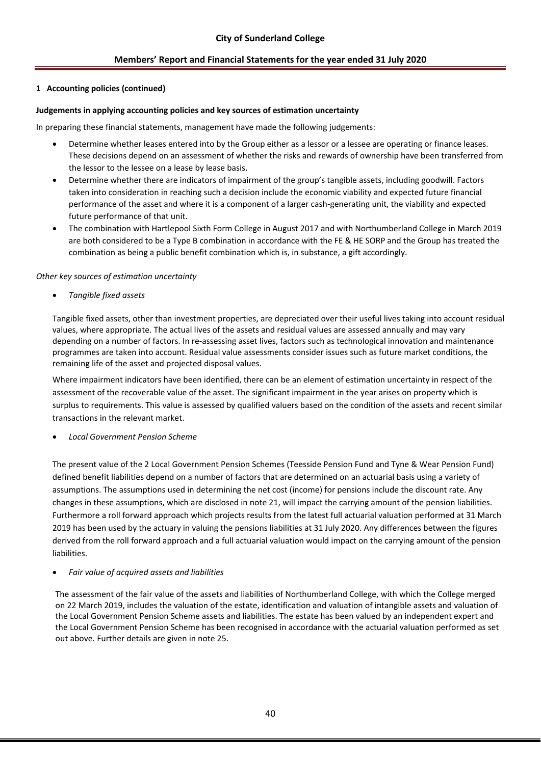### **1 Accounting policies (continued)**

### **Judgements in applying accounting policies and key sources of estimation uncertainty**

In preparing these financial statements, management have made the following judgements:

- Determine whether leases entered into by the Group either as a lessor or a lessee are operating or finance leases. These decisions depend on an assessment of whether the risks and rewards of ownership have been transferred from the lessor to the lessee on a lease by lease basis.
- Determine whether there are indicators of impairment of the group's tangible assets, including goodwill. Factors taken into consideration in reaching such a decision include the economic viability and expected future financial performance of the asset and where it is a component of a larger cash‐generating unit, the viability and expected future performance of that unit.
- The combination with Hartlepool Sixth Form College in August 2017 and with Northumberland College in March 2019 are both considered to be a Type B combination in accordance with the FE & HE SORP and the Group has treated the combination as being a public benefit combination which is, in substance, a gift accordingly.

### *Other key sources of estimation uncertainty*

*Tangible fixed assets*

Tangible fixed assets, other than investment properties, are depreciated over their useful lives taking into account residual values, where appropriate. The actual lives of the assets and residual values are assessed annually and may vary depending on a number of factors. In re‐assessing asset lives, factors such as technological innovation and maintenance programmes are taken into account. Residual value assessments consider issues such as future market conditions, the remaining life of the asset and projected disposal values.

Where impairment indicators have been identified, there can be an element of estimation uncertainty in respect of the assessment of the recoverable value of the asset. The significant impairment in the year arises on property which is surplus to requirements. This value is assessed by qualified valuers based on the condition of the assets and recent similar transactions in the relevant market.

*Local Government Pension Scheme*

The present value of the 2 Local Government Pension Schemes (Teesside Pension Fund and Tyne & Wear Pension Fund) defined benefit liabilities depend on a number of factors that are determined on an actuarial basis using a variety of assumptions. The assumptions used in determining the net cost (income) for pensions include the discount rate. Any changes in these assumptions, which are disclosed in note 21, will impact the carrying amount of the pension liabilities. Furthermore a roll forward approach which projects results from the latest full actuarial valuation performed at 31 March 2019 has been used by the actuary in valuing the pensions liabilities at 31 July 2020. Any differences between the figures derived from the roll forward approach and a full actuarial valuation would impact on the carrying amount of the pension liabilities.

#### *Fair value of acquired assets and liabilities*

The assessment of the fair value of the assets and liabilities of Northumberland College, with which the College merged on 22 March 2019, includes the valuation of the estate, identification and valuation of intangible assets and valuation of the Local Government Pension Scheme assets and liabilities. The estate has been valued by an independent expert and the Local Government Pension Scheme has been recognised in accordance with the actuarial valuation performed as set out above. Further details are given in note 25.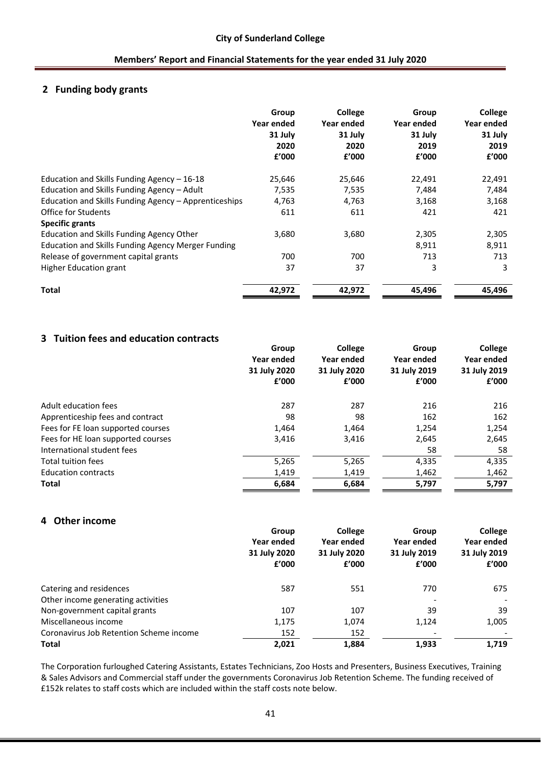# **2 Funding body grants**

|                                                           | Group<br>Year ended<br>31 July<br>2020<br>£'000 | <b>College</b><br>Year ended<br>31 July<br>2020<br>£'000 | Group<br>Year ended<br>31 July<br>2019<br>f'000 | College<br>Year ended<br>31 July<br>2019<br>£'000 |
|-----------------------------------------------------------|-------------------------------------------------|----------------------------------------------------------|-------------------------------------------------|---------------------------------------------------|
| Education and Skills Funding Agency - 16-18               | 25,646                                          | 25,646                                                   | 22,491                                          | 22,491                                            |
| Education and Skills Funding Agency - Adult               | 7,535                                           | 7,535                                                    | 7,484                                           | 7,484                                             |
| Education and Skills Funding Agency - Apprenticeships     | 4,763                                           | 4,763                                                    | 3,168                                           | 3,168                                             |
| Office for Students                                       | 611                                             | 611                                                      | 421                                             | 421                                               |
| <b>Specific grants</b>                                    |                                                 |                                                          |                                                 |                                                   |
| Education and Skills Funding Agency Other                 | 3,680                                           | 3,680                                                    | 2,305                                           | 2,305                                             |
| <b>Education and Skills Funding Agency Merger Funding</b> |                                                 |                                                          | 8,911                                           | 8,911                                             |
| Release of government capital grants                      | 700                                             | 700                                                      | 713                                             | 713                                               |
| <b>Higher Education grant</b>                             | 37                                              | 37                                                       | 3                                               | 3                                                 |
| <b>Total</b>                                              | 42,972                                          | 42,972                                                   | 45,496                                          | 45,496                                            |

# **3 Tuition fees and education contracts**

|                                    | Group                    | College      | Group        | <b>College</b> |
|------------------------------------|--------------------------|--------------|--------------|----------------|
|                                    | Year ended<br>Year ended |              | Year ended   | Year ended     |
|                                    | 31 July 2020             | 31 July 2020 | 31 July 2019 | 31 July 2019   |
|                                    | £'000                    | f'000        | f'000        | f'000          |
| Adult education fees               | 287                      | 287          | 216          | 216            |
| Apprenticeship fees and contract   | 98                       | 98           | 162          | 162            |
| Fees for FE loan supported courses | 1,464                    | 1,464        | 1,254        | 1,254          |
| Fees for HE loan supported courses | 3,416                    | 3,416        | 2,645        | 2,645          |
| International student fees         |                          |              | 58           | 58             |
| <b>Total tuition fees</b>          | 5,265                    | 5,265        | 4,335        | 4,335          |
| <b>Education contracts</b>         | 1,419                    | 1,419        | 1,462        | 1,462          |
| <b>Total</b>                       | 6,684                    | 6,684        | 5,797        | 5,797          |

## **4 Other income**

|                                         | Group        | College      | Group        | <b>College</b> |
|-----------------------------------------|--------------|--------------|--------------|----------------|
|                                         | Year ended   | Year ended   | Year ended   | Year ended     |
|                                         | 31 July 2020 | 31 July 2020 | 31 July 2019 | 31 July 2019   |
|                                         | £'000        | f'000        | f'000        | f'000          |
| Catering and residences                 | 587          | 551          | 770          | 675            |
| Other income generating activities      |              |              |              |                |
| Non-government capital grants           | 107          | 107          | 39           | 39             |
| Miscellaneous income                    | 1,175        | 1,074        | 1,124        | 1,005          |
| Coronavirus Job Retention Scheme income | 152          | 152          |              |                |
| <b>Total</b>                            | 2,021        | 1,884        | 1,933        | 1,719          |

The Corporation furloughed Catering Assistants, Estates Technicians, Zoo Hosts and Presenters, Business Executives, Training & Sales Advisors and Commercial staff under the governments Coronavirus Job Retention Scheme. The funding received of £152k relates to staff costs which are included within the staff costs note below.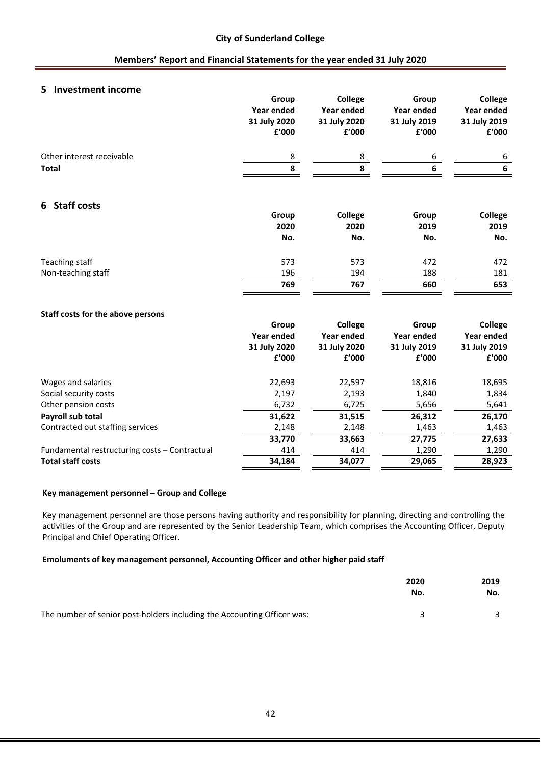# **City of Sunderland College**

### **Members' Report and Financial Statements for the year ended 31 July 2020**

# **5 Investment income**

|                                               | Group<br><b>Year ended</b><br>31 July 2020<br>£'000 | College<br>Year ended<br>31 July 2020<br>£'000 | Group<br>Year ended<br>31 July 2019<br>£'000 | <b>College</b><br>Year ended<br>31 July 2019<br>£'000 |
|-----------------------------------------------|-----------------------------------------------------|------------------------------------------------|----------------------------------------------|-------------------------------------------------------|
| Other interest receivable                     | 8                                                   | 8                                              | 6                                            | 6                                                     |
| <b>Total</b>                                  | 8                                                   | 8                                              | 6                                            | $6\phantom{1}$                                        |
| 6 Staff costs                                 |                                                     |                                                |                                              |                                                       |
|                                               | Group                                               | College                                        | Group                                        | <b>College</b>                                        |
|                                               | 2020                                                | 2020                                           | 2019                                         | 2019                                                  |
|                                               | No.                                                 | No.                                            | No.                                          | No.                                                   |
| Teaching staff                                | 573                                                 | 573                                            | 472                                          | 472                                                   |
| Non-teaching staff                            | 196                                                 | 194                                            | 188                                          | 181                                                   |
|                                               | 769                                                 | 767                                            | 660                                          | 653                                                   |
| Staff costs for the above persons             |                                                     |                                                |                                              |                                                       |
|                                               | Group                                               | <b>College</b>                                 | Group                                        | College                                               |
|                                               | <b>Year ended</b>                                   | <b>Year ended</b>                              | <b>Year ended</b>                            | Year ended                                            |
|                                               | 31 July 2020                                        | 31 July 2020                                   | 31 July 2019                                 | 31 July 2019                                          |
|                                               | £'000                                               | £'000                                          | £'000                                        | £'000                                                 |
| Wages and salaries                            | 22,693                                              | 22,597                                         | 18,816                                       | 18,695                                                |
| Social security costs                         | 2,197                                               | 2,193                                          | 1,840                                        | 1,834                                                 |
| Other pension costs                           | 6,732                                               | 6,725                                          | 5,656                                        | 5,641                                                 |
| Payroll sub total                             | 31,622                                              | 31,515                                         | 26,312                                       | 26,170                                                |
| Contracted out staffing services              | 2,148                                               | 2,148                                          | 1,463                                        | 1,463                                                 |
|                                               | 33,770                                              | 33,663                                         | 27,775                                       | 27,633                                                |
| Fundamental restructuring costs - Contractual | 414                                                 | 414                                            | 1,290                                        | 1,290                                                 |
| <b>Total staff costs</b>                      | 34,184                                              | 34,077                                         | 29,065                                       | 28,923                                                |

### **Key management personnel – Group and College**

Key management personnel are those persons having authority and responsibility for planning, directing and controlling the activities of the Group and are represented by the Senior Leadership Team, which comprises the Accounting Officer, Deputy Principal and Chief Operating Officer.

#### **Emoluments of key management personnel, Accounting Officer and other higher paid staff**

|                                                                         | 2020<br>No. | 2019<br>No. |
|-------------------------------------------------------------------------|-------------|-------------|
| The number of senior post-holders including the Accounting Officer was: |             |             |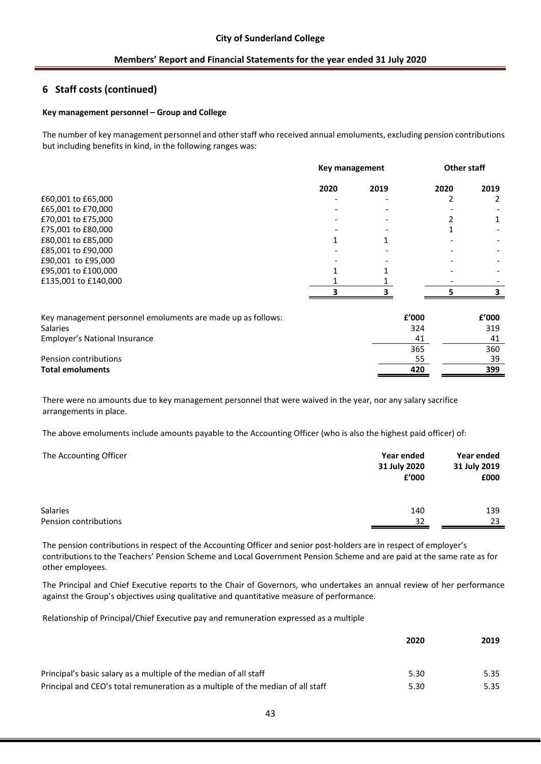## **6 Staff costs (continued)**

#### **Key management personnel – Group and College**

The number of key management personnel and other staff who received annual emoluments, excluding pension contributions but including benefits in kind, in the following ranges was:

|                      |      | Key management |      | <b>Other staff</b> |
|----------------------|------|----------------|------|--------------------|
|                      | 2020 | 2019           | 2020 | 2019               |
| £60,001 to £65,000   |      |                |      |                    |
| £65,001 to £70,000   |      |                |      |                    |
| £70,001 to £75,000   |      |                |      | $\mathbf 1$        |
| £75,001 to £80,000   |      |                |      |                    |
| £80,001 to £85,000   |      |                |      |                    |
| £85,001 to £90,000   |      |                |      |                    |
| £90,001 to £95,000   |      |                |      |                    |
| £95,001 to £100,000  |      |                |      |                    |
| £135,001 to £140,000 |      |                |      |                    |
|                      |      |                |      |                    |
|                      |      |                |      |                    |

| Key management personnel emoluments are made up as follows: | f'000 | £'000 |
|-------------------------------------------------------------|-------|-------|
| <b>Salaries</b>                                             | 324   | 319   |
| Employer's National Insurance                               | 41    | 41    |
|                                                             | 365   | 360   |
| Pension contributions                                       | 55    | 39    |
| <b>Total emoluments</b>                                     | 420   | 399   |

There were no amounts due to key management personnel that were waived in the year, nor any salary sacrifice arrangements in place.

The above emoluments include amounts payable to the Accounting Officer (who is also the highest paid officer) of:

| The Accounting Officer | Year ended<br>31 July 2020<br>£'000 | Year ended<br>31 July 2019<br>£000 |
|------------------------|-------------------------------------|------------------------------------|
| <b>Salaries</b>        | 140                                 | 139                                |
| Pension contributions  | 32                                  | 23                                 |

The pension contributions in respect of the Accounting Officer and senior post-holders are in respect of employer's contributions to the Teachers' Pension Scheme and Local Government Pension Scheme and are paid at the same rate as for other employees.

The Principal and Chief Executive reports to the Chair of Governors, who undertakes an annual review of her performance against the Group's objectives using qualitative and quantitative measure of performance.

Relationship of Principal/Chief Executive pay and remuneration expressed as a multiple

|                                                                                 | 2020 | 2019 |
|---------------------------------------------------------------------------------|------|------|
|                                                                                 |      |      |
| Principal's basic salary as a multiple of the median of all staff               | 5.30 | 5.35 |
| Principal and CEO's total remuneration as a multiple of the median of all staff | 5.30 | 5.35 |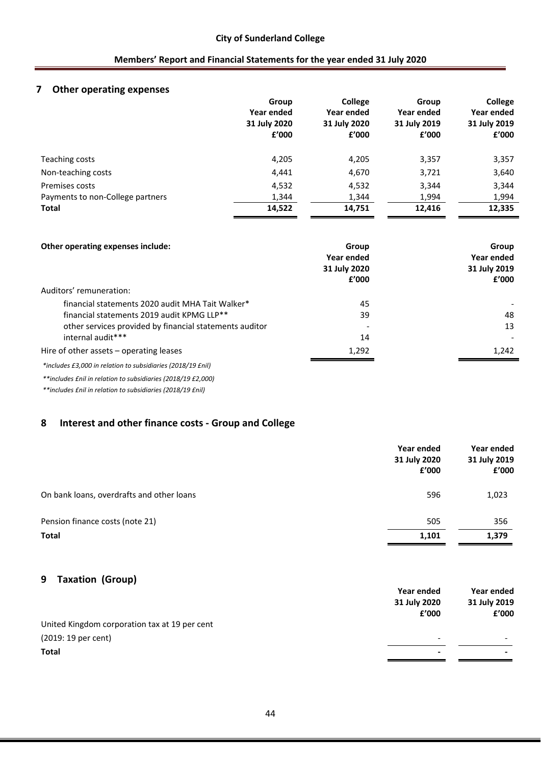# **7 Other operating expenses**

|                                  | Group        | <b>College</b> | Group        | College      |
|----------------------------------|--------------|----------------|--------------|--------------|
|                                  | Year ended   | Year ended     | Year ended   | Year ended   |
|                                  | 31 July 2020 | 31 July 2020   | 31 July 2019 | 31 July 2019 |
|                                  | f'000        | f'000          | £'000        | £'000        |
| Teaching costs                   | 4,205        | 4,205          | 3,357        | 3,357        |
| Non-teaching costs               | 4,441        | 4,670          | 3,721        | 3,640        |
| Premises costs                   | 4,532        | 4,532          | 3,344        | 3,344        |
| Payments to non-College partners | 1,344        | 1,344          | 1,994        | 1,994        |
| Total                            | 14,522       | 14,751         | 12,416       | 12,335       |

| Other operating expenses include:                           | Group<br>Year ended<br>31 July 2020<br>f'000 | Group<br>Year ended<br>31 July 2019<br>f'000 |
|-------------------------------------------------------------|----------------------------------------------|----------------------------------------------|
| Auditors' remuneration:                                     |                                              |                                              |
| financial statements 2020 audit MHA Tait Walker*            | 45                                           |                                              |
| financial statements 2019 audit KPMG LLP <sup>**</sup>      | 39                                           | 48                                           |
| other services provided by financial statements auditor     |                                              | 13                                           |
| internal audit***                                           | 14                                           |                                              |
| Hire of other assets $-$ operating leases                   | 1,292                                        | 1,242                                        |
| *includes £3,000 in relation to subsidiaries (2018/19 £nil) |                                              |                                              |

*\*\*includes £nil in relation to subsidiaries (2018/19 £2,000)* 

*\*\*includes £nil in relation to subsidiaries (2018/19 £nil)* 

# **8 Interest and other finance costs ‐ Group and College**

|                                           | Year ended<br>31 July 2020<br>f'000 | Year ended<br>31 July 2019<br>£'000 |
|-------------------------------------------|-------------------------------------|-------------------------------------|
| On bank loans, overdrafts and other loans | 596                                 | 1,023                               |
| Pension finance costs (note 21)<br>Total  | 505<br>1,101                        | 356<br>1,379                        |

# **9 Taxation (Group)**

|                                               | Year ended   | Year ended               |
|-----------------------------------------------|--------------|--------------------------|
|                                               | 31 July 2020 | 31 July 2019             |
|                                               | f'000        | £'000                    |
| United Kingdom corporation tax at 19 per cent |              |                          |
| (2019: 19 per cent)                           | -            | $\overline{\phantom{0}}$ |
| <b>Total</b>                                  |              |                          |
|                                               |              |                          |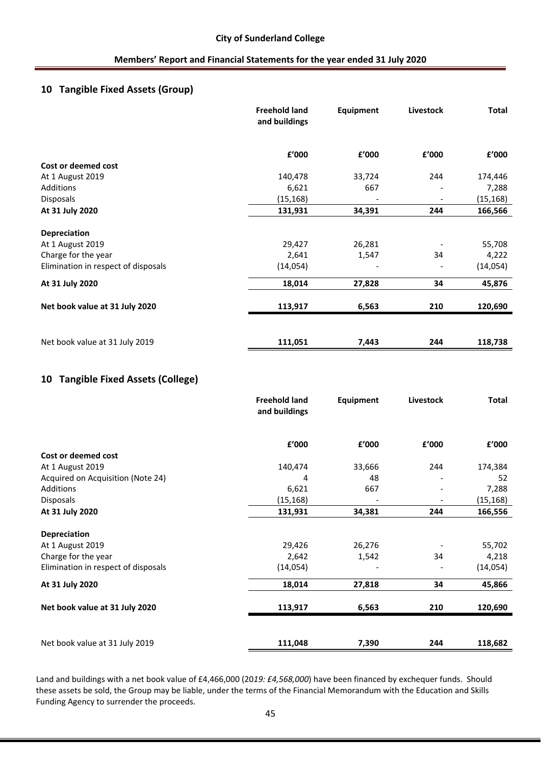### **10 Tangible Fixed Assets (Group)**

|                                     | <b>Freehold land</b><br>and buildings | <b>Equipment</b> | Livestock                    | <b>Total</b> |
|-------------------------------------|---------------------------------------|------------------|------------------------------|--------------|
|                                     | £'000                                 | £'000            | £'000                        | £'000        |
| Cost or deemed cost                 |                                       |                  |                              |              |
| At 1 August 2019                    | 140,478                               | 33,724           | 244                          | 174,446      |
| Additions                           | 6,621                                 | 667              |                              | 7,288        |
| Disposals                           | (15, 168)                             |                  | $\qquad \qquad \blacksquare$ | (15, 168)    |
| At 31 July 2020                     | 131,931                               | 34,391           | 244                          | 166,566      |
| Depreciation                        |                                       |                  |                              |              |
| At 1 August 2019                    | 29,427                                | 26,281           |                              | 55,708       |
| Charge for the year                 | 2,641                                 | 1,547            | 34                           | 4,222        |
| Elimination in respect of disposals | (14,054)                              |                  |                              | (14, 054)    |
| At 31 July 2020                     | 18,014                                | 27,828           | 34                           | 45,876       |
| Net book value at 31 July 2020      | 113,917                               | 6,563            | 210                          | 120,690      |
|                                     |                                       |                  |                              |              |
| Net book value at 31 July 2019      | 111,051                               | 7,443            | 244                          | 118,738      |

# **10 Tangible Fixed Assets (College)**

|                                     | <b>Freehold land</b><br>and buildings | Equipment | Livestock                | <b>Total</b> |
|-------------------------------------|---------------------------------------|-----------|--------------------------|--------------|
|                                     | £'000                                 | £'000     | £'000                    | £'000        |
| Cost or deemed cost                 |                                       |           |                          |              |
| At 1 August 2019                    | 140,474                               | 33,666    | 244                      | 174,384      |
| Acquired on Acquisition (Note 24)   | 4                                     | 48        |                          | 52           |
| Additions                           | 6,621                                 | 667       |                          | 7,288        |
| Disposals                           | (15, 168)                             |           |                          | (15, 168)    |
| At 31 July 2020                     | 131,931                               | 34,381    | 244                      | 166,556      |
| <b>Depreciation</b>                 |                                       |           |                          |              |
| At 1 August 2019                    | 29,426                                | 26,276    |                          | 55,702       |
| Charge for the year                 | 2,642                                 | 1,542     | 34                       | 4,218        |
| Elimination in respect of disposals | (14,054)                              |           | $\overline{\phantom{a}}$ | (14, 054)    |
| At 31 July 2020                     | 18,014                                | 27,818    | 34                       | 45,866       |
| Net book value at 31 July 2020      | 113,917                               | 6,563     | 210                      | 120,690      |
|                                     |                                       |           |                          |              |
| Net book value at 31 July 2019      | 111,048                               | 7,390     | 244                      | 118,682      |

Land and buildings with a net book value of £4,466,000 (20*19: £4,568,000*) have been financed by exchequer funds. Should these assets be sold, the Group may be liable, under the terms of the Financial Memorandum with the Education and Skills Funding Agency to surrender the proceeds.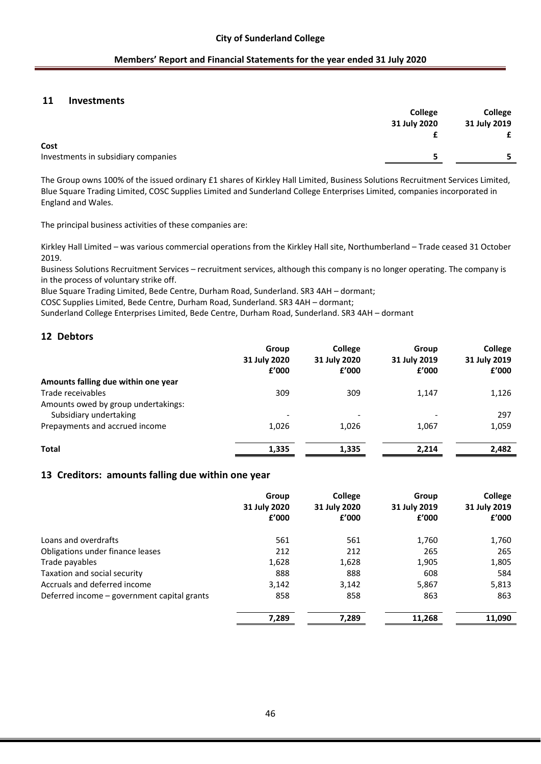### **11 Investments**

|                                     | <b>College</b> | <b>College</b> |
|-------------------------------------|----------------|----------------|
|                                     | 31 July 2020   | 31 July 2019   |
|                                     |                |                |
| Cost                                |                |                |
| Investments in subsidiary companies |                |                |
|                                     |                |                |

The Group owns 100% of the issued ordinary £1 shares of Kirkley Hall Limited, Business Solutions Recruitment Services Limited, Blue Square Trading Limited, COSC Supplies Limited and Sunderland College Enterprises Limited, companies incorporated in England and Wales.

The principal business activities of these companies are:

Kirkley Hall Limited – was various commercial operations from the Kirkley Hall site, Northumberland – Trade ceased 31 October 2019.

Business Solutions Recruitment Services – recruitment services, although this company is no longer operating. The company is in the process of voluntary strike off.

Blue Square Trading Limited, Bede Centre, Durham Road, Sunderland. SR3 4AH – dormant;

COSC Supplies Limited, Bede Centre, Durham Road, Sunderland. SR3 4AH – dormant;

Sunderland College Enterprises Limited, Bede Centre, Durham Road, Sunderland. SR3 4AH – dormant

# **12 Debtors**

|                                     | Group        | <b>College</b>               | Group                    | <b>College</b> |
|-------------------------------------|--------------|------------------------------|--------------------------|----------------|
|                                     | 31 July 2020 | 31 July 2020                 | 31 July 2019             | 31 July 2019   |
|                                     | £'000        | f'000                        | f'000                    | f'000          |
| Amounts falling due within one year |              |                              |                          |                |
| Trade receivables                   | 309          | 309                          | 1,147                    | 1,126          |
| Amounts owed by group undertakings: |              |                              |                          |                |
| Subsidiary undertaking              |              | $\qquad \qquad \blacksquare$ | $\overline{\phantom{a}}$ | 297            |
| Prepayments and accrued income      | 1,026        | 1,026                        | 1,067                    | 1,059          |
| <b>Total</b>                        | 1,335        | 1,335                        | 2,214                    | 2,482          |

### **13 Creditors: amounts falling due within one year**

|                                             | <b>Group</b><br>31 July 2020<br>£'000 | <b>College</b><br>31 July 2020<br>f'000 | Group<br>31 July 2019<br>f'000 | College<br>31 July 2019<br>£'000 |
|---------------------------------------------|---------------------------------------|-----------------------------------------|--------------------------------|----------------------------------|
| Loans and overdrafts                        | 561                                   | 561                                     | 1,760                          | 1,760                            |
| Obligations under finance leases            | 212                                   | 212                                     | 265                            | 265                              |
| Trade payables                              | 1,628                                 | 1,628                                   | 1,905                          | 1,805                            |
| Taxation and social security                | 888                                   | 888                                     | 608                            | 584                              |
| Accruals and deferred income                | 3,142                                 | 3,142                                   | 5,867                          | 5,813                            |
| Deferred income - government capital grants | 858                                   | 858                                     | 863                            | 863                              |
|                                             | 7,289                                 | 7,289                                   | 11,268                         | 11,090                           |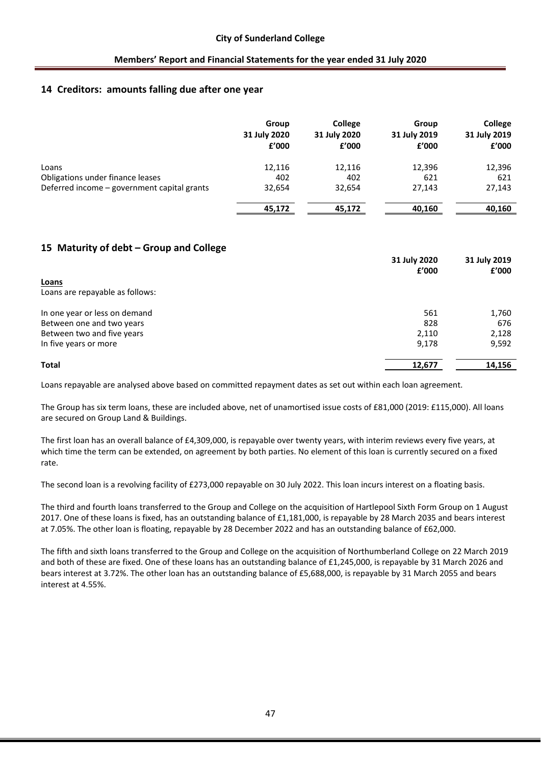## **14 Creditors: amounts falling due after one year**

|                                             | Group<br>31 July 2020<br>f'000 | College<br>31 July 2020<br>f'000 | Group<br>31 July 2019<br>f'000 | College<br>31 July 2019<br>f'000 |
|---------------------------------------------|--------------------------------|----------------------------------|--------------------------------|----------------------------------|
| Loans                                       | 12,116                         | 12,116                           | 12,396                         | 12,396                           |
| Obligations under finance leases            | 402                            | 402                              | 621                            | 621                              |
| Deferred income - government capital grants | 32,654                         | 32,654                           | 27.143                         | 27,143                           |
|                                             | 45,172                         | 45,172                           | 40,160                         | 40,160                           |

# **15 Maturity of debt – Group and College**

|                                          | 31 July 2020<br>f'000 | 31 July 2019<br>f'000 |
|------------------------------------------|-----------------------|-----------------------|
| Loans<br>Loans are repayable as follows: |                       |                       |
| In one year or less on demand            | 561                   | 1,760                 |
| Between one and two years                | 828                   | 676                   |
| Between two and five years               | 2,110                 | 2,128                 |
| In five years or more                    | 9,178                 | 9,592                 |
| <b>Total</b>                             | 12,677                | 14,156                |

 Loans repayable are analysed above based on committed repayment dates as set out within each loan agreement.

The Group has six term loans, these are included above, net of unamortised issue costs of £81,000 (2019: £115,000). All loans are secured on Group Land & Buildings.

The first loan has an overall balance of £4,309,000, is repayable over twenty years, with interim reviews every five years, at which time the term can be extended, on agreement by both parties. No element of this loan is currently secured on a fixed rate.

The second loan is a revolving facility of £273,000 repayable on 30 July 2022. This loan incurs interest on a floating basis.

The third and fourth loans transferred to the Group and College on the acquisition of Hartlepool Sixth Form Group on 1 August 2017. One of these loans is fixed, has an outstanding balance of £1,181,000, is repayable by 28 March 2035 and bears interest at 7.05%. The other loan is floating, repayable by 28 December 2022 and has an outstanding balance of £62,000.

The fifth and sixth loans transferred to the Group and College on the acquisition of Northumberland College on 22 March 2019 and both of these are fixed. One of these loans has an outstanding balance of £1,245,000, is repayable by 31 March 2026 and bears interest at 3.72%. The other loan has an outstanding balance of £5,688,000, is repayable by 31 March 2055 and bears interest at 4.55%.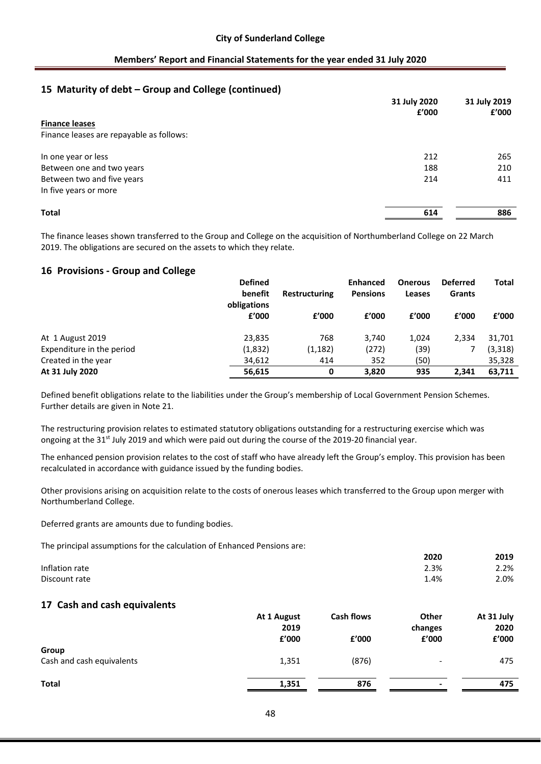# **15 Maturity of debt – Group and College (continued)**

|                                          | 31 July 2020<br>f'000 | 31 July 2019<br>f'000 |
|------------------------------------------|-----------------------|-----------------------|
| <b>Finance leases</b>                    |                       |                       |
| Finance leases are repayable as follows: |                       |                       |
| In one year or less                      | 212                   | 265                   |
| Between one and two years                | 188                   | 210                   |
| Between two and five years               | 214                   | 411                   |
| In five years or more                    |                       |                       |
| Total                                    | 614                   | 886                   |

The finance leases shown transferred to the Group and College on the acquisition of Northumberland College on 22 March 2019. The obligations are secured on the assets to which they relate.

### **16 Provisions ‐ Group and College**

|                           | <b>Defined</b><br>benefit<br>obligations | <b>Restructuring</b> | <b>Enhanced</b><br><b>Pensions</b> | <b>Onerous</b><br>Leases | <b>Deferred</b><br>Grants | Total   |
|---------------------------|------------------------------------------|----------------------|------------------------------------|--------------------------|---------------------------|---------|
|                           | f'000                                    | f'000                | f'000                              | f'000                    | f'000                     | f'000   |
| At 1 August 2019          | 23,835                                   | 768                  | 3,740                              | 1,024                    | 2,334                     | 31,701  |
| Expenditure in the period | (1,832)                                  | (1,182)              | (272)                              | (39)                     |                           | (3,318) |
| Created in the year       | 34,612                                   | 414                  | 352                                | (50)                     |                           | 35,328  |
| At 31 July 2020           | 56,615                                   | 0                    | 3,820                              | 935                      | 2.341                     | 63,711  |

Defined benefit obligations relate to the liabilities under the Group's membership of Local Government Pension Schemes. Further details are given in Note 21.

The restructuring provision relates to estimated statutory obligations outstanding for a restructuring exercise which was ongoing at the 31<sup>st</sup> July 2019 and which were paid out during the course of the 2019-20 financial year.

The enhanced pension provision relates to the cost of staff who have already left the Group's employ. This provision has been recalculated in accordance with guidance issued by the funding bodies.

Other provisions arising on acquisition relate to the costs of onerous leases which transferred to the Group upon merger with Northumberland College.

Deferred grants are amounts due to funding bodies.

The principal assumptions for the calculation of Enhanced Pensions are:

|                | 2020 | 2019 |
|----------------|------|------|
| Inflation rate | 2.3% | 2.2% |
| Discount rate  | 1.4% | 2.0% |

### **17 Cash and cash equivalents**

|                                    | At 1 August<br>2019 | <b>Cash flows</b> | Other<br>changes | At 31 July<br>2020 |
|------------------------------------|---------------------|-------------------|------------------|--------------------|
|                                    | £'000               | £'000             | £'000            | £'000              |
| Group<br>Cash and cash equivalents | 1,351               | (876)             | -                | 475                |
| <b>Total</b>                       | 1,351               | 876               | -                | 475                |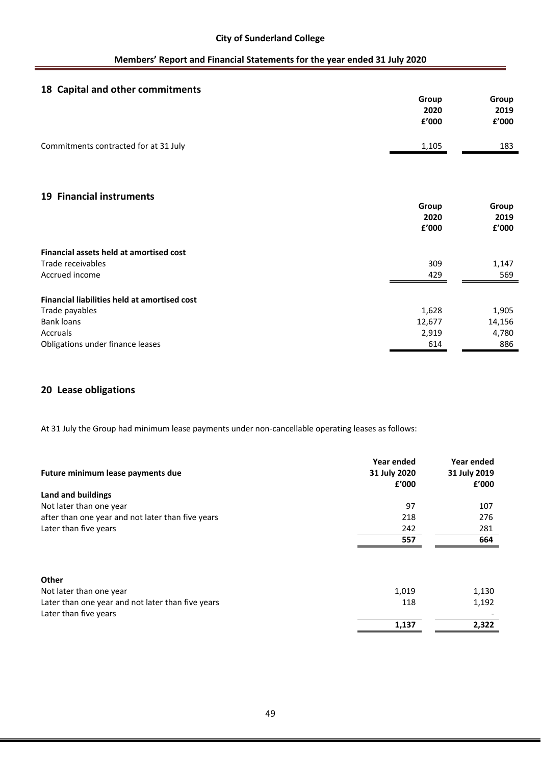| 18 Capital and other commitments             | Group<br>2020<br>f'000 | Group<br>2019<br>£'000 |
|----------------------------------------------|------------------------|------------------------|
| Commitments contracted for at 31 July        | 1,105                  | 183                    |
| 19 Financial instruments                     | Group<br>2020<br>f'000 | Group<br>2019<br>£'000 |
| Financial assets held at amortised cost      |                        |                        |
| Trade receivables                            | 309                    | 1,147                  |
| Accrued income                               | 429                    | 569                    |
| Financial liabilities held at amortised cost |                        |                        |
| Trade payables                               | 1,628                  | 1,905                  |
| <b>Bank loans</b>                            | 12,677                 | 14,156                 |
| Accruals                                     | 2,919                  | 4,780                  |
| Obligations under finance leases             | 614                    | 886                    |

# **20 Lease obligations**

At 31 July the Group had minimum lease payments under non‐cancellable operating leases as follows:

|                                                   | Year ended   | Year ended   |
|---------------------------------------------------|--------------|--------------|
| Future minimum lease payments due                 | 31 July 2020 | 31 July 2019 |
|                                                   | f'000        | £'000        |
| Land and buildings                                |              |              |
| Not later than one year                           | 97           | 107          |
| after than one year and not later than five years | 218          | 276          |
| Later than five years                             | 242          | 281          |
|                                                   | 557          | 664          |
|                                                   |              |              |
| Other                                             |              |              |
| Not later than one year                           | 1,019        | 1,130        |
| Later than one year and not later than five years | 118          | 1,192        |
| Later than five years                             |              |              |
|                                                   | 1,137        | 2,322        |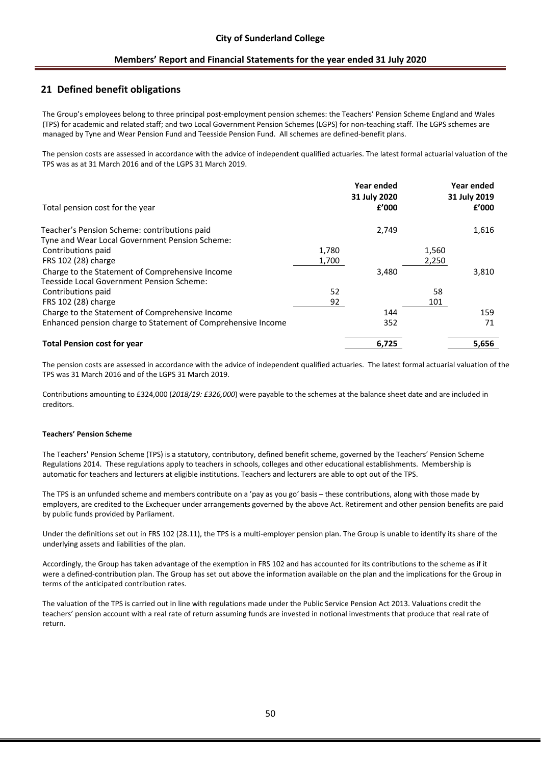# **21 Defined benefit obligations**

The Group's employees belong to three principal post-employment pension schemes: the Teachers' Pension Scheme England and Wales (TPS) for academic and related staff; and two Local Government Pension Schemes (LGPS) for non‐teaching staff. The LGPS schemes are managed by Tyne and Wear Pension Fund and Teesside Pension Fund. All schemes are defined‐benefit plans.

The pension costs are assessed in accordance with the advice of independent qualified actuaries. The latest formal actuarial valuation of the TPS was as at 31 March 2016 and of the LGPS 31 March 2019.

|                                                              |       | Year ended<br>31 July 2020 |       | Year ended<br>31 July 2019 |
|--------------------------------------------------------------|-------|----------------------------|-------|----------------------------|
| Total pension cost for the year                              |       | £'000                      |       | £'000                      |
| Teacher's Pension Scheme: contributions paid                 |       | 2,749                      |       | 1,616                      |
| Tyne and Wear Local Government Pension Scheme:               |       |                            |       |                            |
| Contributions paid                                           | 1,780 |                            | 1,560 |                            |
| FRS 102 (28) charge                                          | 1,700 |                            | 2,250 |                            |
| Charge to the Statement of Comprehensive Income              |       | 3,480                      |       | 3,810                      |
| Teesside Local Government Pension Scheme:                    |       |                            |       |                            |
| Contributions paid                                           | 52    |                            | 58    |                            |
| FRS 102 (28) charge                                          | 92    |                            | 101   |                            |
| Charge to the Statement of Comprehensive Income              |       | 144                        |       | 159                        |
| Enhanced pension charge to Statement of Comprehensive Income |       | 352                        |       | 71                         |
| <b>Total Pension cost for year</b>                           |       | 6,725                      |       | 5,656                      |

The pension costs are assessed in accordance with the advice of independent qualified actuaries. The latest formal actuarial valuation of the TPS was 31 March 2016 and of the LGPS 31 March 2019.

Contributions amounting to £324,000 (*2018/19: £326,000*) were payable to the schemes at the balance sheet date and are included in creditors.

#### **Teachers' Pension Scheme**

The Teachers' Pension Scheme (TPS) is a statutory, contributory, defined benefit scheme, governed by the Teachers' Pension Scheme Regulations 2014. These regulations apply to teachers in schools, colleges and other educational establishments. Membership is automatic for teachers and lecturers at eligible institutions. Teachers and lecturers are able to opt out of the TPS.

The TPS is an unfunded scheme and members contribute on a 'pay as you go' basis – these contributions, along with those made by employers, are credited to the Exchequer under arrangements governed by the above Act. Retirement and other pension benefits are paid by public funds provided by Parliament.

Under the definitions set out in FRS 102 (28.11), the TPS is a multi‐employer pension plan. The Group is unable to identify its share of the underlying assets and liabilities of the plan.

Accordingly, the Group has taken advantage of the exemption in FRS 102 and has accounted for its contributions to the scheme as if it were a defined‐contribution plan. The Group has set out above the information available on the plan and the implications for the Group in terms of the anticipated contribution rates.

The valuation of the TPS is carried out in line with regulations made under the Public Service Pension Act 2013. Valuations credit the teachers' pension account with a real rate of return assuming funds are invested in notional investments that produce that real rate of return.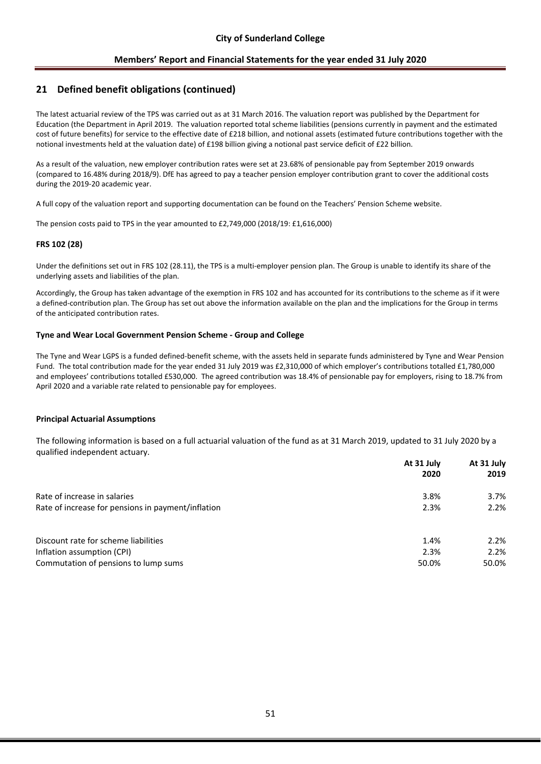## **21 Defined benefit obligations (continued)**

The latest actuarial review of the TPS was carried out as at 31 March 2016. The valuation report was published by the Department for Education (the Department in April 2019. The valuation reported total scheme liabilities (pensions currently in payment and the estimated cost of future benefits) for service to the effective date of £218 billion, and notional assets (estimated future contributions together with the notional investments held at the valuation date) of £198 billion giving a notional past service deficit of £22 billion.

As a result of the valuation, new employer contribution rates were set at 23.68% of pensionable pay from September 2019 onwards (compared to 16.48% during 2018/9). DfE has agreed to pay a teacher pension employer contribution grant to cover the additional costs during the 2019‐20 academic year.

A full copy of the valuation report and supporting documentation can be found on the Teachers' Pension Scheme website.

The pension costs paid to TPS in the year amounted to £2,749,000 (2018/19: £1,616,000)

#### **FRS 102 (28)**

Under the definitions set out in FRS 102 (28.11), the TPS is a multi-employer pension plan. The Group is unable to identify its share of the underlying assets and liabilities of the plan.

Accordingly, the Group has taken advantage of the exemption in FRS 102 and has accounted for its contributions to the scheme as if it were a defined‐contribution plan. The Group has set out above the information available on the plan and the implications for the Group in terms of the anticipated contribution rates.

#### **Tyne and Wear Local Government Pension Scheme ‐ Group and College**

The Tyne and Wear LGPS is a funded defined-benefit scheme, with the assets held in separate funds administered by Tyne and Wear Pension Fund. The total contribution made for the year ended 31 July 2019 was £2,310,000 of which employer's contributions totalled £1,780,000 and employees' contributions totalled £530,000. The agreed contribution was 18.4% of pensionable pay for employers, rising to 18.7% from April 2020 and a variable rate related to pensionable pay for employees.

#### **Principal Actuarial Assumptions**

The following information is based on a full actuarial valuation of the fund as at 31 March 2019, updated to 31 July 2020 by a qualified independent actuary.

|                                                    | At 31 July | At 31 July |  |
|----------------------------------------------------|------------|------------|--|
|                                                    | 2020       | 2019       |  |
| Rate of increase in salaries                       | 3.8%       | 3.7%       |  |
| Rate of increase for pensions in payment/inflation | 2.3%       | 2.2%       |  |
| Discount rate for scheme liabilities               | 1.4%       | 2.2%       |  |
| Inflation assumption (CPI)                         | 2.3%       | 2.2%       |  |
| Commutation of pensions to lump sums               | 50.0%      | 50.0%      |  |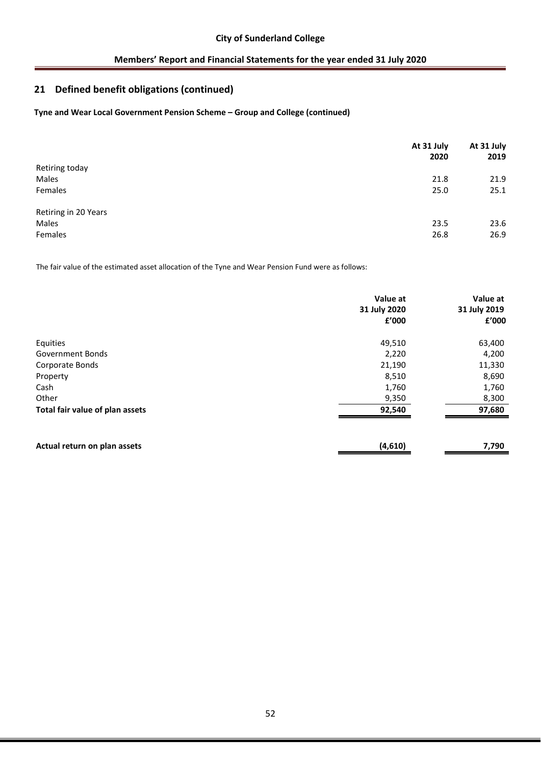# **21 Defined benefit obligations (continued)**

#### **Tyne and Wear Local Government Pension Scheme – Group and College (continued)**

|                      | At 31 July<br>2020 | At 31 July<br>2019 |
|----------------------|--------------------|--------------------|
| Retiring today       |                    |                    |
| Males                | 21.8               | 21.9               |
| Females              | 25.0               | 25.1               |
| Retiring in 20 Years |                    |                    |
| Males                | 23.5               | 23.6               |
| Females              | 26.8               | 26.9               |

The fair value of the estimated asset allocation of the Tyne and Wear Pension Fund were as follows:

|                                 | Value at<br>31 July 2020<br>f'000 | Value at<br>31 July 2019<br>£'000 |
|---------------------------------|-----------------------------------|-----------------------------------|
| Equities                        | 49,510                            | 63,400                            |
| <b>Government Bonds</b>         | 2,220                             | 4,200                             |
| Corporate Bonds                 | 21,190                            | 11,330                            |
| Property                        | 8,510                             | 8,690                             |
| Cash                            | 1,760                             | 1,760                             |
| Other                           | 9,350                             | 8,300                             |
| Total fair value of plan assets | 92,540                            | 97,680                            |
| Actual return on plan assets    | (4,610)                           | 7,790                             |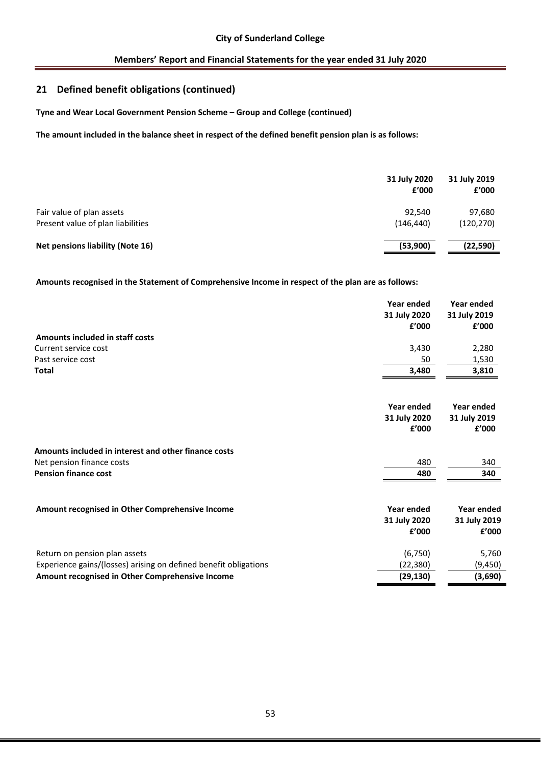# **21 Defined benefit obligations (continued)**

**Tyne and Wear Local Government Pension Scheme – Group and College (continued)** 

The amount included in the balance sheet in respect of the defined benefit pension plan is as follows:

|                                         | 31 July 2020<br>£'000 | 31 July 2019<br>f'000 |
|-----------------------------------------|-----------------------|-----------------------|
| Fair value of plan assets               | 92,540                | 97,680                |
| Present value of plan liabilities       | (146, 440)            | (120, 270)            |
| <b>Net pensions liability (Note 16)</b> | (53,900)              | (22, 590)             |

**Amounts recognised in the Statement of Comprehensive Income in respect of the plan are as follows:**

|                                                                  | <b>Year ended</b><br>31 July 2020 | <b>Year ended</b><br>31 July 2019 |
|------------------------------------------------------------------|-----------------------------------|-----------------------------------|
|                                                                  | f'000                             | f'000                             |
| Amounts included in staff costs                                  |                                   |                                   |
| Current service cost                                             | 3,430                             | 2,280                             |
| Past service cost                                                | 50                                | 1,530                             |
| <b>Total</b>                                                     | 3,480                             | 3,810                             |
|                                                                  | Year ended                        | Year ended                        |
|                                                                  | 31 July 2020                      | 31 July 2019                      |
|                                                                  | £'000                             | £'000                             |
| Amounts included in interest and other finance costs             |                                   |                                   |
| Net pension finance costs                                        | 480                               | 340                               |
| <b>Pension finance cost</b>                                      | 480                               | 340                               |
| Amount recognised in Other Comprehensive Income                  | Year ended                        | Year ended                        |
|                                                                  | 31 July 2020                      | 31 July 2019                      |
|                                                                  | f'000                             | f'000                             |
| Return on pension plan assets                                    | (6, 750)                          | 5,760                             |
| Experience gains/(losses) arising on defined benefit obligations | (22, 380)                         | (9,450)                           |
| Amount recognised in Other Comprehensive Income                  | (29, 130)                         | (3,690)                           |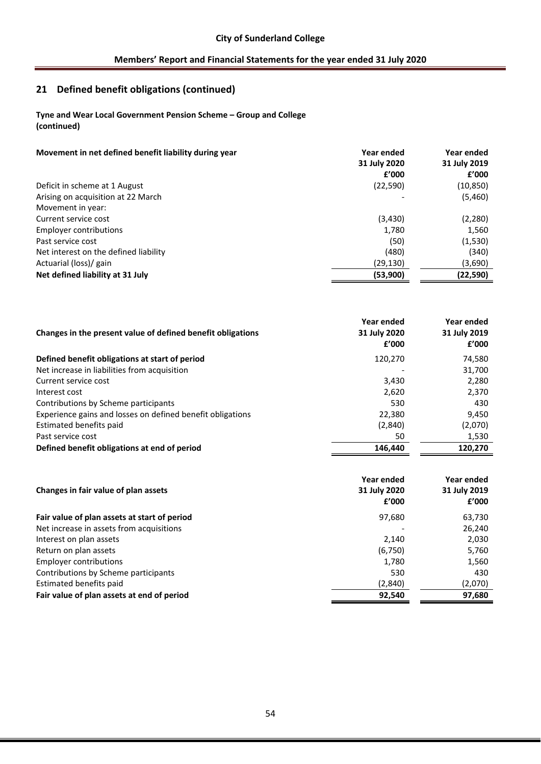# **21 Defined benefit obligations (continued)**

### **Tyne and Wear Local Government Pension Scheme – Group and College (continued)**

| Movement in net defined benefit liability during year | Year ended<br>31 July 2020<br>f'000 | Year ended<br>31 July 2019<br>f'000 |
|-------------------------------------------------------|-------------------------------------|-------------------------------------|
| Deficit in scheme at 1 August                         | (22, 590)                           | (10, 850)                           |
| Arising on acquisition at 22 March                    |                                     | (5,460)                             |
| Movement in year:                                     |                                     |                                     |
| Current service cost                                  | (3,430)                             | (2,280)                             |
| <b>Employer contributions</b>                         | 1.780                               | 1,560                               |
| Past service cost                                     | (50)                                | (1,530)                             |
| Net interest on the defined liability                 | (480)                               | (340)                               |
| Actuarial (loss)/ gain                                | (29,130)                            | (3,690)                             |
| Net defined liability at 31 July                      | (53,900)                            | (22, 590)                           |

| Changes in the present value of defined benefit obligations | Year ended<br>31 July 2020<br>f'000 | Year ended<br>31 July 2019<br>f'000 |
|-------------------------------------------------------------|-------------------------------------|-------------------------------------|
| Defined benefit obligations at start of period              | 120,270                             | 74,580                              |
| Net increase in liabilities from acquisition                |                                     | 31,700                              |
| Current service cost                                        | 3.430                               | 2,280                               |
| Interest cost                                               | 2,620                               | 2,370                               |
| Contributions by Scheme participants                        | 530                                 | 430                                 |
| Experience gains and losses on defined benefit obligations  | 22,380                              | 9,450                               |
| Estimated benefits paid                                     | (2,840)                             | (2,070)                             |
| Past service cost                                           | 50                                  | 1,530                               |
| Defined benefit obligations at end of period                | 146.440                             | 120,270                             |

| Changes in fair value of plan assets         | <b>Year ended</b><br>31 July 2020<br>f'000 | Year ended<br>31 July 2019<br>f'000 |
|----------------------------------------------|--------------------------------------------|-------------------------------------|
| Fair value of plan assets at start of period | 97,680                                     | 63,730                              |
| Net increase in assets from acquisitions     |                                            | 26,240                              |
| Interest on plan assets                      | 2,140                                      | 2,030                               |
| Return on plan assets                        | (6,750)                                    | 5,760                               |
| Employer contributions                       | 1,780                                      | 1,560                               |
| Contributions by Scheme participants         | 530                                        | 430                                 |
| Estimated benefits paid                      | (2,840)                                    | (2,070)                             |
| Fair value of plan assets at end of period   | 92,540                                     | 97,680                              |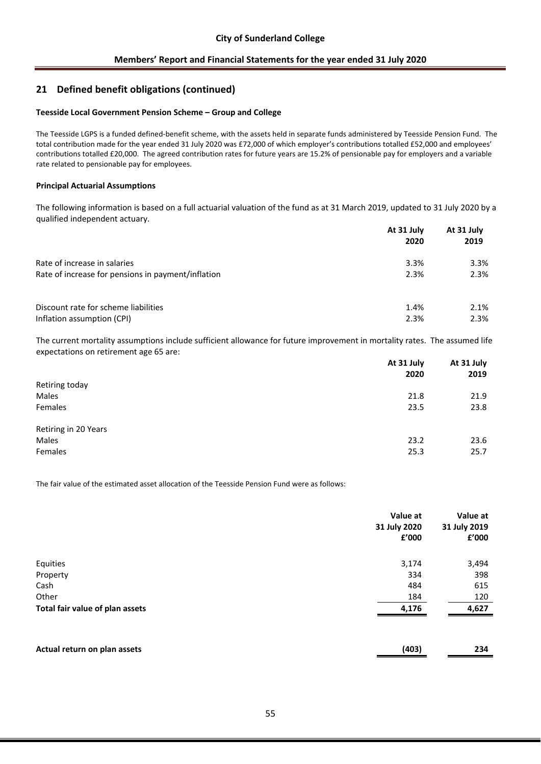# **21 Defined benefit obligations (continued)**

#### **Teesside Local Government Pension Scheme – Group and College**

The Teesside LGPS is a funded defined‐benefit scheme, with the assets held in separate funds administered by Teesside Pension Fund. The total contribution made for the year ended 31 July 2020 was £72,000 of which employer's contributions totalled £52,000 and employees' contributions totalled £20,000. The agreed contribution rates for future years are 15.2% of pensionable pay for employers and a variable rate related to pensionable pay for employees.

#### **Principal Actuarial Assumptions**

The following information is based on a full actuarial valuation of the fund as at 31 March 2019, updated to 31 July 2020 by a qualified independent actuary.

|                                                    | At 31 July<br>2020 | At 31 July<br>2019 |
|----------------------------------------------------|--------------------|--------------------|
| Rate of increase in salaries                       | 3.3%               | 3.3%               |
| Rate of increase for pensions in payment/inflation | 2.3%               | 2.3%               |
| Discount rate for scheme liabilities               | 1.4%               | 2.1%               |
| Inflation assumption (CPI)                         | 2.3%               | 2.3%               |

The current mortality assumptions include sufficient allowance for future improvement in mortality rates. The assumed life expectations on retirement age 65 are:

|                      | At 31 July | At 31 July |
|----------------------|------------|------------|
|                      | 2020       | 2019       |
| Retiring today       |            |            |
| Males                | 21.8       | 21.9       |
| Females              | 23.5       | 23.8       |
| Retiring in 20 Years |            |            |
| Males                | 23.2       | 23.6       |
| Females              | 25.3       | 25.7       |

The fair value of the estimated asset allocation of the Teesside Pension Fund were as follows:

|                                 | Value at<br>31 July 2020<br>£'000 | Value at<br>31 July 2019<br>£'000 |
|---------------------------------|-----------------------------------|-----------------------------------|
| Equities                        | 3,174                             | 3,494                             |
| Property                        | 334                               | 398                               |
| Cash                            | 484                               | 615                               |
| Other                           | 184                               | 120                               |
| Total fair value of plan assets | 4,176                             | 4,627                             |
| Actual return on plan assets    | (403)                             | 234                               |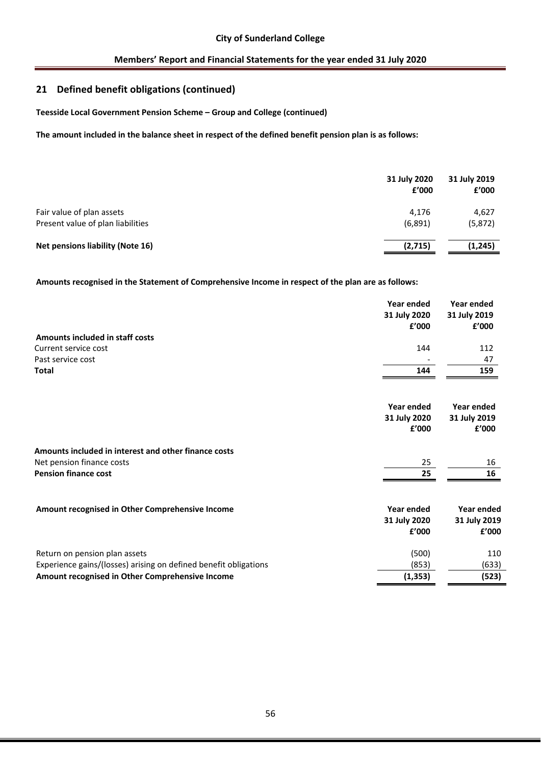# **21 Defined benefit obligations (continued)**

**Teesside Local Government Pension Scheme – Group and College (continued)** 

The amount included in the balance sheet in respect of the defined benefit pension plan is as follows:

|                                         | 31 July 2020<br>£'000 | 31 July 2019<br>f'000 |  |
|-----------------------------------------|-----------------------|-----------------------|--|
| Fair value of plan assets               | 4,176                 | 4,627                 |  |
| Present value of plan liabilities       | (6,891)               | (5,872)               |  |
| <b>Net pensions liability (Note 16)</b> | (2,715)               | (1, 245)              |  |

**Amounts recognised in the Statement of Comprehensive Income in respect of the plan are as follows:**

|                                                                  | Year ended<br>31 July 2020<br>f'000 | Year ended<br>31 July 2019<br>f'000 |
|------------------------------------------------------------------|-------------------------------------|-------------------------------------|
| Amounts included in staff costs                                  |                                     |                                     |
| Current service cost                                             | 144                                 | 112                                 |
| Past service cost                                                |                                     | 47                                  |
| <b>Total</b>                                                     | 144                                 | 159                                 |
|                                                                  | Year ended                          | Year ended                          |
|                                                                  | 31 July 2020<br>f'000               | 31 July 2019<br>f'000               |
| Amounts included in interest and other finance costs             |                                     |                                     |
| Net pension finance costs                                        | 25                                  | 16                                  |
| <b>Pension finance cost</b>                                      | 25                                  | 16                                  |
| Amount recognised in Other Comprehensive Income                  | Year ended                          | Year ended                          |
|                                                                  | 31 July 2020                        | 31 July 2019                        |
|                                                                  | f'000                               | £'000                               |
| Return on pension plan assets                                    | (500)                               | 110                                 |
| Experience gains/(losses) arising on defined benefit obligations | (853)                               | (633)                               |
| Amount recognised in Other Comprehensive Income                  | (1, 353)                            | (523)                               |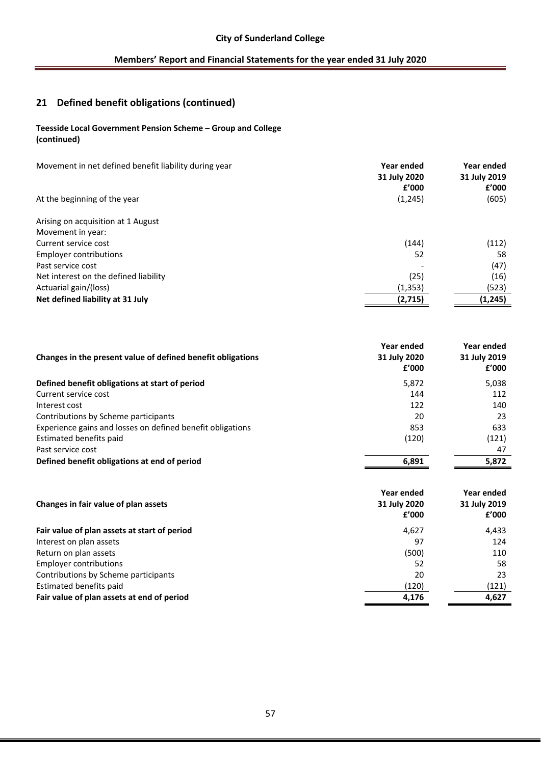# **21 Defined benefit obligations (continued)**

### **Teesside Local Government Pension Scheme – Group and College (continued)**

| Movement in net defined benefit liability during year | Year ended<br>31 July 2020<br>f'000 | Year ended<br>31 July 2019<br>f'000 |
|-------------------------------------------------------|-------------------------------------|-------------------------------------|
| At the beginning of the year                          | (1, 245)                            | (605)                               |
| Arising on acquisition at 1 August                    |                                     |                                     |
| Movement in year:                                     |                                     |                                     |
| Current service cost                                  | (144)                               | (112)                               |
| <b>Employer contributions</b>                         | 52                                  | 58                                  |
| Past service cost                                     |                                     | (47)                                |
| Net interest on the defined liability                 | (25)                                | (16)                                |
| Actuarial gain/(loss)                                 | (1, 353)                            | (523)                               |
| Net defined liability at 31 July                      | (2,715)                             | (1, 245)                            |

| Changes in the present value of defined benefit obligations | Year ended<br>31 July 2020<br>f'000 | Year ended<br>31 July 2019<br>f'000 |
|-------------------------------------------------------------|-------------------------------------|-------------------------------------|
| Defined benefit obligations at start of period              | 5.872                               | 5,038                               |
| Current service cost                                        | 144                                 | 112                                 |
| Interest cost                                               | 122                                 | 140                                 |
| Contributions by Scheme participants                        | 20                                  | 23                                  |
| Experience gains and losses on defined benefit obligations  | 853                                 | 633                                 |
| Estimated benefits paid                                     | (120)                               | (121)                               |
| Past service cost                                           |                                     | 47                                  |
| Defined benefit obligations at end of period                | 6,891                               | 5,872                               |

| Changes in fair value of plan assets         | Year ended<br>31 July 2020<br>f'000 | Year ended<br>31 July 2019<br>f'000 |
|----------------------------------------------|-------------------------------------|-------------------------------------|
| Fair value of plan assets at start of period | 4,627                               | 4,433                               |
| Interest on plan assets                      | 97                                  | 124                                 |
| Return on plan assets                        | (500)                               | 110                                 |
| <b>Employer contributions</b>                | 52                                  | 58                                  |
| Contributions by Scheme participants         | 20                                  | 23                                  |
| Estimated benefits paid                      | (120)                               | (121)                               |
| Fair value of plan assets at end of period   | 4.176                               | 4,627                               |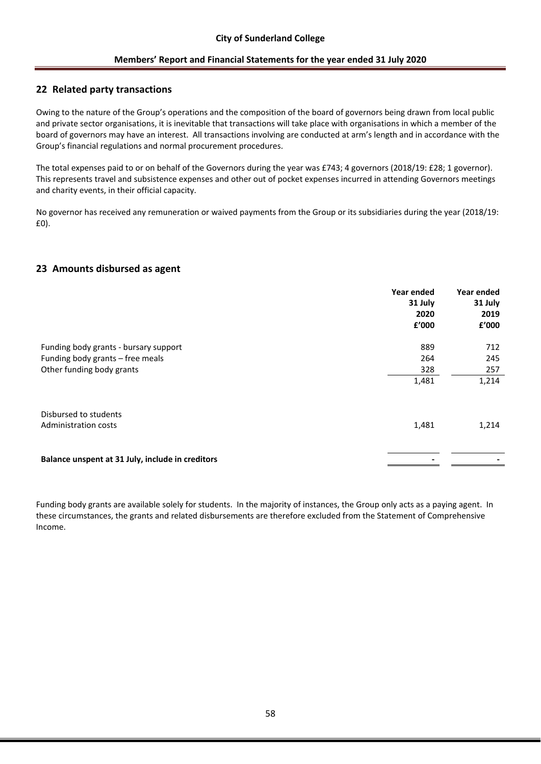# **22 Related party transactions**

Owing to the nature of the Group's operations and the composition of the board of governors being drawn from local public and private sector organisations, it is inevitable that transactions will take place with organisations in which a member of the board of governors may have an interest. All transactions involving are conducted at arm's length and in accordance with the Group's financial regulations and normal procurement procedures.

The total expenses paid to or on behalf of the Governors during the year was £743; 4 governors (2018/19: £28; 1 governor). This represents travel and subsistence expenses and other out of pocket expenses incurred in attending Governors meetings and charity events, in their official capacity.

No governor has received any remuneration or waived payments from the Group or its subsidiaries during the year (2018/19: £0).

# **23 Amounts disbursed as agent**

|                                                  | Year ended | Year ended |
|--------------------------------------------------|------------|------------|
|                                                  | 31 July    | 31 July    |
|                                                  | 2020       | 2019       |
|                                                  | f'000      | £'000      |
| Funding body grants - bursary support            | 889        | 712        |
| Funding body grants - free meals                 | 264        | 245        |
| Other funding body grants                        | 328        | 257        |
|                                                  | 1,481      | 1,214      |
| Disbursed to students                            |            |            |
| <b>Administration costs</b>                      | 1,481      | 1,214      |
| Balance unspent at 31 July, include in creditors |            |            |
|                                                  |            |            |

Funding body grants are available solely for students. In the majority of instances, the Group only acts as a paying agent. In these circumstances, the grants and related disbursements are therefore excluded from the Statement of Comprehensive Income.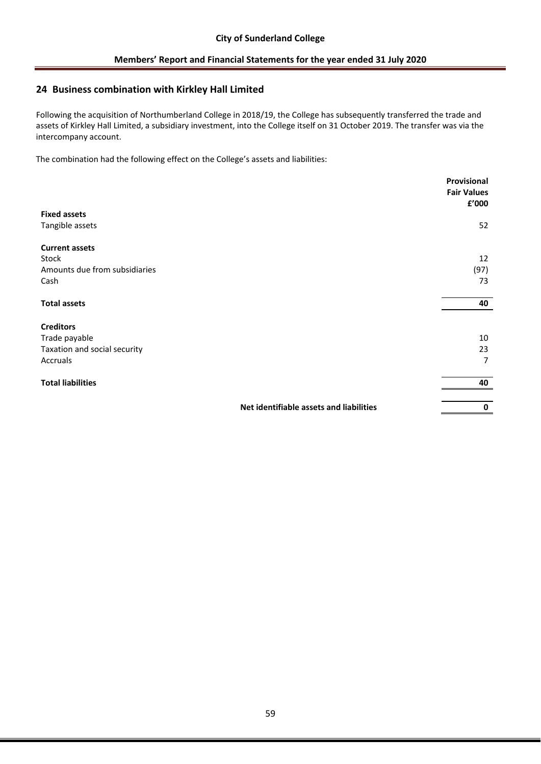# **24 Business combination with Kirkley Hall Limited**

Following the acquisition of Northumberland College in 2018/19, the College has subsequently transferred the trade and assets of Kirkley Hall Limited, a subsidiary investment, into the College itself on 31 October 2019. The transfer was via the intercompany account.

The combination had the following effect on the College's assets and liabilities:

|                               |                                         | Provisional<br><b>Fair Values</b> |
|-------------------------------|-----------------------------------------|-----------------------------------|
|                               |                                         | £'000                             |
| <b>Fixed assets</b>           |                                         |                                   |
| Tangible assets               |                                         | 52                                |
| <b>Current assets</b>         |                                         |                                   |
| Stock                         |                                         | 12                                |
| Amounts due from subsidiaries |                                         | (97)                              |
| Cash                          |                                         | 73                                |
| <b>Total assets</b>           |                                         | 40                                |
| <b>Creditors</b>              |                                         |                                   |
| Trade payable                 |                                         | 10                                |
| Taxation and social security  |                                         | 23                                |
| Accruals                      |                                         | 7                                 |
| <b>Total liabilities</b>      |                                         | 40                                |
|                               |                                         |                                   |
|                               | Net identifiable assets and liabilities | 0                                 |